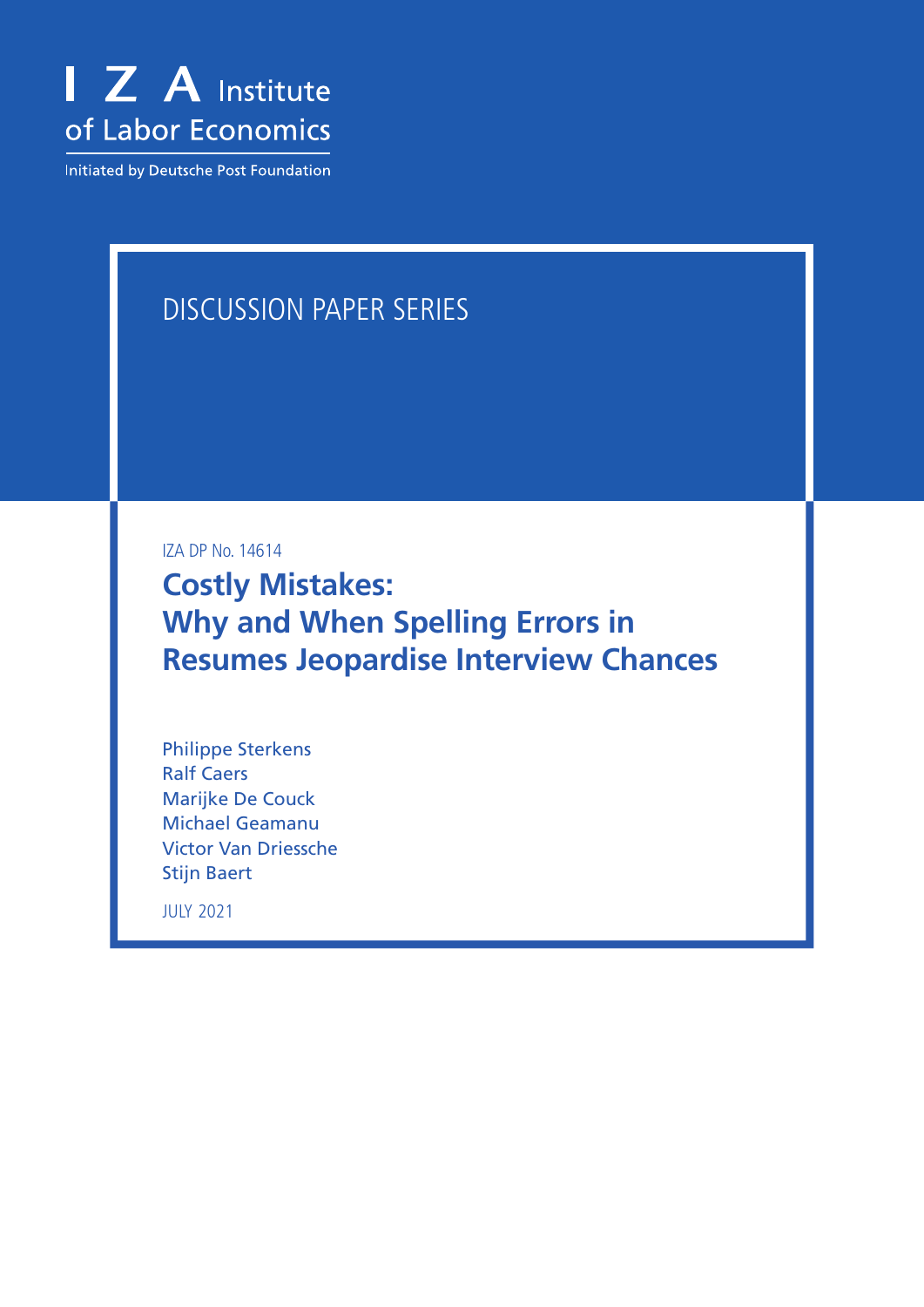

Initiated by Deutsche Post Foundation

# DISCUSSION PAPER SERIES

IZA DP No. 14614

**Costly Mistakes: Why and When Spelling Errors in Resumes Jeopardise Interview Chances**

Philippe Sterkens Ralf Caers Marijke De Couck Michael Geamanu Victor Van Driessche Stijn Baert

JULY 2021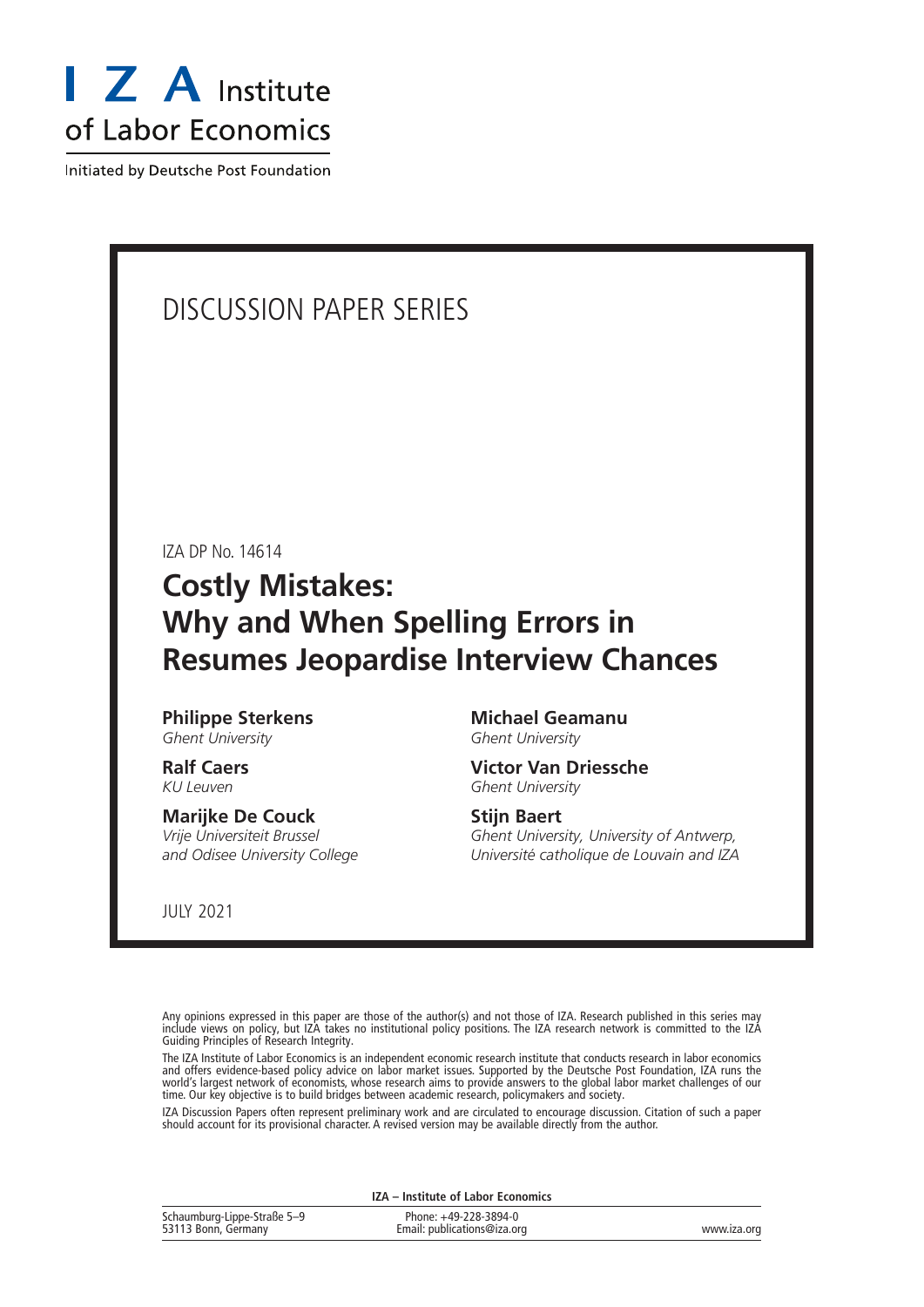

Initiated by Deutsche Post Foundation

# DISCUSSION PAPER SERIES

IZA DP No. 14614

# **Costly Mistakes: Why and When Spelling Errors in Resumes Jeopardise Interview Chances**

**Philippe Sterkens** *Ghent University*

**Ralf Caers** *KU Leuven*

#### **Marijke De Couck**

*Vrije Universiteit Brussel and Odisee University College* **Michael Geamanu** *Ghent University*

**Victor Van Driessche** *Ghent University*

### **Stijn Baert**

*Ghent University, University of Antwerp, Université catholique de Louvain and IZA*

JULY 2021

Any opinions expressed in this paper are those of the author(s) and not those of IZA. Research published in this series may include views on policy, but IZA takes no institutional policy positions. The IZA research network is committed to the IZA Guiding Principles of Research Integrity.

The IZA Institute of Labor Economics is an independent economic research institute that conducts research in labor economics and offers evidence-based policy advice on labor market issues. Supported by the Deutsche Post Foundation, IZA runs the world's largest network of economists, whose research aims to provide answers to the global labor market challenges of our time. Our key objective is to build bridges between academic research, policymakers and society.

IZA Discussion Papers often represent preliminary work and are circulated to encourage discussion. Citation of such a paper should account for its provisional character. A revised version may be available directly from the author.

**IZA – Institute of Labor Economics**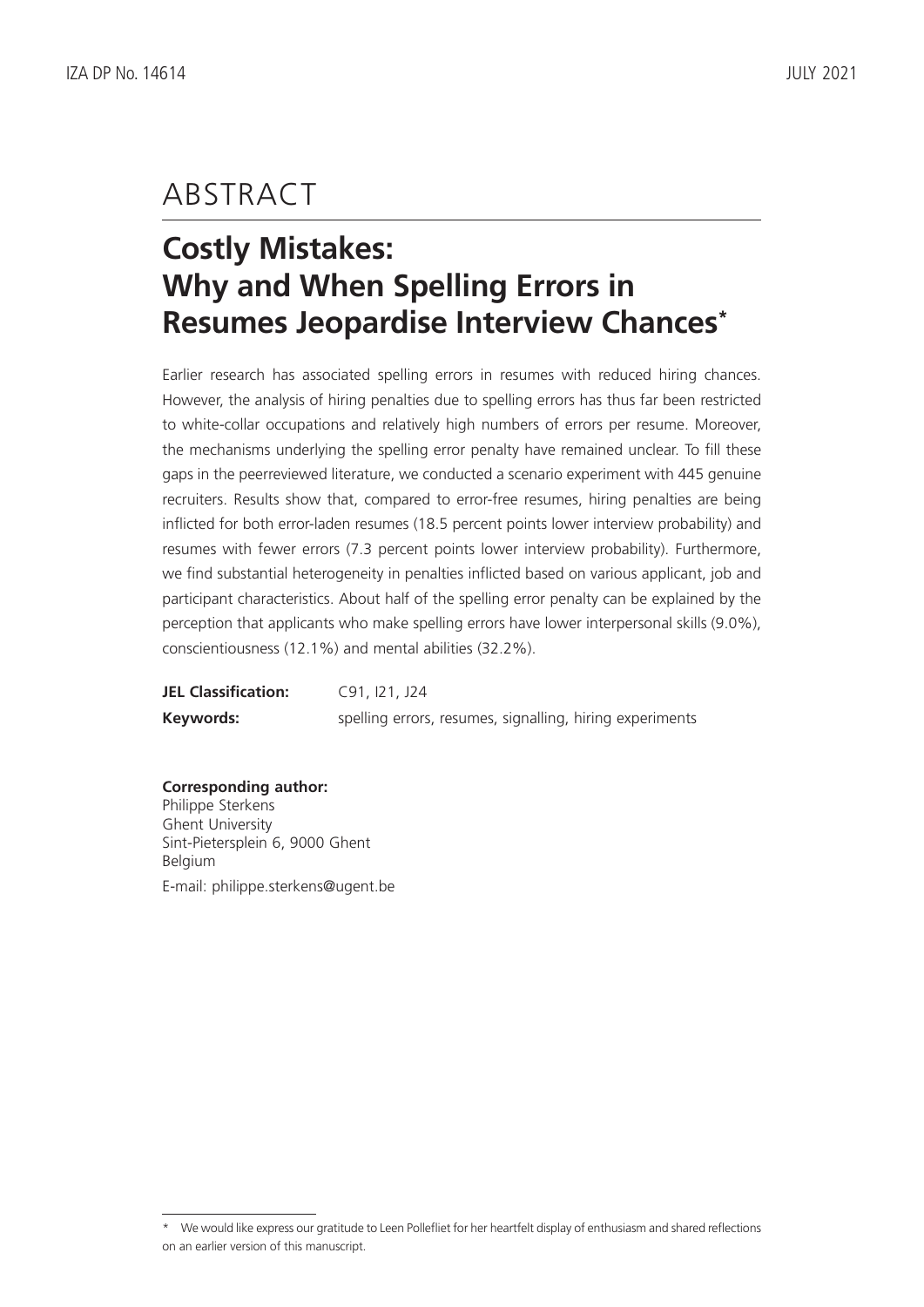# ABSTRACT

# **Costly Mistakes: Why and When Spelling Errors in Resumes Jeopardise Interview Chances\***

Earlier research has associated spelling errors in resumes with reduced hiring chances. However, the analysis of hiring penalties due to spelling errors has thus far been restricted to white-collar occupations and relatively high numbers of errors per resume. Moreover, the mechanisms underlying the spelling error penalty have remained unclear. To fill these gaps in the peerreviewed literature, we conducted a scenario experiment with 445 genuine recruiters. Results show that, compared to error-free resumes, hiring penalties are being inflicted for both error-laden resumes (18.5 percent points lower interview probability) and resumes with fewer errors (7.3 percent points lower interview probability). Furthermore, we find substantial heterogeneity in penalties inflicted based on various applicant, job and participant characteristics. About half of the spelling error penalty can be explained by the perception that applicants who make spelling errors have lower interpersonal skills (9.0%), conscientiousness (12.1%) and mental abilities (32.2%).

| <b>JEL Classification:</b> | C91, I21, J24                                            |
|----------------------------|----------------------------------------------------------|
| Keywords:                  | spelling errors, resumes, signalling, hiring experiments |

**Corresponding author:** Philippe Sterkens Ghent University Sint-Pietersplein 6, 9000 Ghent Belgium E-mail: philippe.sterkens@ugent.be

<sup>\*</sup> We would like express our gratitude to Leen Pollefliet for her heartfelt display of enthusiasm and shared reflections on an earlier version of this manuscript.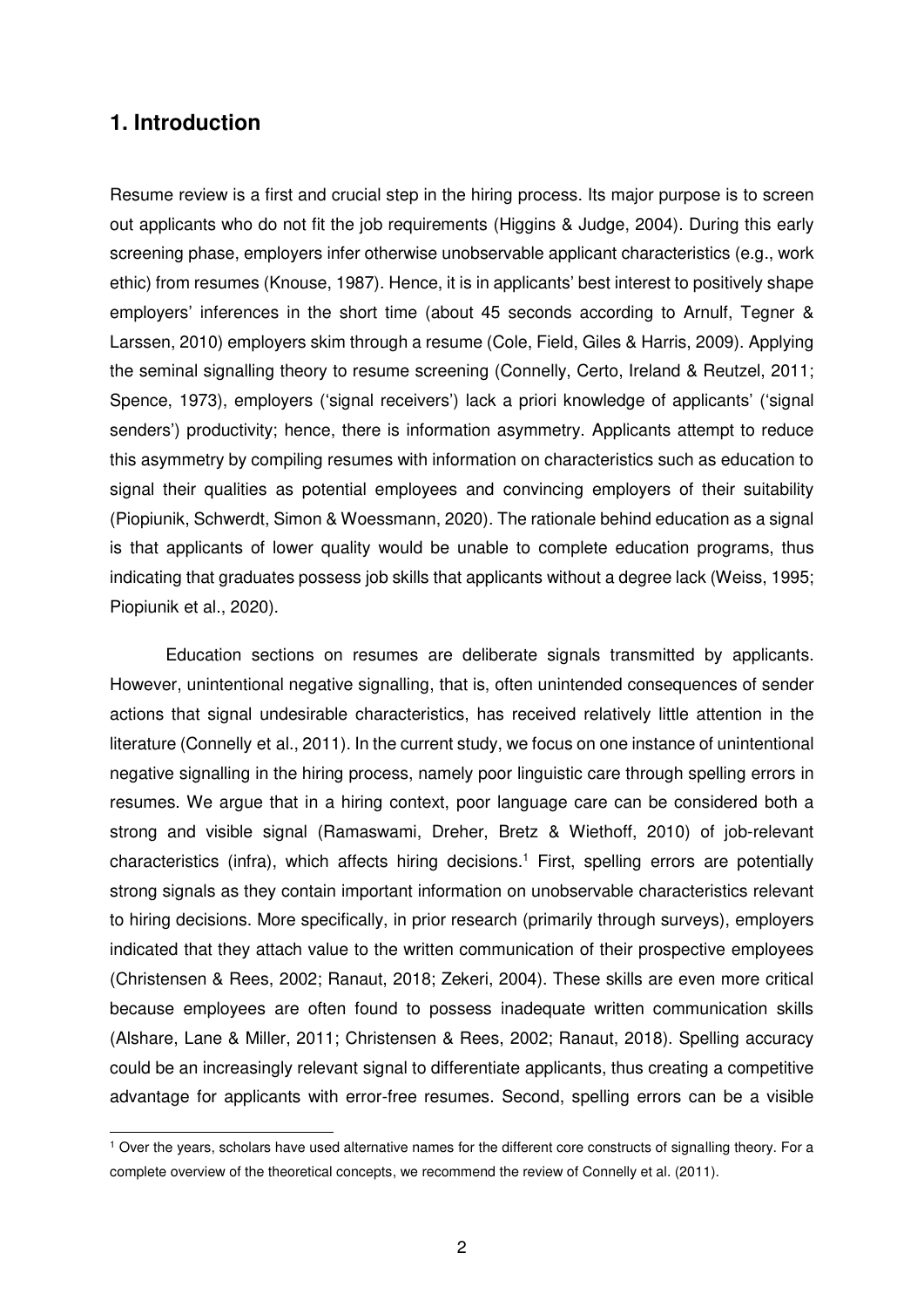## **1. Introduction**

Resume review is a first and crucial step in the hiring process. Its major purpose is to screen out applicants who do not fit the job requirements (Higgins & Judge, 2004). During this early screening phase, employers infer otherwise unobservable applicant characteristics (e.g., work ethic) from resumes (Knouse, 1987). Hence, it is in applicants' best interest to positively shape employers' inferences in the short time (about 45 seconds according to Arnulf, Tegner & Larssen, 2010) employers skim through a resume (Cole, Field, Giles & Harris, 2009). Applying the seminal signalling theory to resume screening (Connelly, Certo, Ireland & Reutzel, 2011; Spence, 1973), employers ('signal receivers') lack a priori knowledge of applicants' ('signal senders') productivity; hence, there is information asymmetry. Applicants attempt to reduce this asymmetry by compiling resumes with information on characteristics such as education to signal their qualities as potential employees and convincing employers of their suitability (Piopiunik, Schwerdt, Simon & Woessmann, 2020). The rationale behind education as a signal is that applicants of lower quality would be unable to complete education programs, thus indicating that graduates possess job skills that applicants without a degree lack (Weiss, 1995; Piopiunik et al., 2020).

Education sections on resumes are deliberate signals transmitted by applicants. However, unintentional negative signalling, that is, often unintended consequences of sender actions that signal undesirable characteristics, has received relatively little attention in the literature (Connelly et al., 2011). In the current study, we focus on one instance of unintentional negative signalling in the hiring process, namely poor linguistic care through spelling errors in resumes. We argue that in a hiring context, poor language care can be considered both a strong and visible signal (Ramaswami, Dreher, Bretz & Wiethoff, 2010) of job-relevant characteristics (infra), which affects hiring decisions.<sup>1</sup> First, spelling errors are potentially strong signals as they contain important information on unobservable characteristics relevant to hiring decisions. More specifically, in prior research (primarily through surveys), employers indicated that they attach value to the written communication of their prospective employees (Christensen & Rees, 2002; Ranaut, 2018; Zekeri, 2004). These skills are even more critical because employees are often found to possess inadequate written communication skills (Alshare, Lane & Miller, 2011; Christensen & Rees, 2002; Ranaut, 2018). Spelling accuracy could be an increasingly relevant signal to differentiate applicants, thus creating a competitive advantage for applicants with error-free resumes. Second, spelling errors can be a visible

 1 Over the years, scholars have used alternative names for the different core constructs of signalling theory. For a complete overview of the theoretical concepts, we recommend the review of Connelly et al. (2011).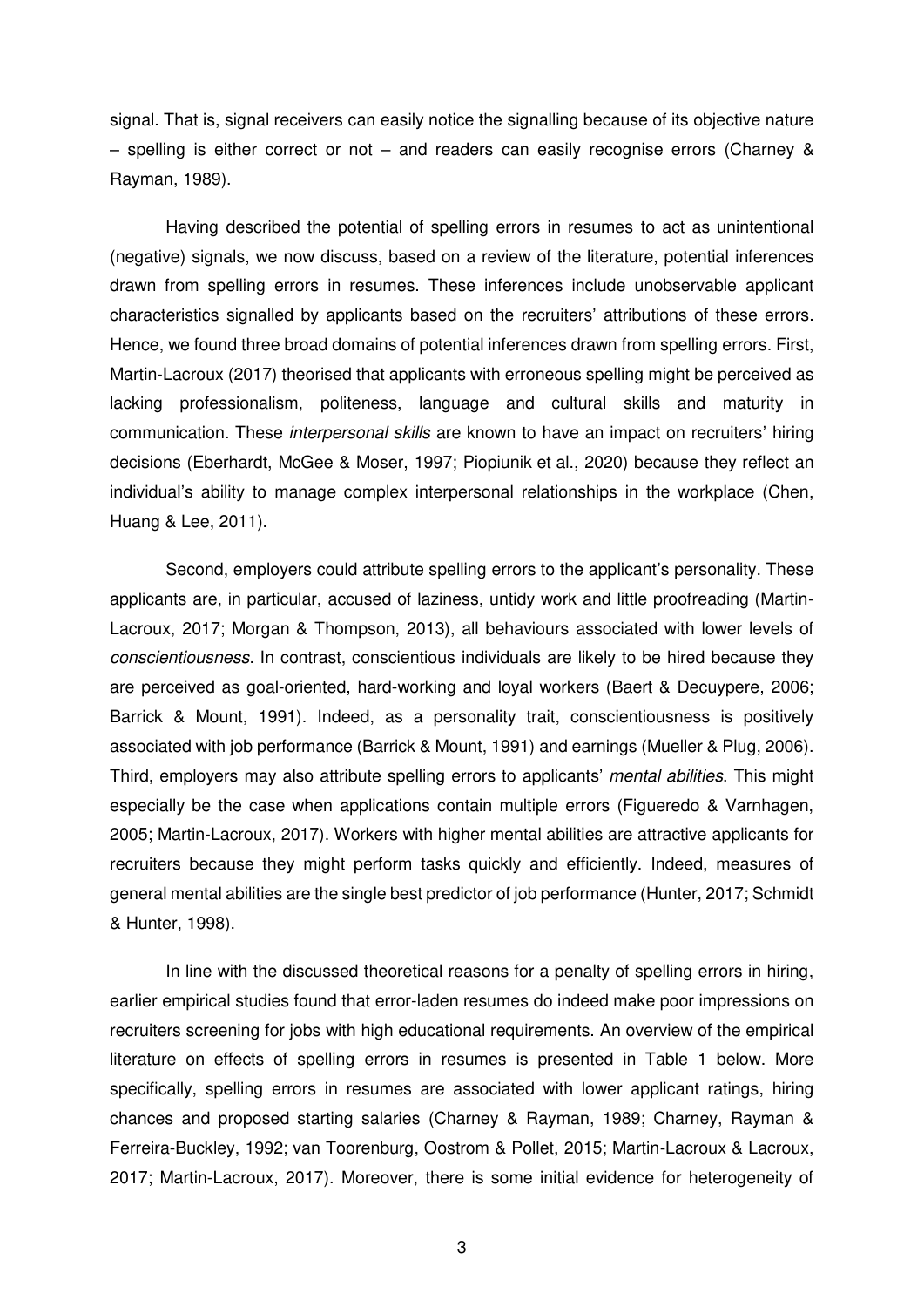signal. That is, signal receivers can easily notice the signalling because of its objective nature – spelling is either correct or not – and readers can easily recognise errors (Charney  $\&$ Rayman, 1989).

Having described the potential of spelling errors in resumes to act as unintentional (negative) signals, we now discuss, based on a review of the literature, potential inferences drawn from spelling errors in resumes. These inferences include unobservable applicant characteristics signalled by applicants based on the recruiters' attributions of these errors. Hence, we found three broad domains of potential inferences drawn from spelling errors. First, Martin-Lacroux (2017) theorised that applicants with erroneous spelling might be perceived as lacking professionalism, politeness, language and cultural skills and maturity in communication. These *interpersonal skills* are known to have an impact on recruiters' hiring decisions (Eberhardt, McGee & Moser, 1997; Piopiunik et al., 2020) because they reflect an individual's ability to manage complex interpersonal relationships in the workplace (Chen, Huang & Lee, 2011).

Second, employers could attribute spelling errors to the applicant's personality. These applicants are, in particular, accused of laziness, untidy work and little proofreading (Martin-Lacroux, 2017; Morgan & Thompson, 2013), all behaviours associated with lower levels of *conscientiousness*. In contrast, conscientious individuals are likely to be hired because they are perceived as goal-oriented, hard-working and loyal workers (Baert & Decuypere, 2006; Barrick & Mount, 1991). Indeed, as a personality trait, conscientiousness is positively associated with job performance (Barrick & Mount, 1991) and earnings (Mueller & Plug, 2006). Third, employers may also attribute spelling errors to applicants' *mental abilities*. This might especially be the case when applications contain multiple errors (Figueredo & Varnhagen, 2005; Martin-Lacroux, 2017). Workers with higher mental abilities are attractive applicants for recruiters because they might perform tasks quickly and efficiently. Indeed, measures of general mental abilities are the single best predictor of job performance (Hunter, 2017; Schmidt & Hunter, 1998).

In line with the discussed theoretical reasons for a penalty of spelling errors in hiring, earlier empirical studies found that error-laden resumes do indeed make poor impressions on recruiters screening for jobs with high educational requirements. An overview of the empirical literature on effects of spelling errors in resumes is presented in Table 1 below. More specifically, spelling errors in resumes are associated with lower applicant ratings, hiring chances and proposed starting salaries (Charney & Rayman, 1989; Charney, Rayman & Ferreira-Buckley, 1992; van Toorenburg, Oostrom & Pollet, 2015; Martin-Lacroux & Lacroux, 2017; Martin-Lacroux, 2017). Moreover, there is some initial evidence for heterogeneity of

3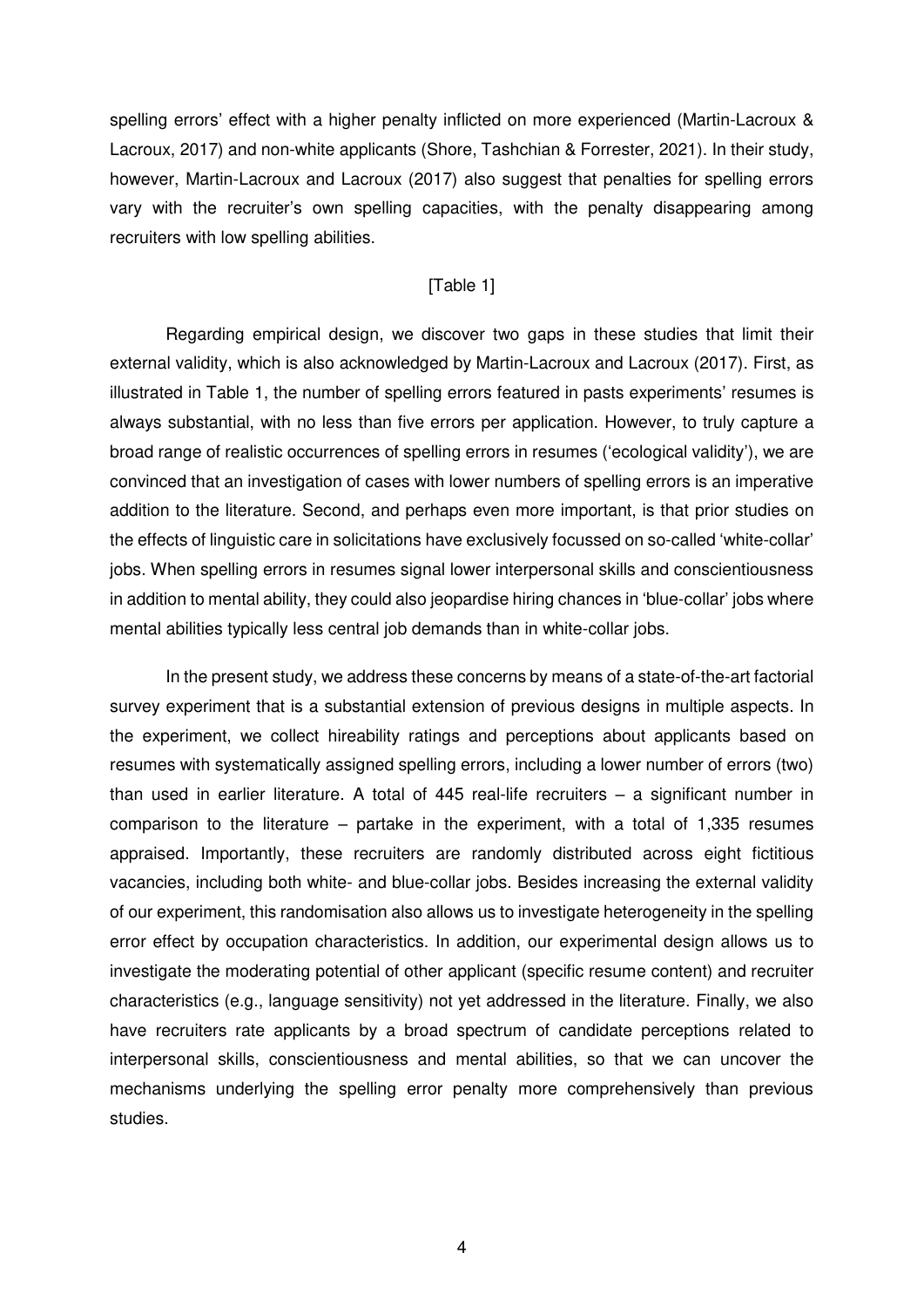spelling errors' effect with a higher penalty inflicted on more experienced (Martin-Lacroux & Lacroux, 2017) and non-white applicants (Shore, Tashchian & Forrester, 2021). In their study, however, Martin-Lacroux and Lacroux (2017) also suggest that penalties for spelling errors vary with the recruiter's own spelling capacities, with the penalty disappearing among recruiters with low spelling abilities.

#### [Table 1]

Regarding empirical design, we discover two gaps in these studies that limit their external validity, which is also acknowledged by Martin-Lacroux and Lacroux (2017). First, as illustrated in Table 1, the number of spelling errors featured in pasts experiments' resumes is always substantial, with no less than five errors per application. However, to truly capture a broad range of realistic occurrences of spelling errors in resumes ('ecological validity'), we are convinced that an investigation of cases with lower numbers of spelling errors is an imperative addition to the literature. Second, and perhaps even more important, is that prior studies on the effects of linguistic care in solicitations have exclusively focussed on so-called 'white-collar' jobs. When spelling errors in resumes signal lower interpersonal skills and conscientiousness in addition to mental ability, they could also jeopardise hiring chances in 'blue-collar' jobs where mental abilities typically less central job demands than in white-collar jobs.

In the present study, we address these concerns by means of a state-of-the-art factorial survey experiment that is a substantial extension of previous designs in multiple aspects. In the experiment, we collect hireability ratings and perceptions about applicants based on resumes with systematically assigned spelling errors, including a lower number of errors (two) than used in earlier literature. A total of 445 real-life recruiters – a significant number in comparison to the literature – partake in the experiment, with a total of 1,335 resumes appraised. Importantly, these recruiters are randomly distributed across eight fictitious vacancies, including both white- and blue-collar jobs. Besides increasing the external validity of our experiment, this randomisation also allows us to investigate heterogeneity in the spelling error effect by occupation characteristics. In addition, our experimental design allows us to investigate the moderating potential of other applicant (specific resume content) and recruiter characteristics (e.g., language sensitivity) not yet addressed in the literature. Finally, we also have recruiters rate applicants by a broad spectrum of candidate perceptions related to interpersonal skills, conscientiousness and mental abilities, so that we can uncover the mechanisms underlying the spelling error penalty more comprehensively than previous studies.

4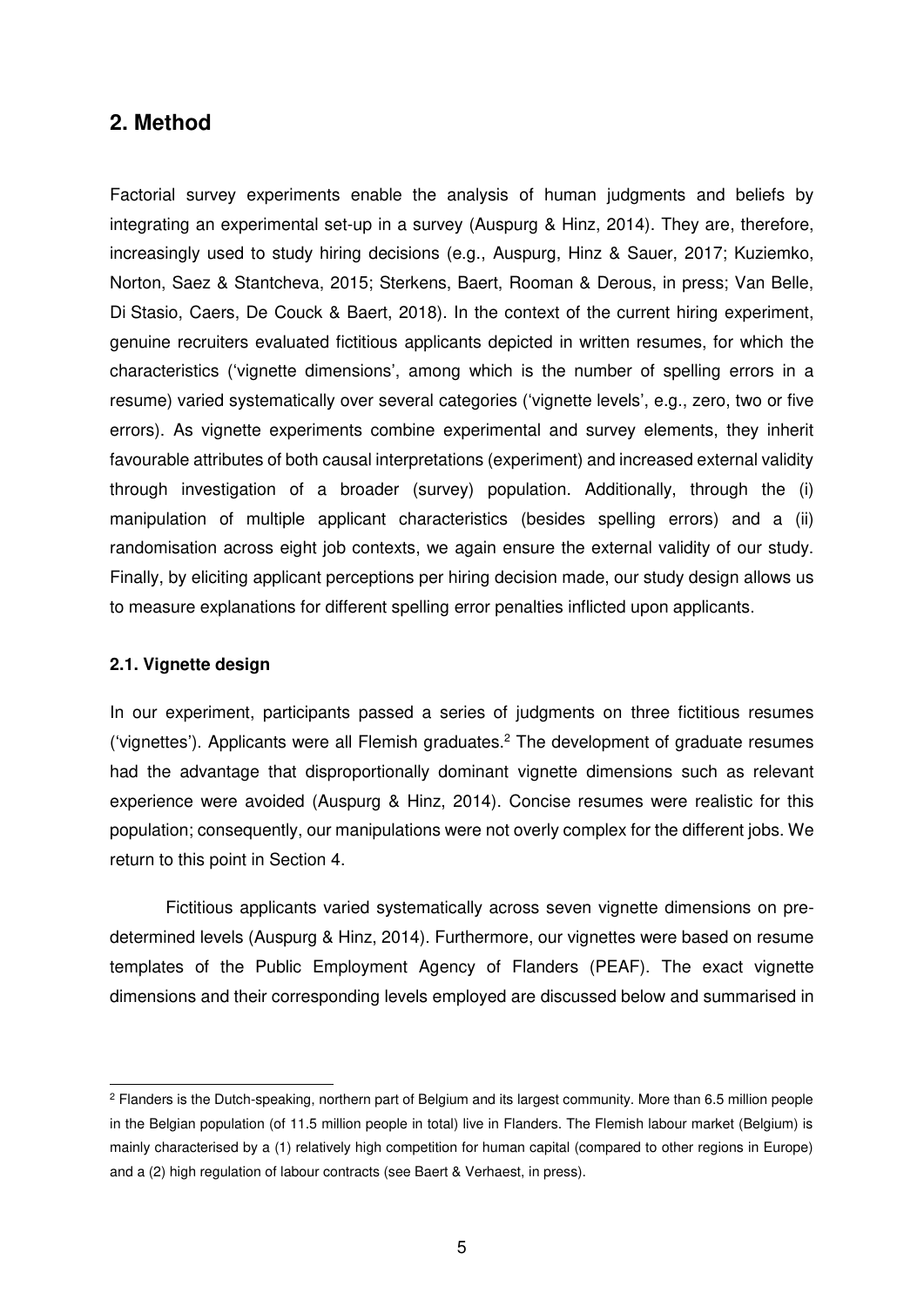## **2. Method**

Factorial survey experiments enable the analysis of human judgments and beliefs by integrating an experimental set-up in a survey (Auspurg & Hinz, 2014). They are, therefore, increasingly used to study hiring decisions (e.g., Auspurg, Hinz & Sauer, 2017; Kuziemko, Norton, Saez & Stantcheva, 2015; Sterkens, Baert, Rooman & Derous, in press; Van Belle, Di Stasio, Caers, De Couck & Baert, 2018). In the context of the current hiring experiment, genuine recruiters evaluated fictitious applicants depicted in written resumes, for which the characteristics ('vignette dimensions', among which is the number of spelling errors in a resume) varied systematically over several categories ('vignette levels', e.g., zero, two or five errors). As vignette experiments combine experimental and survey elements, they inherit favourable attributes of both causal interpretations (experiment) and increased external validity through investigation of a broader (survey) population. Additionally, through the (i) manipulation of multiple applicant characteristics (besides spelling errors) and a (ii) randomisation across eight job contexts, we again ensure the external validity of our study. Finally, by eliciting applicant perceptions per hiring decision made, our study design allows us to measure explanations for different spelling error penalties inflicted upon applicants.

#### **2.1. Vignette design**

-

In our experiment, participants passed a series of judgments on three fictitious resumes ('vignettes'). Applicants were all Flemish graduates.<sup>2</sup> The development of graduate resumes had the advantage that disproportionally dominant vignette dimensions such as relevant experience were avoided (Auspurg & Hinz, 2014). Concise resumes were realistic for this population; consequently, our manipulations were not overly complex for the different jobs. We return to this point in Section 4.

Fictitious applicants varied systematically across seven vignette dimensions on predetermined levels (Auspurg & Hinz, 2014). Furthermore, our vignettes were based on resume templates of the Public Employment Agency of Flanders (PEAF). The exact vignette dimensions and their corresponding levels employed are discussed below and summarised in

<sup>2</sup> Flanders is the Dutch-speaking, northern part of Belgium and its largest community. More than 6.5 million people in the Belgian population (of 11.5 million people in total) live in Flanders. The Flemish labour market (Belgium) is mainly characterised by a (1) relatively high competition for human capital (compared to other regions in Europe) and a (2) high regulation of labour contracts (see Baert & Verhaest, in press).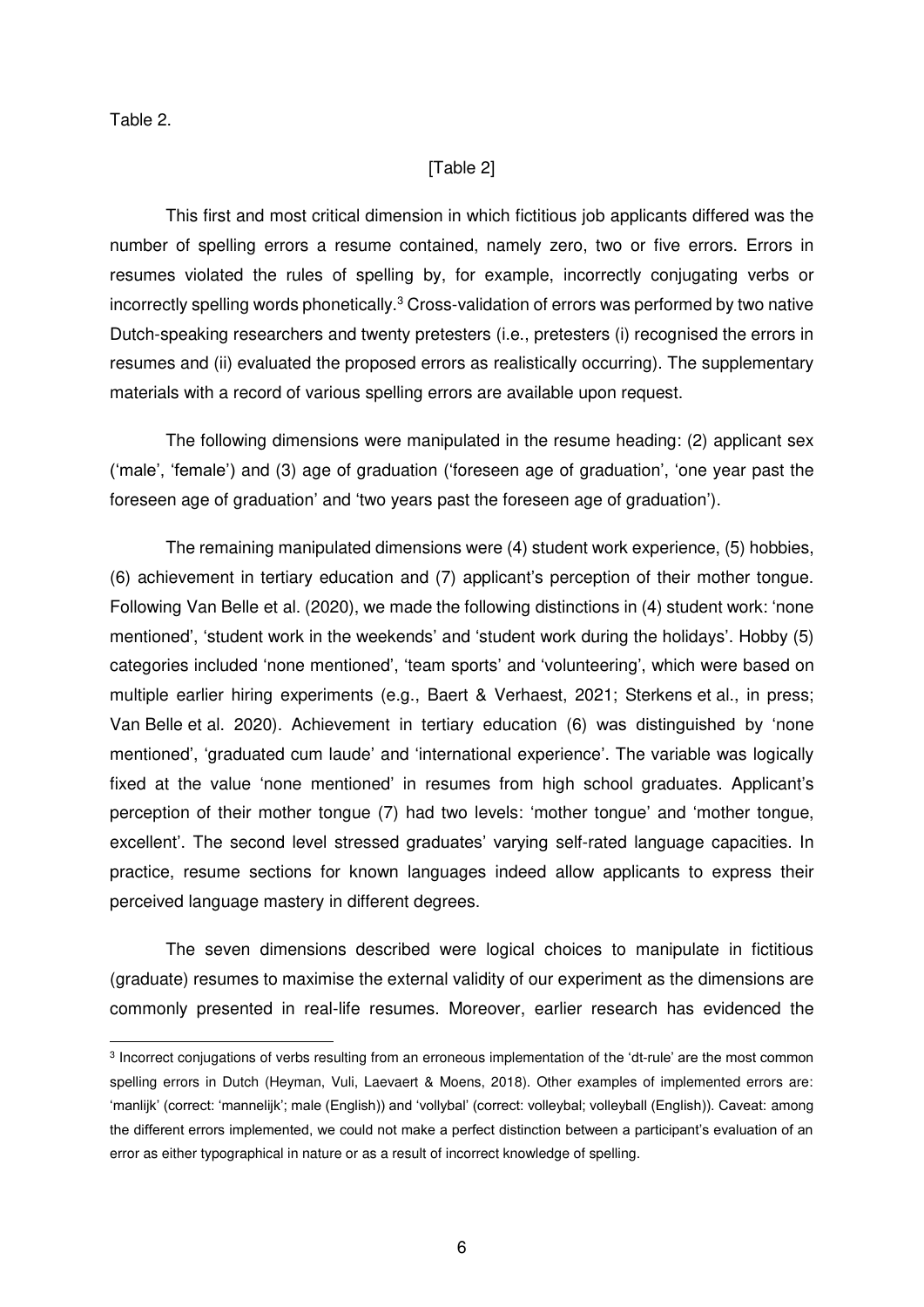Table 2.

-

#### [Table 2]

This first and most critical dimension in which fictitious job applicants differed was the number of spelling errors a resume contained, namely zero, two or five errors. Errors in resumes violated the rules of spelling by, for example, incorrectly conjugating verbs or incorrectly spelling words phonetically. $3$  Cross-validation of errors was performed by two native Dutch-speaking researchers and twenty pretesters (i.e., pretesters (i) recognised the errors in resumes and (ii) evaluated the proposed errors as realistically occurring). The supplementary materials with a record of various spelling errors are available upon request.

The following dimensions were manipulated in the resume heading: (2) applicant sex ('male', 'female') and (3) age of graduation ('foreseen age of graduation', 'one year past the foreseen age of graduation' and 'two years past the foreseen age of graduation').

The remaining manipulated dimensions were (4) student work experience, (5) hobbies, (6) achievement in tertiary education and (7) applicant's perception of their mother tongue. Following Van Belle et al. (2020), we made the following distinctions in (4) student work: 'none mentioned', 'student work in the weekends' and 'student work during the holidays'. Hobby (5) categories included 'none mentioned', 'team sports' and 'volunteering', which were based on multiple earlier hiring experiments (e.g., Baert & Verhaest, 2021; Sterkens et al., in press; Van Belle et al. 2020). Achievement in tertiary education (6) was distinguished by 'none mentioned', 'graduated cum laude' and 'international experience'. The variable was logically fixed at the value 'none mentioned' in resumes from high school graduates. Applicant's perception of their mother tongue (7) had two levels: 'mother tongue' and 'mother tongue, excellent'. The second level stressed graduates' varying self-rated language capacities. In practice, resume sections for known languages indeed allow applicants to express their perceived language mastery in different degrees.

The seven dimensions described were logical choices to manipulate in fictitious (graduate) resumes to maximise the external validity of our experiment as the dimensions are commonly presented in real-life resumes. Moreover, earlier research has evidenced the

<sup>3</sup> Incorrect conjugations of verbs resulting from an erroneous implementation of the 'dt-rule' are the most common spelling errors in Dutch (Heyman, Vuli, Laevaert & Moens, 2018). Other examples of implemented errors are: 'manlijk' (correct: 'mannelijk'; male (English)) and 'vollybal' (correct: volleybal; volleyball (English)). Caveat: among the different errors implemented, we could not make a perfect distinction between a participant's evaluation of an error as either typographical in nature or as a result of incorrect knowledge of spelling.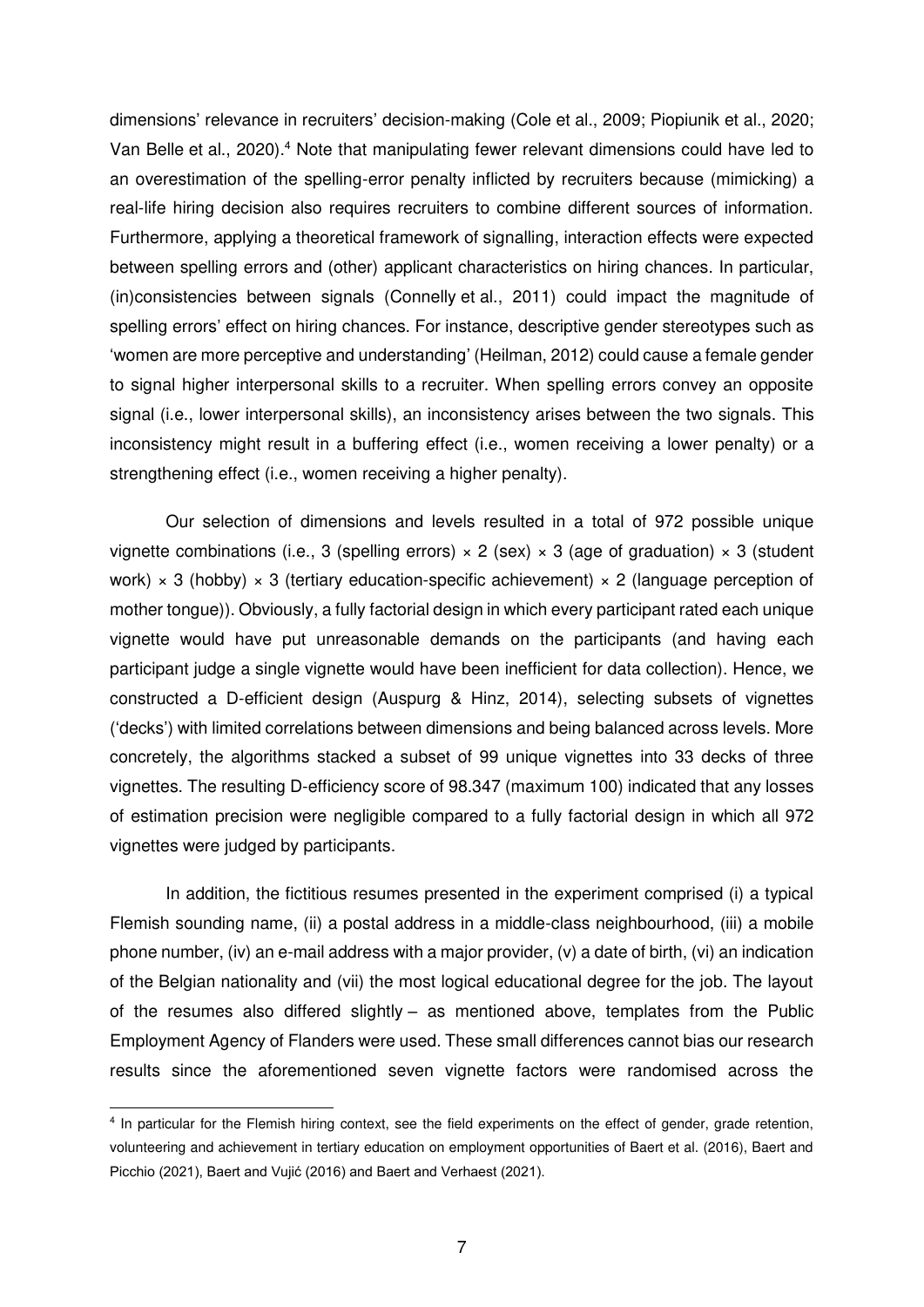dimensions' relevance in recruiters' decision-making (Cole et al., 2009; Piopiunik et al., 2020; Van Belle et al., 2020).<sup>4</sup> Note that manipulating fewer relevant dimensions could have led to an overestimation of the spelling-error penalty inflicted by recruiters because (mimicking) a real-life hiring decision also requires recruiters to combine different sources of information. Furthermore, applying a theoretical framework of signalling, interaction effects were expected between spelling errors and (other) applicant characteristics on hiring chances. In particular, (in)consistencies between signals (Connelly et al., 2011) could impact the magnitude of spelling errors' effect on hiring chances. For instance, descriptive gender stereotypes such as 'women are more perceptive and understanding' (Heilman, 2012) could cause a female gender to signal higher interpersonal skills to a recruiter. When spelling errors convey an opposite signal (i.e., lower interpersonal skills), an inconsistency arises between the two signals. This inconsistency might result in a buffering effect (i.e., women receiving a lower penalty) or a strengthening effect (i.e., women receiving a higher penalty).

Our selection of dimensions and levels resulted in a total of 972 possible unique vignette combinations (i.e., 3 (spelling errors)  $\times$  2 (sex)  $\times$  3 (age of graduation)  $\times$  3 (student work)  $\times$  3 (hobby)  $\times$  3 (tertiary education-specific achievement)  $\times$  2 (language perception of mother tongue)). Obviously, a fully factorial design in which every participant rated each unique vignette would have put unreasonable demands on the participants (and having each participant judge a single vignette would have been inefficient for data collection). Hence, we constructed a D-efficient design (Auspurg & Hinz, 2014), selecting subsets of vignettes ('decks') with limited correlations between dimensions and being balanced across levels. More concretely, the algorithms stacked a subset of 99 unique vignettes into 33 decks of three vignettes. The resulting D-efficiency score of 98.347 (maximum 100) indicated that any losses of estimation precision were negligible compared to a fully factorial design in which all 972 vignettes were judged by participants.

In addition, the fictitious resumes presented in the experiment comprised (i) a typical Flemish sounding name, (ii) a postal address in a middle-class neighbourhood, (iii) a mobile phone number, (iv) an e-mail address with a major provider, (v) a date of birth, (vi) an indication of the Belgian nationality and (vii) the most logical educational degree for the job. The layout of the resumes also differed slightly – as mentioned above, templates from the Public Employment Agency of Flanders were used. These small differences cannot bias our research results since the aforementioned seven vignette factors were randomised across the

-

<sup>4</sup> In particular for the Flemish hiring context, see the field experiments on the effect of gender, grade retention, volunteering and achievement in tertiary education on employment opportunities of Baert et al. (2016), Baert and Picchio (2021), Baert and Vujić (2016) and Baert and Verhaest (2021).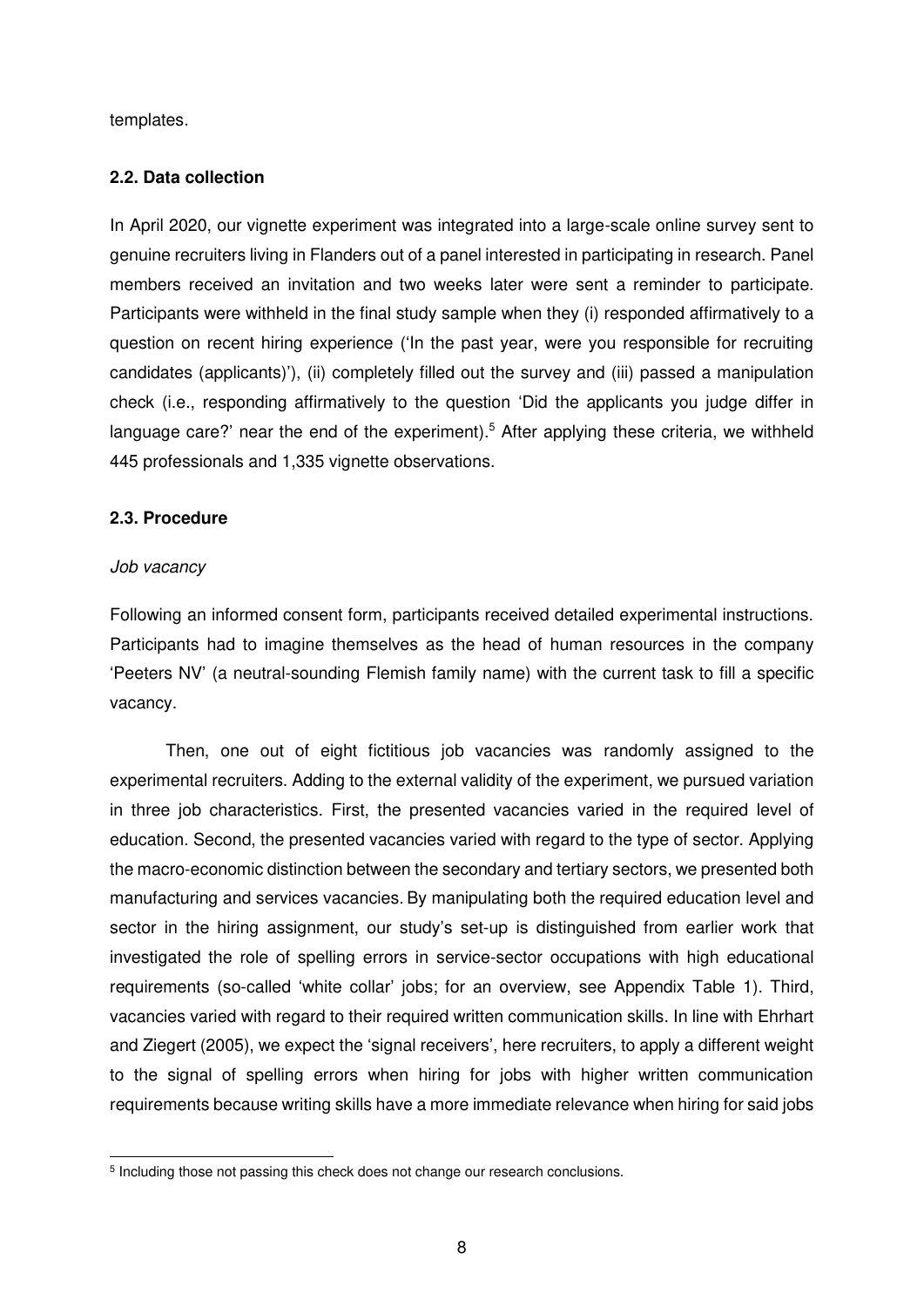templates.

#### **2.2. Data collection**

In April 2020, our vignette experiment was integrated into a large-scale online survey sent to genuine recruiters living in Flanders out of a panel interested in participating in research. Panel members received an invitation and two weeks later were sent a reminder to participate. Participants were withheld in the final study sample when they (i) responded affirmatively to a question on recent hiring experience ('In the past year, were you responsible for recruiting candidates (applicants)'), (ii) completely filled out the survey and (iii) passed a manipulation check (i.e., responding affirmatively to the question 'Did the applicants you judge differ in language care?' near the end of the experiment).<sup>5</sup> After applying these criteria, we withheld 445 professionals and 1,335 vignette observations.

#### **2.3. Procedure**

#### *Job vacancy*

Following an informed consent form, participants received detailed experimental instructions. Participants had to imagine themselves as the head of human resources in the company 'Peeters NV' (a neutral-sounding Flemish family name) with the current task to fill a specific vacancy.

Then, one out of eight fictitious job vacancies was randomly assigned to the experimental recruiters. Adding to the external validity of the experiment, we pursued variation in three job characteristics. First, the presented vacancies varied in the required level of education. Second, the presented vacancies varied with regard to the type of sector. Applying the macro-economic distinction between the secondary and tertiary sectors, we presented both manufacturing and services vacancies. By manipulating both the required education level and sector in the hiring assignment, our study's set-up is distinguished from earlier work that investigated the role of spelling errors in service-sector occupations with high educational requirements (so-called 'white collar' jobs; for an overview, see Appendix Table 1). Third, vacancies varied with regard to their required written communication skills. In line with Ehrhart and Ziegert (2005), we expect the 'signal receivers', here recruiters, to apply a different weight to the signal of spelling errors when hiring for jobs with higher written communication requirements because writing skills have a more immediate relevance when hiring for said jobs

<sup>-</sup><sup>5</sup> Including those not passing this check does not change our research conclusions.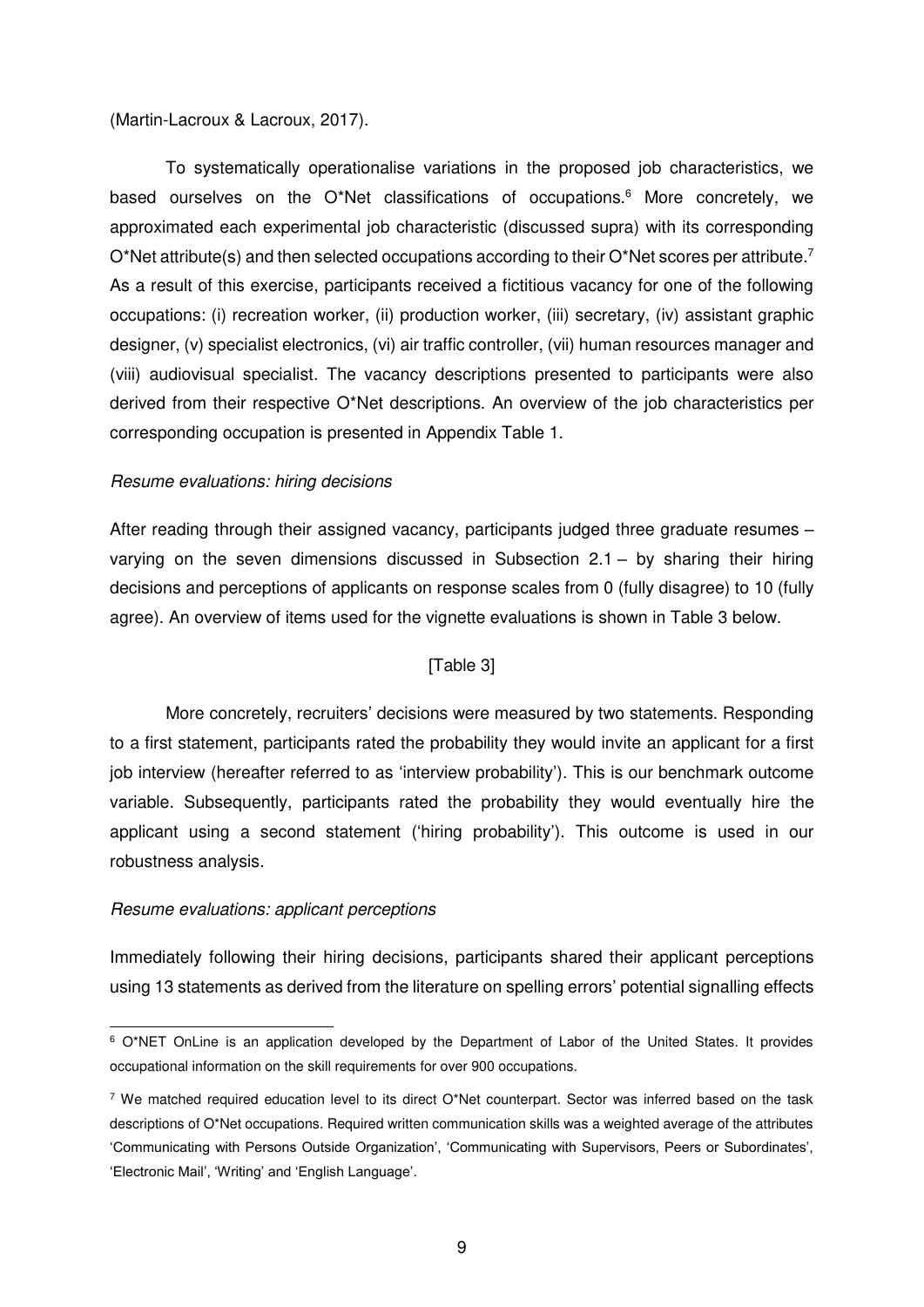#### (Martin-Lacroux & Lacroux, 2017).

To systematically operationalise variations in the proposed job characteristics, we based ourselves on the O\*Net classifications of occupations.<sup>6</sup> More concretely, we approximated each experimental job characteristic (discussed supra) with its corresponding O\*Net attribute(s) and then selected occupations according to their O\*Net scores per attribute.<sup>7</sup> As a result of this exercise, participants received a fictitious vacancy for one of the following occupations: (i) recreation worker, (ii) production worker, (iii) secretary, (iv) assistant graphic designer, (v) specialist electronics, (vi) air traffic controller, (vii) human resources manager and (viii) audiovisual specialist. The vacancy descriptions presented to participants were also derived from their respective O\*Net descriptions. An overview of the job characteristics per corresponding occupation is presented in Appendix Table 1.

#### *Resume evaluations: hiring decisions*

After reading through their assigned vacancy, participants judged three graduate resumes – varying on the seven dimensions discussed in Subsection 2.1 – by sharing their hiring decisions and perceptions of applicants on response scales from 0 (fully disagree) to 10 (fully agree). An overview of items used for the vignette evaluations is shown in Table 3 below.

#### [Table 3]

More concretely, recruiters' decisions were measured by two statements. Responding to a first statement, participants rated the probability they would invite an applicant for a first job interview (hereafter referred to as 'interview probability'). This is our benchmark outcome variable. Subsequently, participants rated the probability they would eventually hire the applicant using a second statement ('hiring probability'). This outcome is used in our robustness analysis.

#### *Resume evaluations: applicant perceptions*

Immediately following their hiring decisions, participants shared their applicant perceptions using 13 statements as derived from the literature on spelling errors' potential signalling effects

<sup>-</sup>6 O\*NET OnLine is an application developed by the Department of Labor of the United States. It provides occupational information on the skill requirements for over 900 occupations.

<sup>&</sup>lt;sup>7</sup> We matched required education level to its direct O\*Net counterpart. Sector was inferred based on the task descriptions of O\*Net occupations. Required written communication skills was a weighted average of the attributes 'Communicating with Persons Outside Organization', 'Communicating with Supervisors, Peers or Subordinates', 'Electronic Mail', 'Writing' and 'English Language'.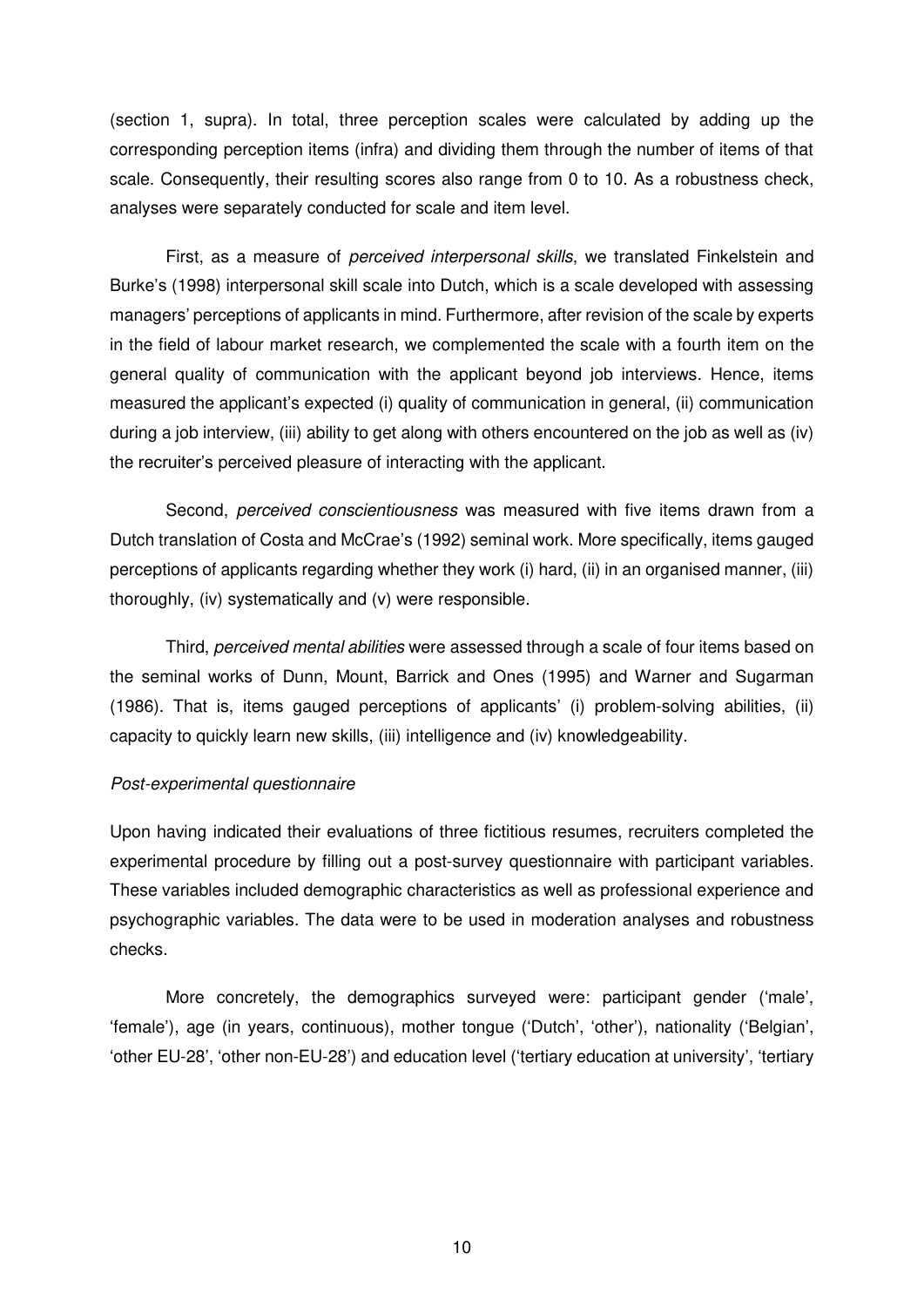(section 1, supra). In total, three perception scales were calculated by adding up the corresponding perception items (infra) and dividing them through the number of items of that scale. Consequently, their resulting scores also range from 0 to 10. As a robustness check, analyses were separately conducted for scale and item level.

First, as a measure of *perceived interpersonal skills*, we translated Finkelstein and Burke's (1998) interpersonal skill scale into Dutch, which is a scale developed with assessing managers' perceptions of applicants in mind. Furthermore, after revision of the scale by experts in the field of labour market research, we complemented the scale with a fourth item on the general quality of communication with the applicant beyond job interviews. Hence, items measured the applicant's expected (i) quality of communication in general, (ii) communication during a job interview, (iii) ability to get along with others encountered on the job as well as (iv) the recruiter's perceived pleasure of interacting with the applicant.

Second, *perceived conscientiousness* was measured with five items drawn from a Dutch translation of Costa and McCrae's (1992) seminal work. More specifically, items gauged perceptions of applicants regarding whether they work (i) hard, (ii) in an organised manner, (iii) thoroughly, (iv) systematically and (v) were responsible.

Third, *perceived mental abilities* were assessed through a scale of four items based on the seminal works of Dunn, Mount, Barrick and Ones (1995) and Warner and Sugarman (1986). That is, items gauged perceptions of applicants' (i) problem-solving abilities, (ii) capacity to quickly learn new skills, (iii) intelligence and (iv) knowledgeability.

#### *Post-experimental questionnaire*

Upon having indicated their evaluations of three fictitious resumes, recruiters completed the experimental procedure by filling out a post-survey questionnaire with participant variables. These variables included demographic characteristics as well as professional experience and psychographic variables. The data were to be used in moderation analyses and robustness checks.

More concretely, the demographics surveyed were: participant gender ('male', 'female'), age (in years, continuous), mother tongue ('Dutch', 'other'), nationality ('Belgian', 'other EU-28', 'other non-EU-28') and education level ('tertiary education at university', 'tertiary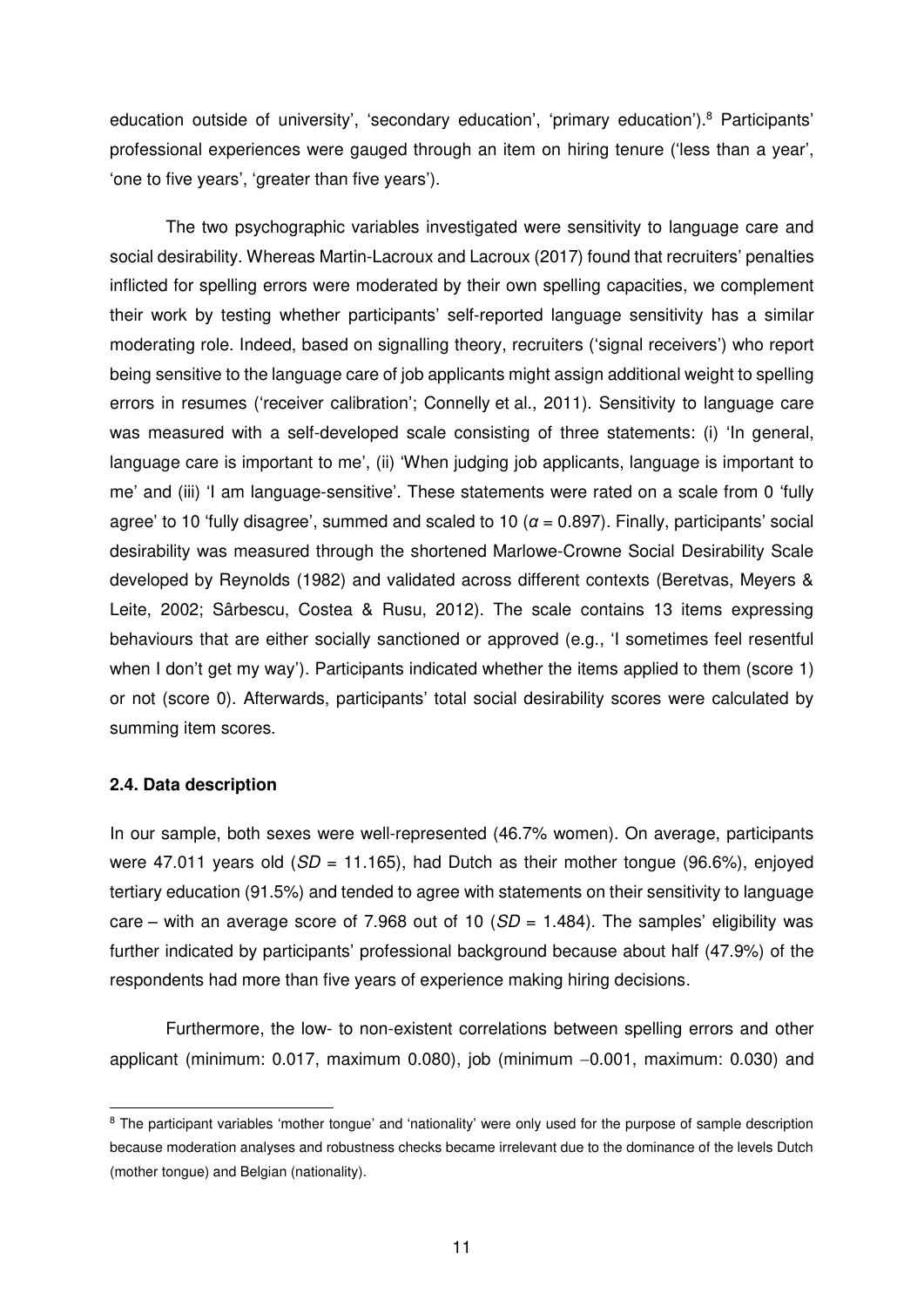education outside of university', 'secondary education', 'primary education').<sup>8</sup> Participants' professional experiences were gauged through an item on hiring tenure ('less than a year', 'one to five years', 'greater than five years').

The two psychographic variables investigated were sensitivity to language care and social desirability. Whereas Martin-Lacroux and Lacroux (2017) found that recruiters' penalties inflicted for spelling errors were moderated by their own spelling capacities, we complement their work by testing whether participants' self-reported language sensitivity has a similar moderating role. Indeed, based on signalling theory, recruiters ('signal receivers') who report being sensitive to the language care of job applicants might assign additional weight to spelling errors in resumes ('receiver calibration'; Connelly et al., 2011). Sensitivity to language care was measured with a self-developed scale consisting of three statements: (i) 'In general, language care is important to me', (ii) 'When judging job applicants, language is important to me' and (iii) 'I am language-sensitive'. These statements were rated on a scale from 0 'fully agree' to 10 'fully disagree', summed and scaled to 10 ( $\alpha$  = 0.897). Finally, participants' social desirability was measured through the shortened Marlowe-Crowne Social Desirability Scale developed by Reynolds (1982) and validated across different contexts (Beretvas, Meyers & Leite, 2002; Sârbescu, Costea & Rusu, 2012). The scale contains 13 items expressing behaviours that are either socially sanctioned or approved (e.g., 'I sometimes feel resentful when I don't get my way'). Participants indicated whether the items applied to them (score 1) or not (score 0). Afterwards, participants' total social desirability scores were calculated by summing item scores.

#### **2.4. Data description**

In our sample, both sexes were well-represented (46.7% women). On average, participants were 47.011 years old (*SD* = 11.165), had Dutch as their mother tongue (96.6%), enjoyed tertiary education (91.5%) and tended to agree with statements on their sensitivity to language care – with an average score of 7.968 out of 10 ( $SD = 1.484$ ). The samples' eligibility was further indicated by participants' professional background because about half (47.9%) of the respondents had more than five years of experience making hiring decisions.

Furthermore, the low- to non-existent correlations between spelling errors and other applicant (minimum:  $0.017$ , maximum  $0.080$ ), job (minimum  $-0.001$ , maximum:  $0.030$ ) and

<sup>-</sup><sup>8</sup> The participant variables 'mother tongue' and 'nationality' were only used for the purpose of sample description because moderation analyses and robustness checks became irrelevant due to the dominance of the levels Dutch (mother tongue) and Belgian (nationality).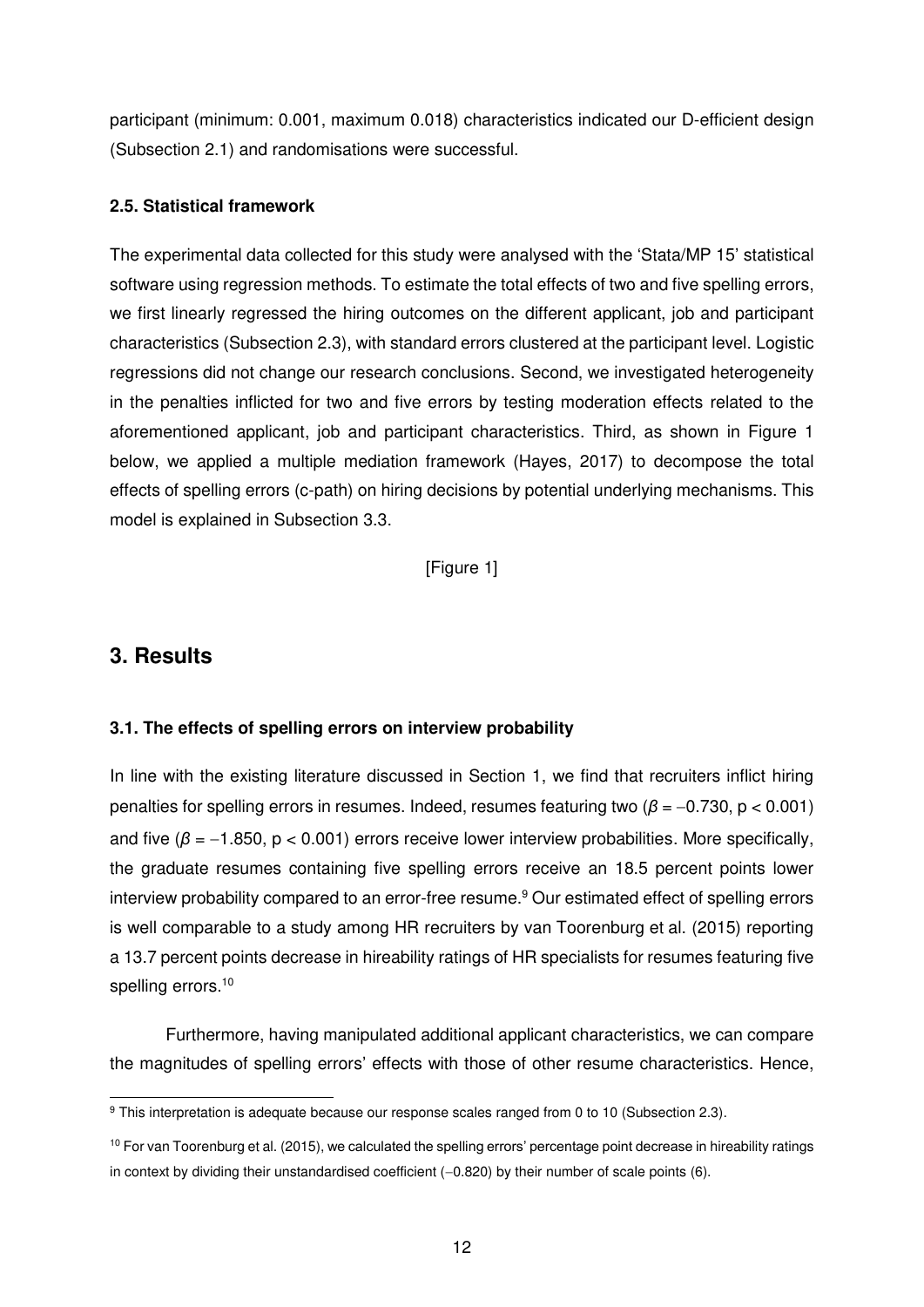participant (minimum: 0.001, maximum 0.018) characteristics indicated our D-efficient design (Subsection 2.1) and randomisations were successful.

#### **2.5. Statistical framework**

The experimental data collected for this study were analysed with the 'Stata/MP 15' statistical software using regression methods. To estimate the total effects of two and five spelling errors, we first linearly regressed the hiring outcomes on the different applicant, job and participant characteristics (Subsection 2.3), with standard errors clustered at the participant level. Logistic regressions did not change our research conclusions. Second, we investigated heterogeneity in the penalties inflicted for two and five errors by testing moderation effects related to the aforementioned applicant, job and participant characteristics. Third, as shown in Figure 1 below, we applied a multiple mediation framework (Hayes, 2017) to decompose the total effects of spelling errors (c-path) on hiring decisions by potential underlying mechanisms. This model is explained in Subsection 3.3.

[Figure 1]

# **3. Results**

### **3.1. The effects of spelling errors on interview probability**

In line with the existing literature discussed in Section 1, we find that recruiters inflict hiring penalties for spelling errors in resumes. Indeed, resumes featuring two  $(\beta = -0.730, p < 0.001)$ and five ( $\beta$  = -1.850, p < 0.001) errors receive lower interview probabilities. More specifically, the graduate resumes containing five spelling errors receive an 18.5 percent points lower interview probability compared to an error-free resume.<sup>9</sup> Our estimated effect of spelling errors is well comparable to a study among HR recruiters by van Toorenburg et al. (2015) reporting a 13.7 percent points decrease in hireability ratings of HR specialists for resumes featuring five spelling errors.<sup>10</sup>

Furthermore, having manipulated additional applicant characteristics, we can compare the magnitudes of spelling errors' effects with those of other resume characteristics. Hence,

 9 This interpretation is adequate because our response scales ranged from 0 to 10 (Subsection 2.3).

 $10$  For van Toorenburg et al. (2015), we calculated the spelling errors' percentage point decrease in hireability ratings in context by dividing their unstandardised coefficient  $(-0.820)$  by their number of scale points  $(6)$ .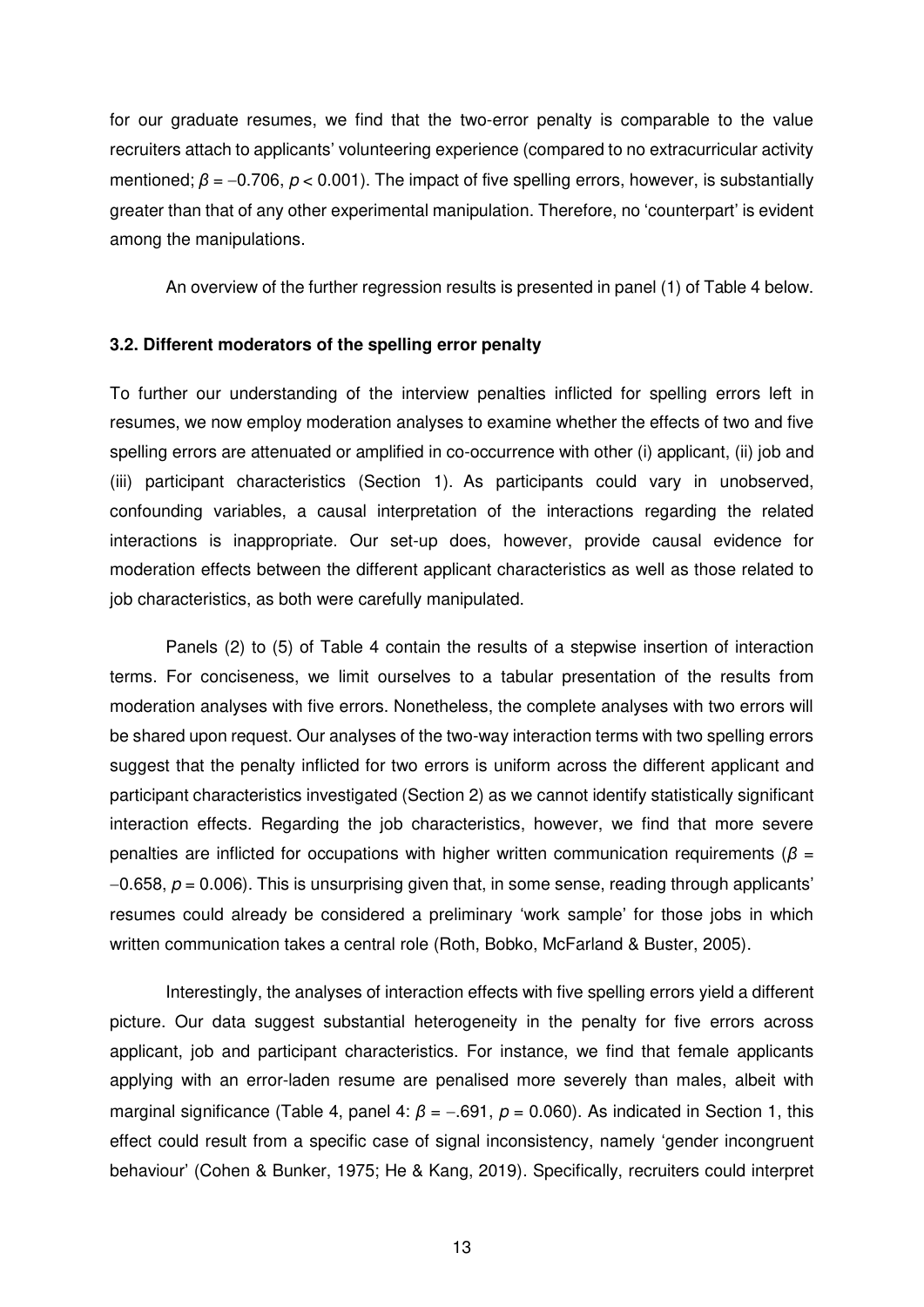for our graduate resumes, we find that the two-error penalty is comparable to the value recruiters attach to applicants' volunteering experience (compared to no extracurricular activity mentioned;  $\beta = -0.706$ ,  $p < 0.001$ ). The impact of five spelling errors, however, is substantially greater than that of any other experimental manipulation. Therefore, no 'counterpart' is evident among the manipulations.

An overview of the further regression results is presented in panel (1) of Table 4 below.

#### **3.2. Different moderators of the spelling error penalty**

To further our understanding of the interview penalties inflicted for spelling errors left in resumes, we now employ moderation analyses to examine whether the effects of two and five spelling errors are attenuated or amplified in co-occurrence with other (i) applicant, (ii) job and (iii) participant characteristics (Section 1). As participants could vary in unobserved, confounding variables, a causal interpretation of the interactions regarding the related interactions is inappropriate. Our set-up does, however, provide causal evidence for moderation effects between the different applicant characteristics as well as those related to job characteristics, as both were carefully manipulated.

Panels (2) to (5) of Table 4 contain the results of a stepwise insertion of interaction terms. For conciseness, we limit ourselves to a tabular presentation of the results from moderation analyses with five errors. Nonetheless, the complete analyses with two errors will be shared upon request. Our analyses of the two-way interaction terms with two spelling errors suggest that the penalty inflicted for two errors is uniform across the different applicant and participant characteristics investigated (Section 2) as we cannot identify statistically significant interaction effects. Regarding the job characteristics, however, we find that more severe penalties are inflicted for occupations with higher written communication requirements (*β* =  $-0.658$ ,  $p = 0.006$ ). This is unsurprising given that, in some sense, reading through applicants' resumes could already be considered a preliminary 'work sample' for those jobs in which written communication takes a central role (Roth, Bobko, McFarland & Buster, 2005).

Interestingly, the analyses of interaction effects with five spelling errors yield a different picture. Our data suggest substantial heterogeneity in the penalty for five errors across applicant, job and participant characteristics. For instance, we find that female applicants applying with an error-laden resume are penalised more severely than males, albeit with marginal significance (Table 4, panel 4:  $\beta$  = -.691,  $p$  = 0.060). As indicated in Section 1, this effect could result from a specific case of signal inconsistency, namely 'gender incongruent behaviour' (Cohen & Bunker, 1975; He & Kang, 2019). Specifically, recruiters could interpret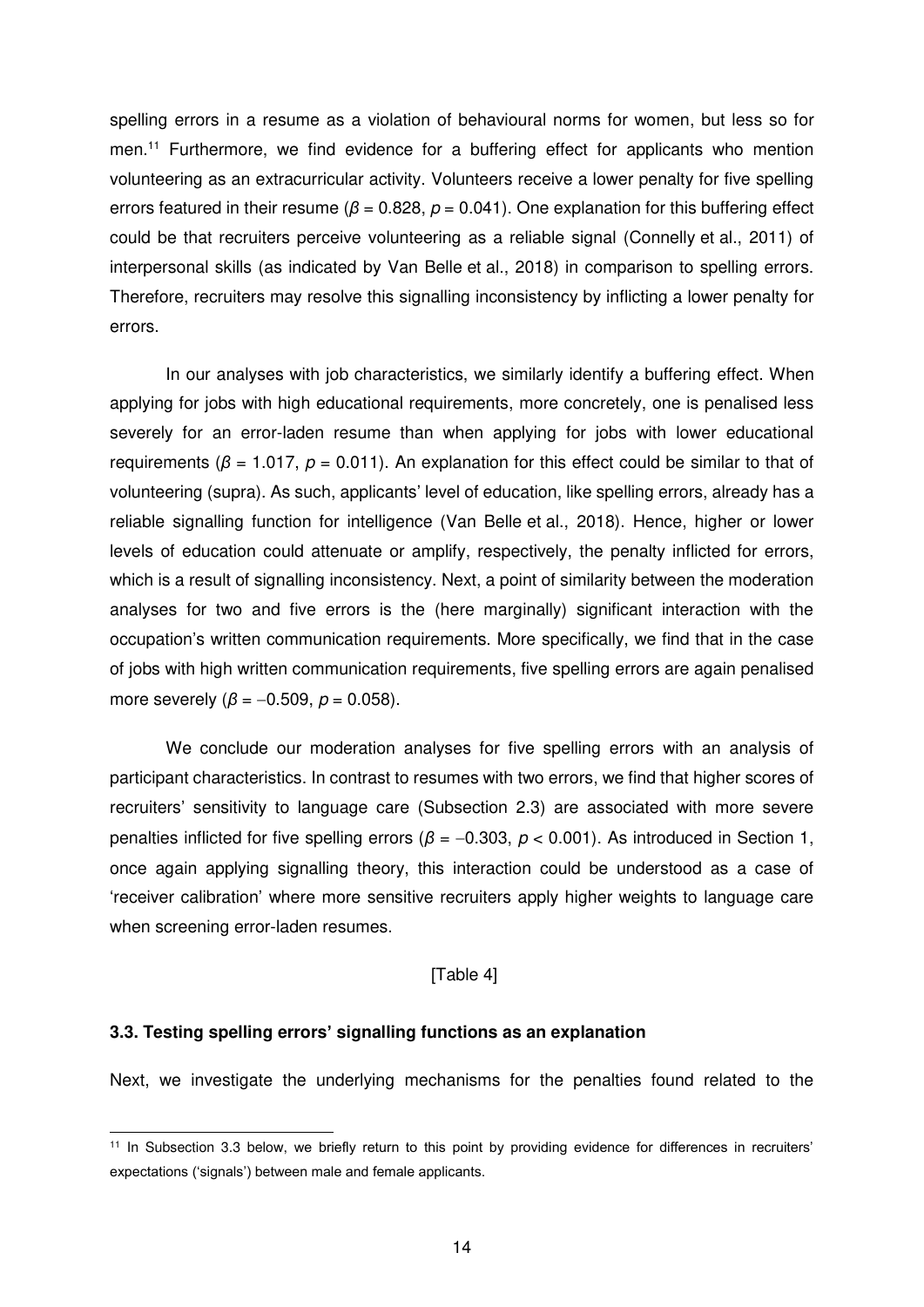spelling errors in a resume as a violation of behavioural norms for women, but less so for men.<sup>11</sup> Furthermore, we find evidence for a buffering effect for applicants who mention volunteering as an extracurricular activity. Volunteers receive a lower penalty for five spelling errors featured in their resume ( $\beta$  = 0.828,  $p$  = 0.041). One explanation for this buffering effect could be that recruiters perceive volunteering as a reliable signal (Connelly et al., 2011) of interpersonal skills (as indicated by Van Belle et al., 2018) in comparison to spelling errors. Therefore, recruiters may resolve this signalling inconsistency by inflicting a lower penalty for errors.

In our analyses with job characteristics, we similarly identify a buffering effect. When applying for jobs with high educational requirements, more concretely, one is penalised less severely for an error-laden resume than when applying for jobs with lower educational requirements ( $\beta$  = 1.017,  $\rho$  = 0.011). An explanation for this effect could be similar to that of volunteering (supra). As such, applicants' level of education, like spelling errors, already has a reliable signalling function for intelligence (Van Belle et al., 2018). Hence, higher or lower levels of education could attenuate or amplify, respectively, the penalty inflicted for errors, which is a result of signalling inconsistency. Next, a point of similarity between the moderation analyses for two and five errors is the (here marginally) significant interaction with the occupation's written communication requirements. More specifically, we find that in the case of jobs with high written communication requirements, five spelling errors are again penalised more severely ( $β = -0.509$ ,  $p = 0.058$ ).

We conclude our moderation analyses for five spelling errors with an analysis of participant characteristics. In contrast to resumes with two errors, we find that higher scores of recruiters' sensitivity to language care (Subsection 2.3) are associated with more severe penalties inflicted for five spelling errors ( $β = -0.303$ ,  $p < 0.001$ ). As introduced in Section 1, once again applying signalling theory, this interaction could be understood as a case of 'receiver calibration' where more sensitive recruiters apply higher weights to language care when screening error-laden resumes.

#### [Table 4]

#### **3.3. Testing spelling errors' signalling functions as an explanation**

-

Next, we investigate the underlying mechanisms for the penalties found related to the

<sup>&</sup>lt;sup>11</sup> In Subsection 3.3 below, we briefly return to this point by providing evidence for differences in recruiters' expectations ('signals') between male and female applicants.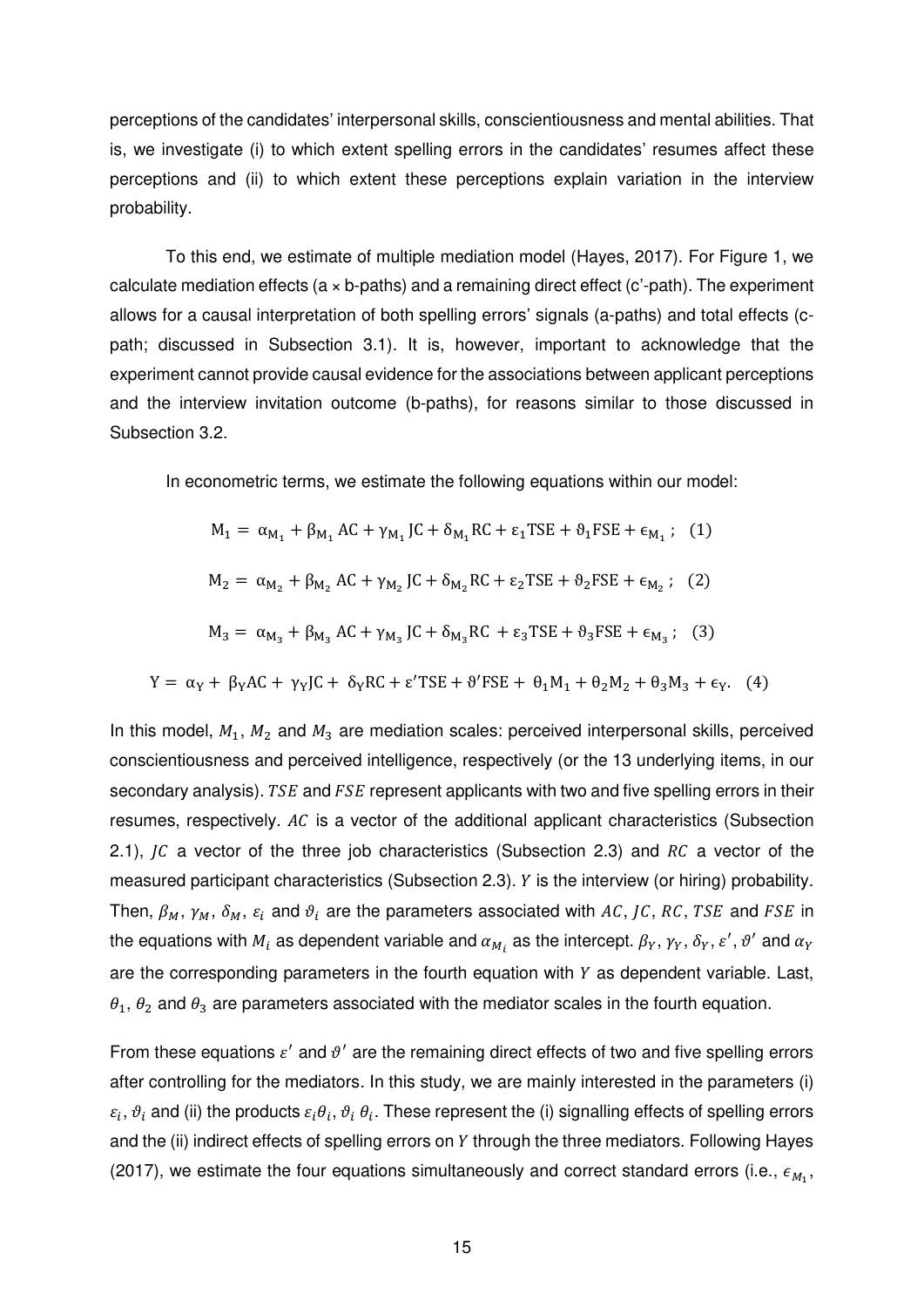perceptions of the candidates' interpersonal skills, conscientiousness and mental abilities. That is, we investigate (i) to which extent spelling errors in the candidates' resumes affect these perceptions and (ii) to which extent these perceptions explain variation in the interview probability.

To this end, we estimate of multiple mediation model (Hayes, 2017). For Figure 1, we calculate mediation effects ( $a \times b$ -paths) and a remaining direct effect ( $c'$ -path). The experiment allows for a causal interpretation of both spelling errors' signals (a-paths) and total effects (cpath; discussed in Subsection 3.1). It is, however, important to acknowledge that the experiment cannot provide causal evidence for the associations between applicant perceptions and the interview invitation outcome (b-paths), for reasons similar to those discussed in Subsection 3.2.

In econometric terms, we estimate the following equations within our model:

$$
M_1 = \alpha_{M_1} + \beta_{M_1} AC + \gamma_{M_1} JC + \delta_{M_1} RC + \varepsilon_1 TSE + \theta_1 FSE + \varepsilon_{M_1};
$$
 (1)  
\n
$$
M_2 = \alpha_{M_2} + \beta_{M_2} AC + \gamma_{M_2} JC + \delta_{M_2} RC + \varepsilon_2 TSE + \theta_2 FSE + \varepsilon_{M_2};
$$
 (2)  
\n
$$
M_3 = \alpha_{M_3} + \beta_{M_3} AC + \gamma_{M_3} JC + \delta_{M_3} RC + \varepsilon_3 TSE + \theta_3 FSE + \varepsilon_{M_3};
$$
 (3)  
\n
$$
Y = \alpha_Y + \beta_Y AC + \gamma_Y JC + \delta_Y RC + \varepsilon' TSE + \theta' FSE + \theta_1 M_1 + \theta_2 M_2 + \theta_3 M_3 + \varepsilon_Y.
$$
 (4)

In this model,  $M_1$ ,  $M_2$  and  $M_3$  are mediation scales: perceived interpersonal skills, perceived conscientiousness and perceived intelligence, respectively (or the 13 underlying items, in our secondary analysis). TSE and FSE represent applicants with two and five spelling errors in their resumes, respectively.  $AC$  is a vector of the additional applicant characteristics (Subsection 2.1),  $\overline{JC}$  a vector of the three job characteristics (Subsection 2.3) and  $\overline{RC}$  a vector of the measured participant characteristics (Subsection 2.3).  $Y$  is the interview (or hiring) probability. Then,  $\beta_M, \gamma_M, \delta_M, \varepsilon_i$  and  $\vartheta_i$  are the parameters associated with AC, JC, RC, TSE and FSE in the equations with  $M_i$  as dependent variable and  $\alpha_{M_i}$  as the intercept.  $\beta_Y,\,\gamma_Y,\,\delta_Y,\,\varepsilon',\vartheta'$  and  $\alpha_Y$ are the corresponding parameters in the fourth equation with  $Y$  as dependent variable. Last,  $\theta_1$ ,  $\theta_2$  and  $\theta_3$  are parameters associated with the mediator scales in the fourth equation.

From these equations  $\varepsilon'$  and  $\vartheta'$  are the remaining direct effects of two and five spelling errors after controlling for the mediators. In this study, we are mainly interested in the parameters (i)  $\varepsilon_i$ ,  $\vartheta_i$  and (ii) the products  $\varepsilon_i\theta_i$ ,  $\vartheta_i$ , These represent the (i) signalling effects of spelling errors and the (ii) indirect effects of spelling errors on Y through the three mediators. Following Hayes (2017), we estimate the four equations simultaneously and correct standard errors (i.e.,  $\epsilon_{M_1}$ ,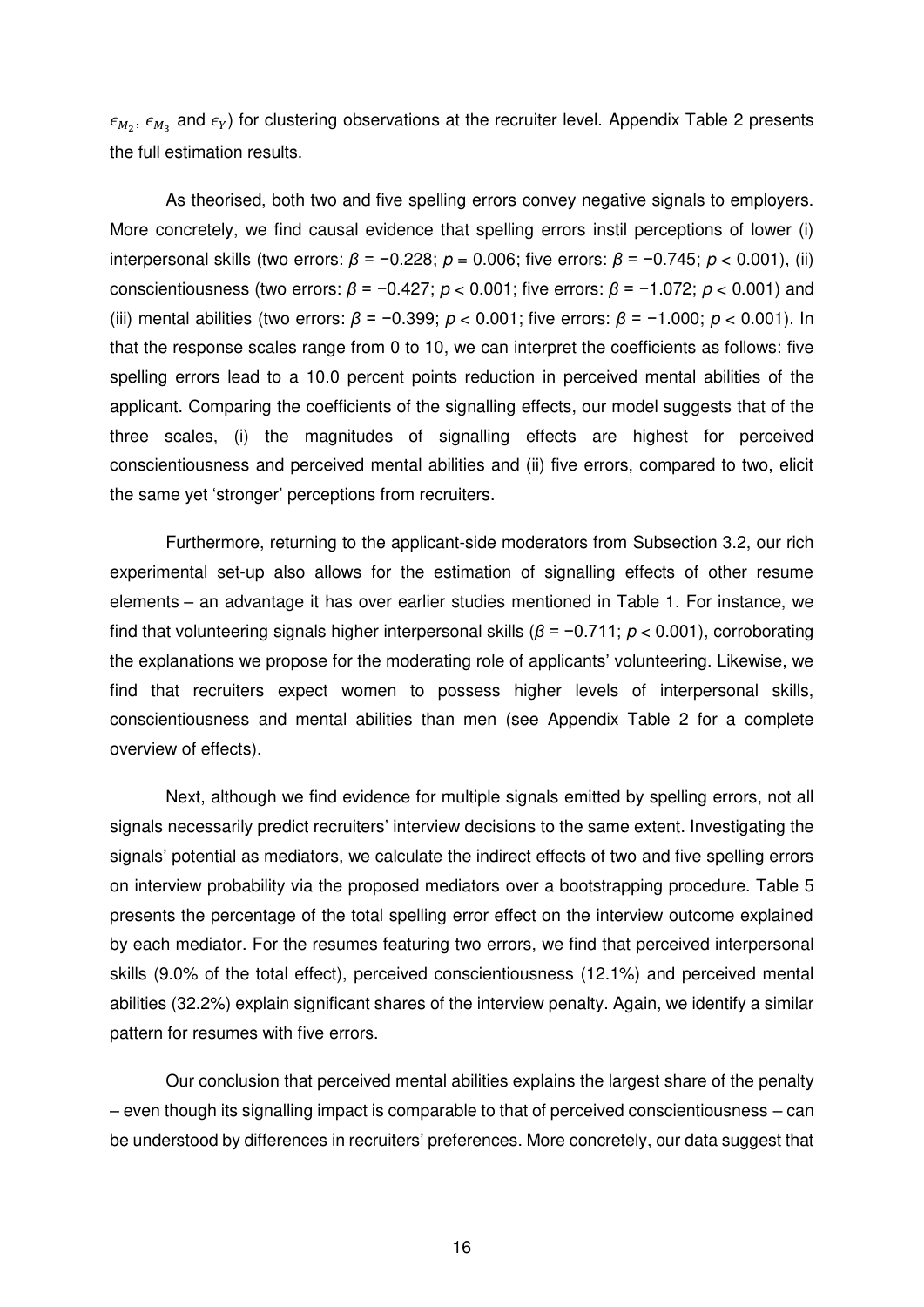$\epsilon_{M_2}$ ,  $\epsilon_{M_3}$  and  $\epsilon_{Y}$ ) for clustering observations at the recruiter level. Appendix Table 2 presents the full estimation results.

As theorised, both two and five spelling errors convey negative signals to employers. More concretely, we find causal evidence that spelling errors instil perceptions of lower (i) interpersonal skills (two errors: *β* = −0.228; *p* = 0.006; five errors: *β* = −0.745; *p* < 0.001), (ii) conscientiousness (two errors: *β* = −0.427; *p* < 0.001; five errors: *β* = −1.072; *p* < 0.001) and (iii) mental abilities (two errors: *β* = −0.399; *p* < 0.001; five errors: *β* = −1.000; *p* < 0.001). In that the response scales range from 0 to 10, we can interpret the coefficients as follows: five spelling errors lead to a 10.0 percent points reduction in perceived mental abilities of the applicant. Comparing the coefficients of the signalling effects, our model suggests that of the three scales, (i) the magnitudes of signalling effects are highest for perceived conscientiousness and perceived mental abilities and (ii) five errors, compared to two, elicit the same yet 'stronger' perceptions from recruiters.

Furthermore, returning to the applicant-side moderators from Subsection 3.2, our rich experimental set-up also allows for the estimation of signalling effects of other resume elements – an advantage it has over earlier studies mentioned in Table 1. For instance, we find that volunteering signals higher interpersonal skills (*β* = −0.711; *p* < 0.001), corroborating the explanations we propose for the moderating role of applicants' volunteering. Likewise, we find that recruiters expect women to possess higher levels of interpersonal skills, conscientiousness and mental abilities than men (see Appendix Table 2 for a complete overview of effects).

Next, although we find evidence for multiple signals emitted by spelling errors, not all signals necessarily predict recruiters' interview decisions to the same extent. Investigating the signals' potential as mediators, we calculate the indirect effects of two and five spelling errors on interview probability via the proposed mediators over a bootstrapping procedure. Table 5 presents the percentage of the total spelling error effect on the interview outcome explained by each mediator. For the resumes featuring two errors, we find that perceived interpersonal skills (9.0% of the total effect), perceived conscientiousness (12.1%) and perceived mental abilities (32.2%) explain significant shares of the interview penalty. Again, we identify a similar pattern for resumes with five errors.

Our conclusion that perceived mental abilities explains the largest share of the penalty – even though its signalling impact is comparable to that of perceived conscientiousness – can be understood by differences in recruiters' preferences. More concretely, our data suggest that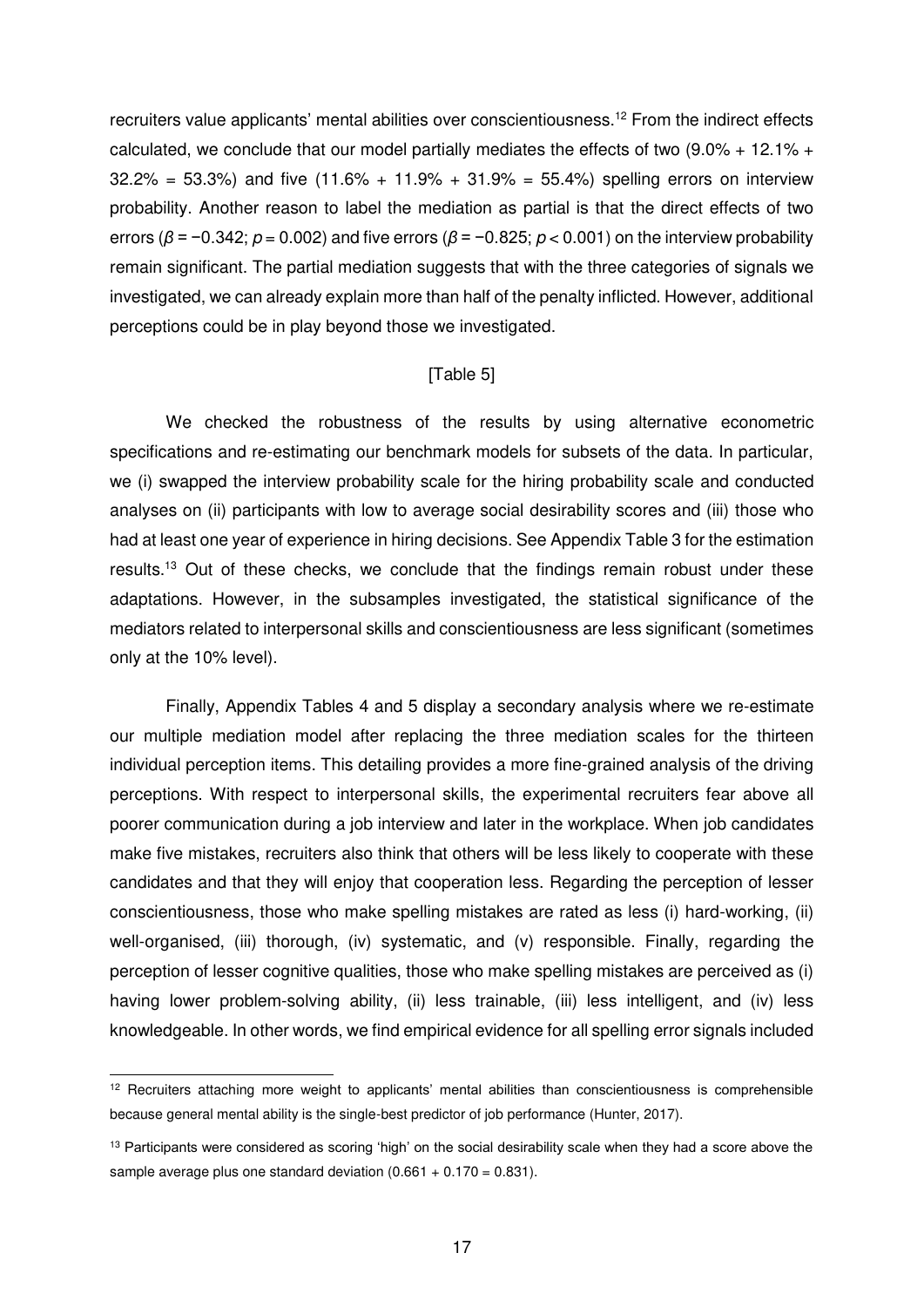recruiters value applicants' mental abilities over conscientiousness.<sup>12</sup> From the indirect effects calculated, we conclude that our model partially mediates the effects of two  $(9.0\% + 12.1\% +$  $32.2\% = 53.3\%$ ) and five  $(11.6\% + 11.9\% + 31.9\% = 55.4\%)$  spelling errors on interview probability. Another reason to label the mediation as partial is that the direct effects of two errors (*β* = −0.342; *p* = 0.002) and five errors (*β* = −0.825; *p* < 0.001) on the interview probability remain significant. The partial mediation suggests that with the three categories of signals we investigated, we can already explain more than half of the penalty inflicted. However, additional perceptions could be in play beyond those we investigated.

#### [Table 5]

We checked the robustness of the results by using alternative econometric specifications and re-estimating our benchmark models for subsets of the data. In particular, we (i) swapped the interview probability scale for the hiring probability scale and conducted analyses on (ii) participants with low to average social desirability scores and (iii) those who had at least one year of experience in hiring decisions. See Appendix Table 3 for the estimation results.<sup>13</sup> Out of these checks, we conclude that the findings remain robust under these adaptations. However, in the subsamples investigated, the statistical significance of the mediators related to interpersonal skills and conscientiousness are less significant (sometimes only at the 10% level).

Finally, Appendix Tables 4 and 5 display a secondary analysis where we re-estimate our multiple mediation model after replacing the three mediation scales for the thirteen individual perception items. This detailing provides a more fine-grained analysis of the driving perceptions. With respect to interpersonal skills, the experimental recruiters fear above all poorer communication during a job interview and later in the workplace. When job candidates make five mistakes, recruiters also think that others will be less likely to cooperate with these candidates and that they will enjoy that cooperation less. Regarding the perception of lesser conscientiousness, those who make spelling mistakes are rated as less (i) hard-working, (ii) well-organised, (iii) thorough, (iv) systematic, and (v) responsible. Finally, regarding the perception of lesser cognitive qualities, those who make spelling mistakes are perceived as (i) having lower problem-solving ability, (ii) less trainable, (iii) less intelligent, and (iv) less knowledgeable. In other words, we find empirical evidence for all spelling error signals included

-

<sup>&</sup>lt;sup>12</sup> Recruiters attaching more weight to applicants' mental abilities than conscientiousness is comprehensible because general mental ability is the single-best predictor of job performance (Hunter, 2017).

 $13$  Participants were considered as scoring 'high' on the social desirability scale when they had a score above the sample average plus one standard deviation  $(0.661 + 0.170 = 0.831)$ .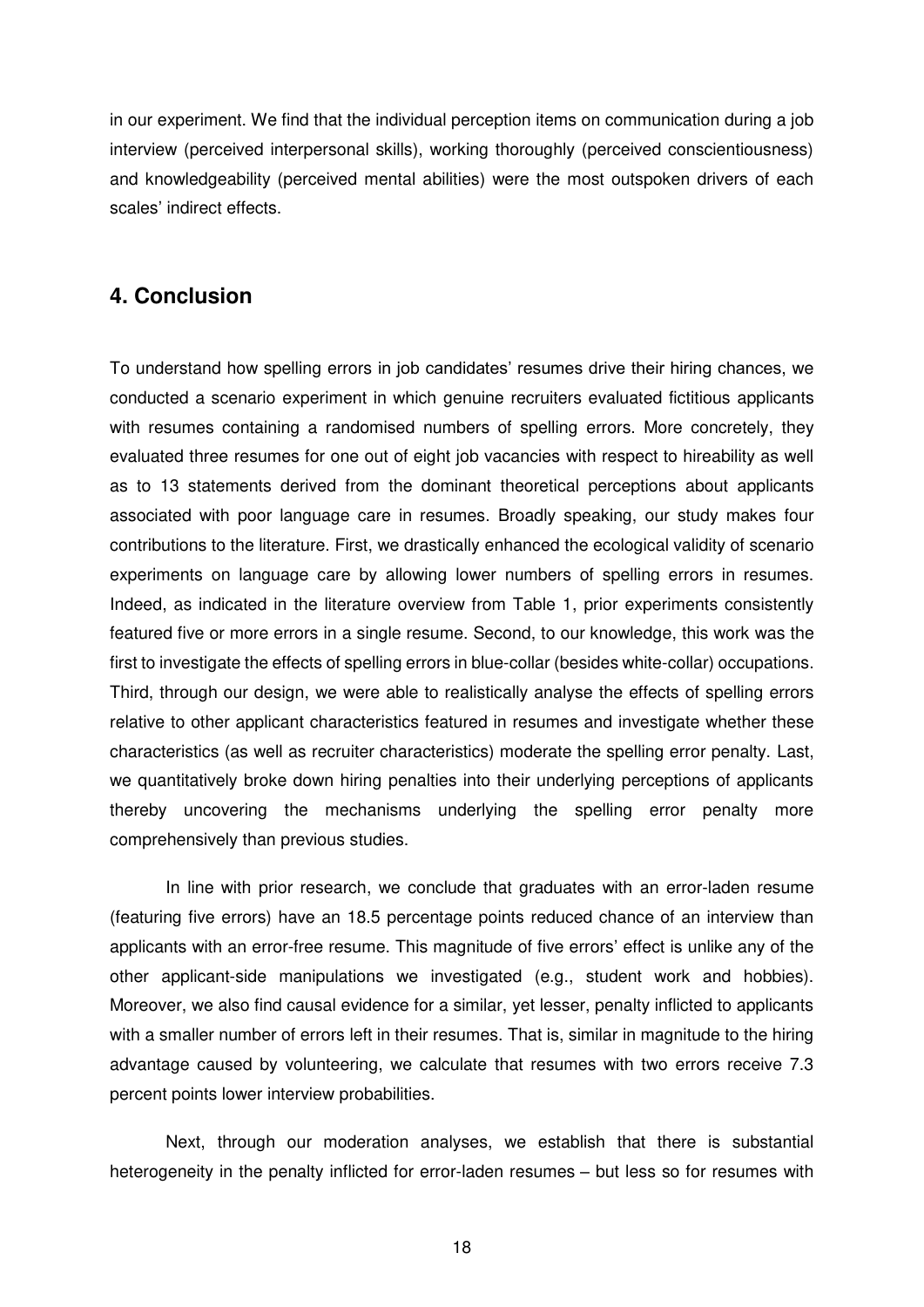in our experiment. We find that the individual perception items on communication during a job interview (perceived interpersonal skills), working thoroughly (perceived conscientiousness) and knowledgeability (perceived mental abilities) were the most outspoken drivers of each scales' indirect effects.

### **4. Conclusion**

To understand how spelling errors in job candidates' resumes drive their hiring chances, we conducted a scenario experiment in which genuine recruiters evaluated fictitious applicants with resumes containing a randomised numbers of spelling errors. More concretely, they evaluated three resumes for one out of eight job vacancies with respect to hireability as well as to 13 statements derived from the dominant theoretical perceptions about applicants associated with poor language care in resumes. Broadly speaking, our study makes four contributions to the literature. First, we drastically enhanced the ecological validity of scenario experiments on language care by allowing lower numbers of spelling errors in resumes. Indeed, as indicated in the literature overview from Table 1, prior experiments consistently featured five or more errors in a single resume. Second, to our knowledge, this work was the first to investigate the effects of spelling errors in blue-collar (besides white-collar) occupations. Third, through our design, we were able to realistically analyse the effects of spelling errors relative to other applicant characteristics featured in resumes and investigate whether these characteristics (as well as recruiter characteristics) moderate the spelling error penalty. Last, we quantitatively broke down hiring penalties into their underlying perceptions of applicants thereby uncovering the mechanisms underlying the spelling error penalty more comprehensively than previous studies.

In line with prior research, we conclude that graduates with an error-laden resume (featuring five errors) have an 18.5 percentage points reduced chance of an interview than applicants with an error-free resume. This magnitude of five errors' effect is unlike any of the other applicant-side manipulations we investigated (e.g., student work and hobbies). Moreover, we also find causal evidence for a similar, yet lesser, penalty inflicted to applicants with a smaller number of errors left in their resumes. That is, similar in magnitude to the hiring advantage caused by volunteering, we calculate that resumes with two errors receive 7.3 percent points lower interview probabilities.

Next, through our moderation analyses, we establish that there is substantial heterogeneity in the penalty inflicted for error-laden resumes – but less so for resumes with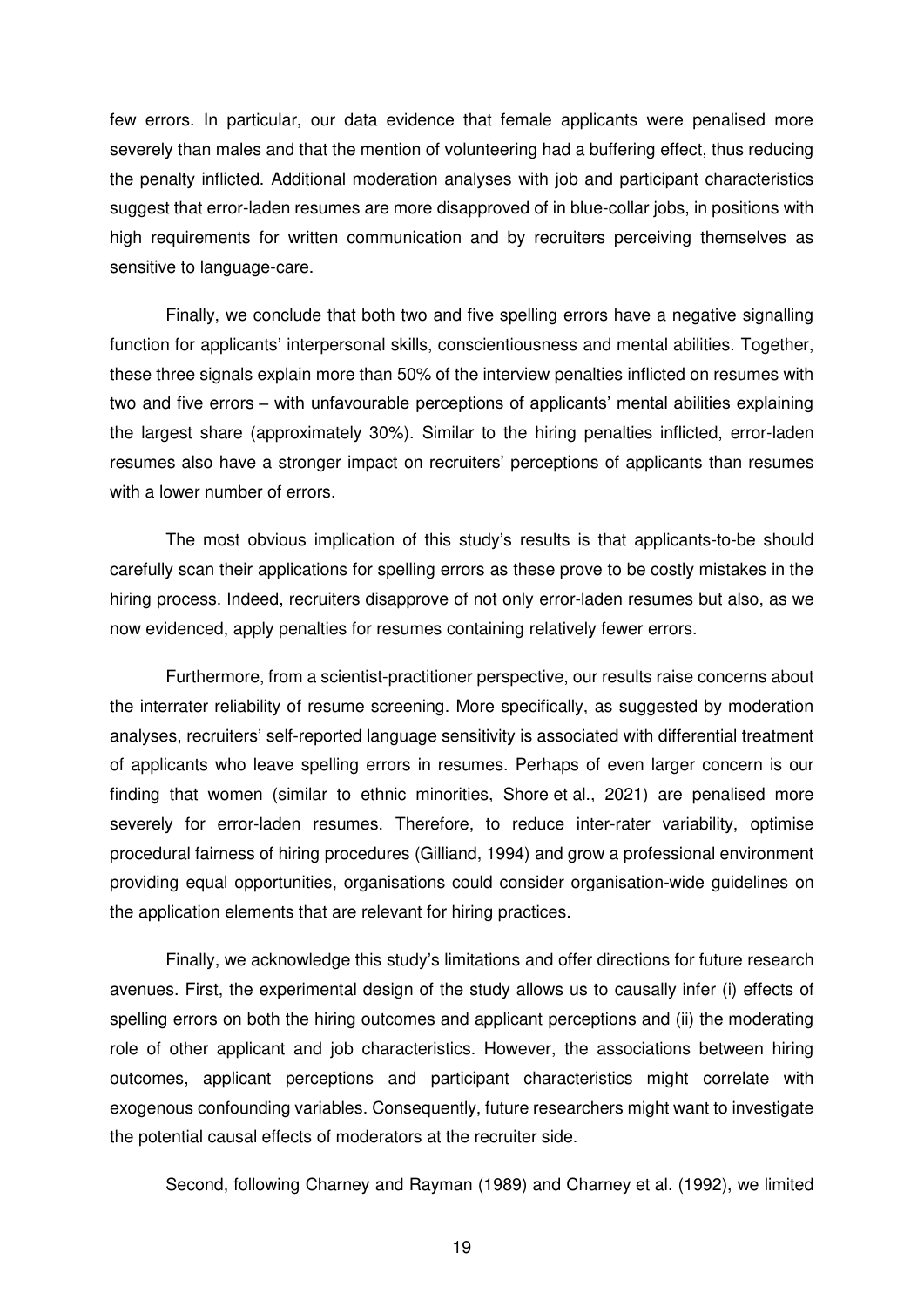few errors. In particular, our data evidence that female applicants were penalised more severely than males and that the mention of volunteering had a buffering effect, thus reducing the penalty inflicted. Additional moderation analyses with job and participant characteristics suggest that error-laden resumes are more disapproved of in blue-collar jobs, in positions with high requirements for written communication and by recruiters perceiving themselves as sensitive to language-care.

Finally, we conclude that both two and five spelling errors have a negative signalling function for applicants' interpersonal skills, conscientiousness and mental abilities. Together, these three signals explain more than 50% of the interview penalties inflicted on resumes with two and five errors – with unfavourable perceptions of applicants' mental abilities explaining the largest share (approximately 30%). Similar to the hiring penalties inflicted, error-laden resumes also have a stronger impact on recruiters' perceptions of applicants than resumes with a lower number of errors.

The most obvious implication of this study's results is that applicants-to-be should carefully scan their applications for spelling errors as these prove to be costly mistakes in the hiring process. Indeed, recruiters disapprove of not only error-laden resumes but also, as we now evidenced, apply penalties for resumes containing relatively fewer errors.

Furthermore, from a scientist-practitioner perspective, our results raise concerns about the interrater reliability of resume screening. More specifically, as suggested by moderation analyses, recruiters' self-reported language sensitivity is associated with differential treatment of applicants who leave spelling errors in resumes. Perhaps of even larger concern is our finding that women (similar to ethnic minorities, Shore et al., 2021) are penalised more severely for error-laden resumes. Therefore, to reduce inter-rater variability, optimise procedural fairness of hiring procedures (Gilliand, 1994) and grow a professional environment providing equal opportunities, organisations could consider organisation-wide guidelines on the application elements that are relevant for hiring practices.

Finally, we acknowledge this study's limitations and offer directions for future research avenues. First, the experimental design of the study allows us to causally infer (i) effects of spelling errors on both the hiring outcomes and applicant perceptions and (ii) the moderating role of other applicant and job characteristics. However, the associations between hiring outcomes, applicant perceptions and participant characteristics might correlate with exogenous confounding variables. Consequently, future researchers might want to investigate the potential causal effects of moderators at the recruiter side.

Second, following Charney and Rayman (1989) and Charney et al. (1992), we limited

19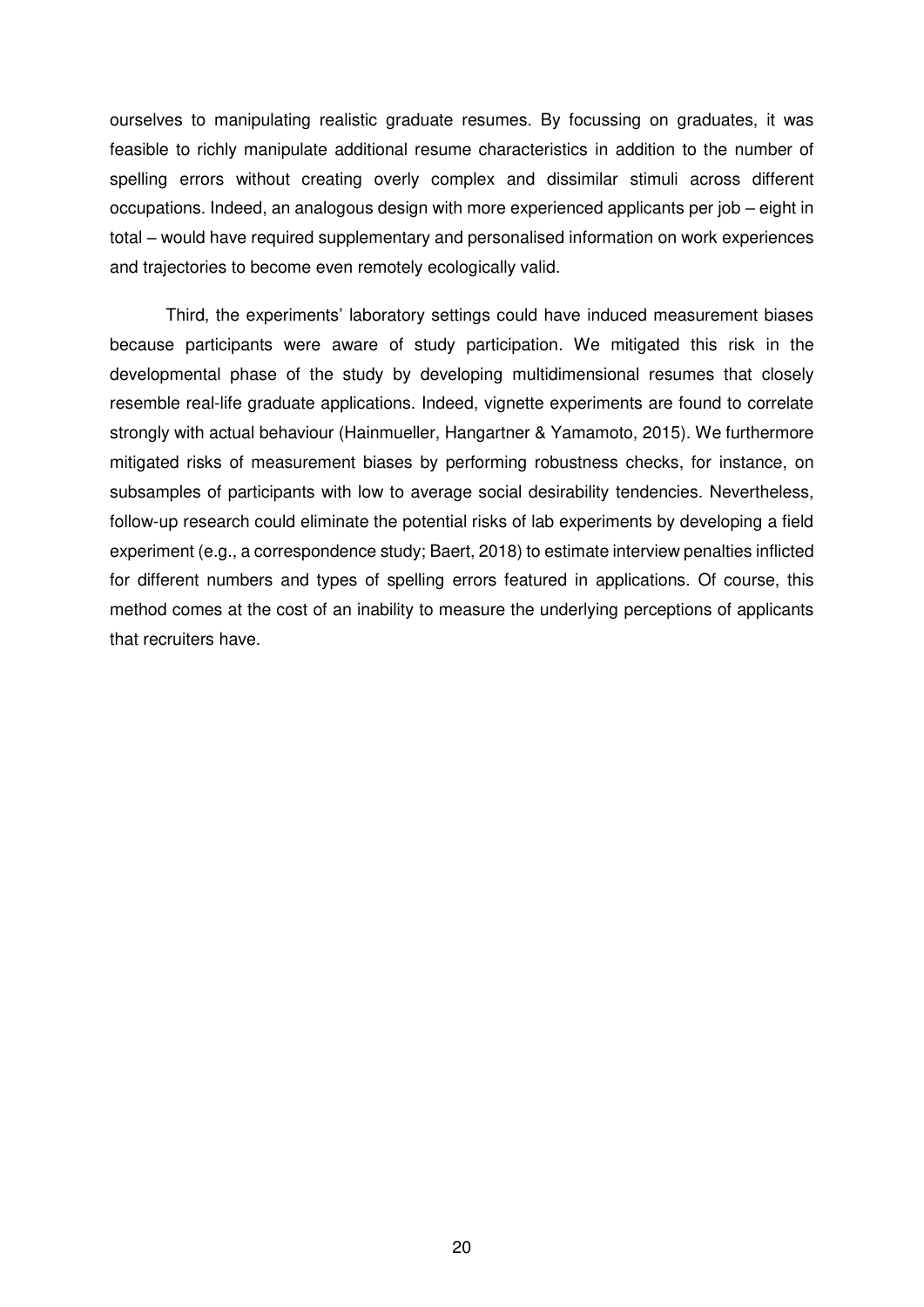ourselves to manipulating realistic graduate resumes. By focussing on graduates, it was feasible to richly manipulate additional resume characteristics in addition to the number of spelling errors without creating overly complex and dissimilar stimuli across different occupations. Indeed, an analogous design with more experienced applicants per job – eight in total – would have required supplementary and personalised information on work experiences and trajectories to become even remotely ecologically valid.

Third, the experiments' laboratory settings could have induced measurement biases because participants were aware of study participation. We mitigated this risk in the developmental phase of the study by developing multidimensional resumes that closely resemble real-life graduate applications. Indeed, vignette experiments are found to correlate strongly with actual behaviour (Hainmueller, Hangartner & Yamamoto, 2015). We furthermore mitigated risks of measurement biases by performing robustness checks, for instance, on subsamples of participants with low to average social desirability tendencies. Nevertheless, follow-up research could eliminate the potential risks of lab experiments by developing a field experiment (e.g., a correspondence study; Baert, 2018) to estimate interview penalties inflicted for different numbers and types of spelling errors featured in applications. Of course, this method comes at the cost of an inability to measure the underlying perceptions of applicants that recruiters have.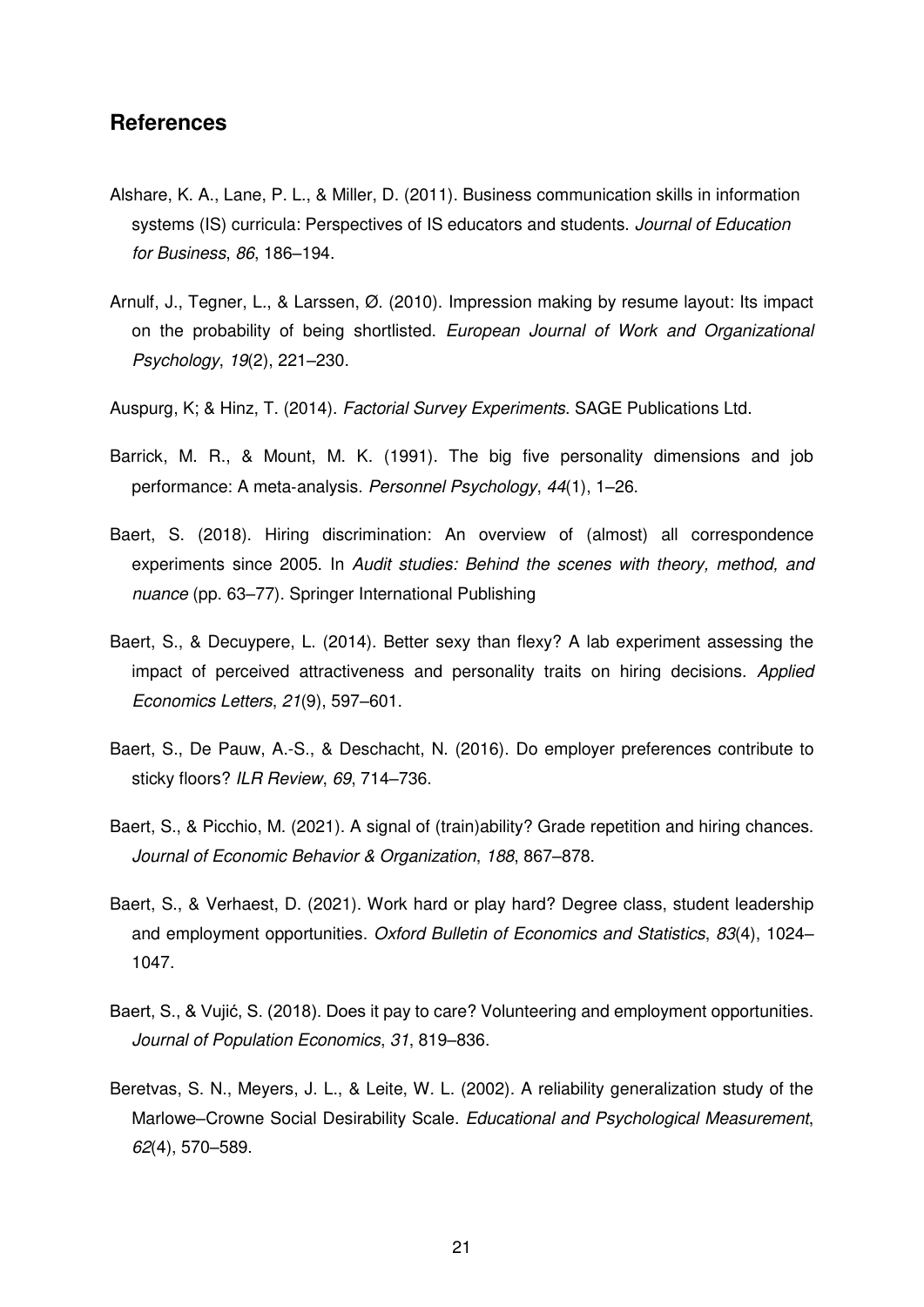### **References**

- Alshare, K. A., Lane, P. L., & Miller, D. (2011). Business communication skills in information systems (IS) curricula: Perspectives of IS educators and students. *Journal of Education for Business*, *86*, 186–194.
- Arnulf, J., Tegner, L., & Larssen, Ø. (2010). Impression making by resume layout: Its impact on the probability of being shortlisted. *European Journal of Work and Organizational Psychology*, *19*(2), 221–230.
- Auspurg, K; & Hinz, T. (2014). *Factorial Survey Experiments*. SAGE Publications Ltd.
- Barrick, M. R., & Mount, M. K. (1991). The big five personality dimensions and job performance: A meta‐analysis. *Personnel Psychology*, *44*(1), 1–26.
- Baert, S. (2018). Hiring discrimination: An overview of (almost) all correspondence experiments since 2005. In *Audit studies: Behind the scenes with theory, method, and nuance* (pp. 63–77). Springer International Publishing
- Baert, S., & Decuypere, L. (2014). Better sexy than flexy? A lab experiment assessing the impact of perceived attractiveness and personality traits on hiring decisions. *Applied Economics Letters*, *21*(9), 597–601.
- Baert, S., De Pauw, A.-S., & Deschacht, N. (2016). Do employer preferences contribute to sticky floors? *ILR Review*, *69*, 714–736.
- Baert, S., & Picchio, M. (2021). A signal of (train)ability? Grade repetition and hiring chances. *Journal of Economic Behavior & Organization*, *188*, 867–878.
- Baert, S., & Verhaest, D. (2021). Work hard or play hard? Degree class, student leadership and employment opportunities. *Oxford Bulletin of Economics and Statistics*, *83*(4), 1024– 1047.
- Baert, S., & Vujić, S. (2018). Does it pay to care? Volunteering and employment opportunities. *Journal of Population Economics*, *31*, 819–836.
- Beretvas, S. N., Meyers, J. L., & Leite, W. L. (2002). A reliability generalization study of the Marlowe–Crowne Social Desirability Scale. *Educational and Psychological Measurement*, *62*(4), 570–589.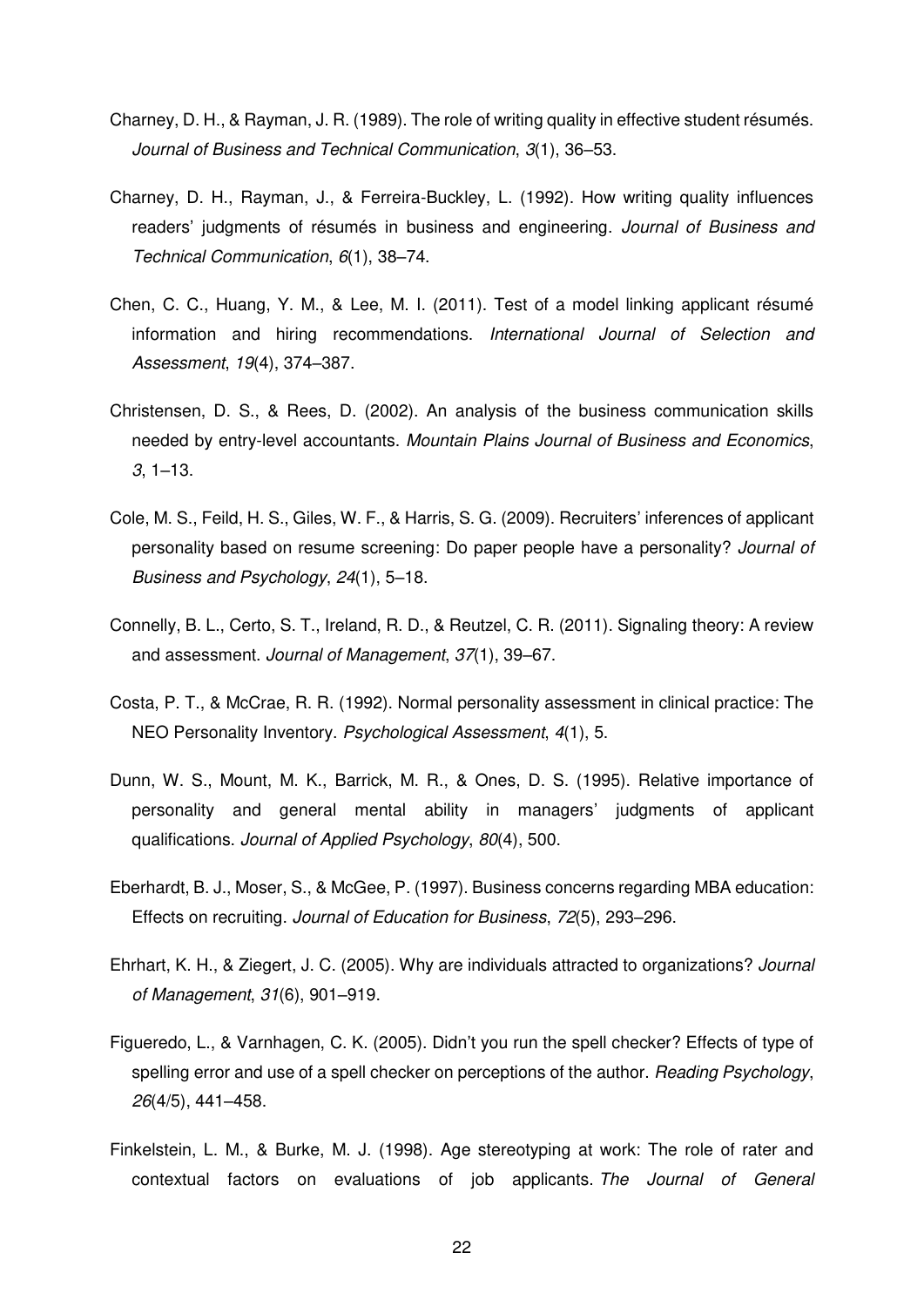- Charney, D. H., & Rayman, J. R. (1989). The role of writing quality in effective student résumés. *Journal of Business and Technical Communication*, *3*(1), 36–53.
- Charney, D. H., Rayman, J., & Ferreira-Buckley, L. (1992). How writing quality influences readers' judgments of résumés in business and engineering. *Journal of Business and Technical Communication*, *6*(1), 38–74.
- Chen, C. C., Huang, Y. M., & Lee, M. I. (2011). Test of a model linking applicant résumé information and hiring recommendations. *International Journal of Selection and Assessment*, *19*(4), 374–387.
- Christensen, D. S., & Rees, D. (2002). An analysis of the business communication skills needed by entry-level accountants. *Mountain Plains Journal of Business and Economics*, *3*, 1–13.
- Cole, M. S., Feild, H. S., Giles, W. F., & Harris, S. G. (2009). Recruiters' inferences of applicant personality based on resume screening: Do paper people have a personality? *Journal of Business and Psychology*, *24*(1), 5–18.
- Connelly, B. L., Certo, S. T., Ireland, R. D., & Reutzel, C. R. (2011). Signaling theory: A review and assessment. *Journal of Management*, *37*(1), 39–67.
- Costa, P. T., & McCrae, R. R. (1992). Normal personality assessment in clinical practice: The NEO Personality Inventory. *Psychological Assessment*, *4*(1), 5.
- Dunn, W. S., Mount, M. K., Barrick, M. R., & Ones, D. S. (1995). Relative importance of personality and general mental ability in managers' judgments of applicant qualifications. *Journal of Applied Psychology*, *80*(4), 500.
- Eberhardt, B. J., Moser, S., & McGee, P. (1997). Business concerns regarding MBA education: Effects on recruiting. *Journal of Education for Business*, *72*(5), 293–296.
- Ehrhart, K. H., & Ziegert, J. C. (2005). Why are individuals attracted to organizations? *Journal of Management*, *31*(6), 901–919.
- Figueredo, L., & Varnhagen, C. K. (2005). Didn't you run the spell checker? Effects of type of spelling error and use of a spell checker on perceptions of the author. *Reading Psychology*, *26*(4/5), 441–458.
- Finkelstein, L. M., & Burke, M. J. (1998). Age stereotyping at work: The role of rater and contextual factors on evaluations of job applicants. *The Journal of General*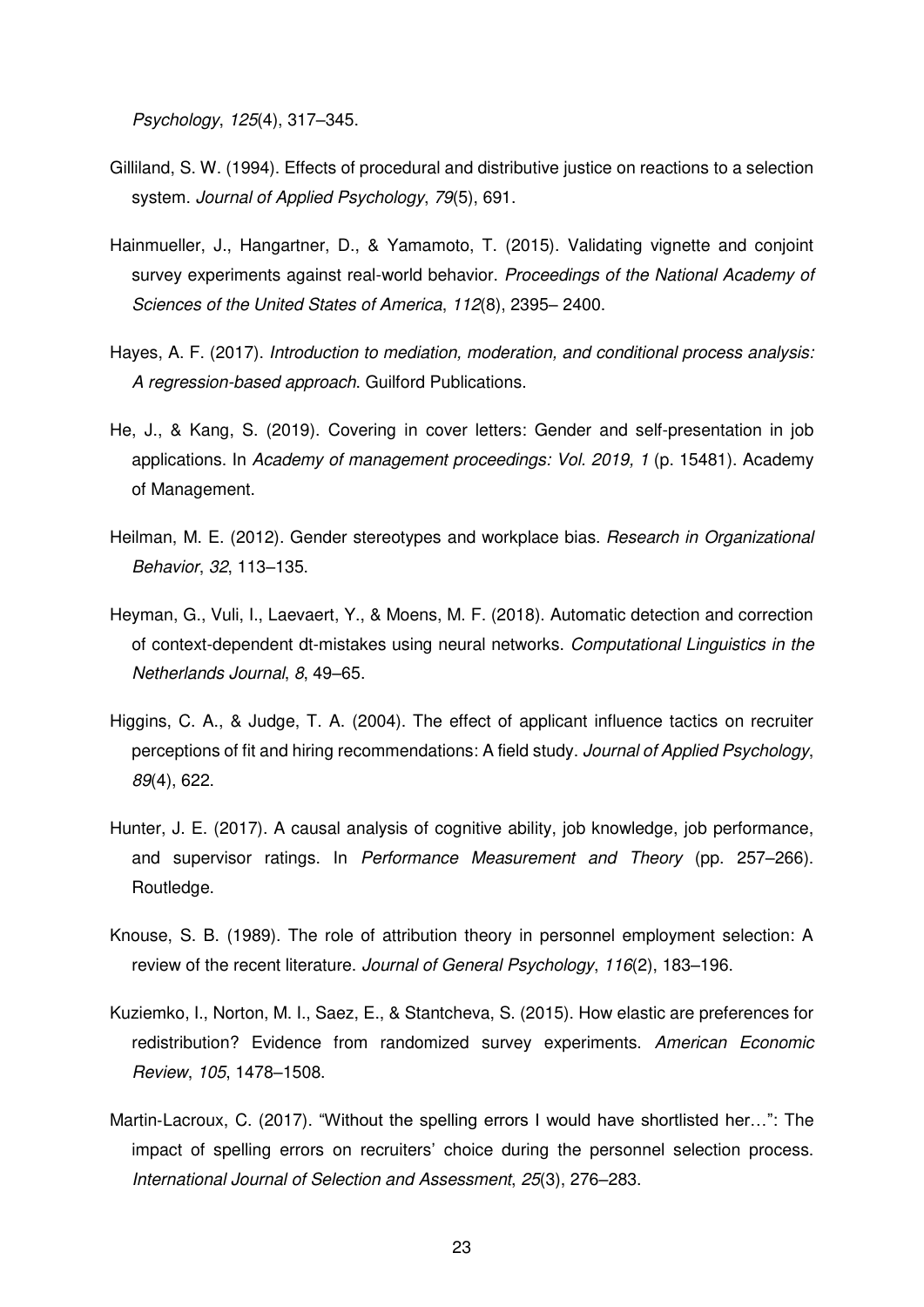*Psychology*, *125*(4), 317–345.

- Gilliland, S. W. (1994). Effects of procedural and distributive justice on reactions to a selection system. *Journal of Applied Psychology*, *79*(5), 691.
- Hainmueller, J., Hangartner, D., & Yamamoto, T. (2015). Validating vignette and conjoint survey experiments against real-world behavior. *Proceedings of the National Academy of Sciences of the United States of America*, *112*(8), 2395– 2400.
- Hayes, A. F. (2017). *Introduction to mediation, moderation, and conditional process analysis: A regression-based approach*. Guilford Publications.
- He, J., & Kang, S. (2019). Covering in cover letters: Gender and self-presentation in job applications. In *Academy of management proceedings: Vol. 2019, 1* (p. 15481). Academy of Management.
- Heilman, M. E. (2012). Gender stereotypes and workplace bias. *Research in Organizational Behavior*, *32*, 113–135.
- Heyman, G., Vuli, I., Laevaert, Y., & Moens, M. F. (2018). Automatic detection and correction of context-dependent dt-mistakes using neural networks. *Computational Linguistics in the Netherlands Journal*, *8*, 49–65.
- Higgins, C. A., & Judge, T. A. (2004). The effect of applicant influence tactics on recruiter perceptions of fit and hiring recommendations: A field study. *Journal of Applied Psychology*, *89*(4), 622.
- Hunter, J. E. (2017). A causal analysis of cognitive ability, job knowledge, job performance, and supervisor ratings. In *Performance Measurement and Theory* (pp. 257–266). Routledge.
- Knouse, S. B. (1989). The role of attribution theory in personnel employment selection: A review of the recent literature. *Journal of General Psychology*, *116*(2), 183–196.
- Kuziemko, I., Norton, M. I., Saez, E., & Stantcheva, S. (2015). How elastic are preferences for redistribution? Evidence from randomized survey experiments. *American Economic Review*, *105*, 1478–1508.
- Martin-Lacroux, C. (2017). "Without the spelling errors I would have shortlisted her...": The impact of spelling errors on recruiters' choice during the personnel selection process. *International Journal of Selection and Assessment*, *25*(3), 276–283.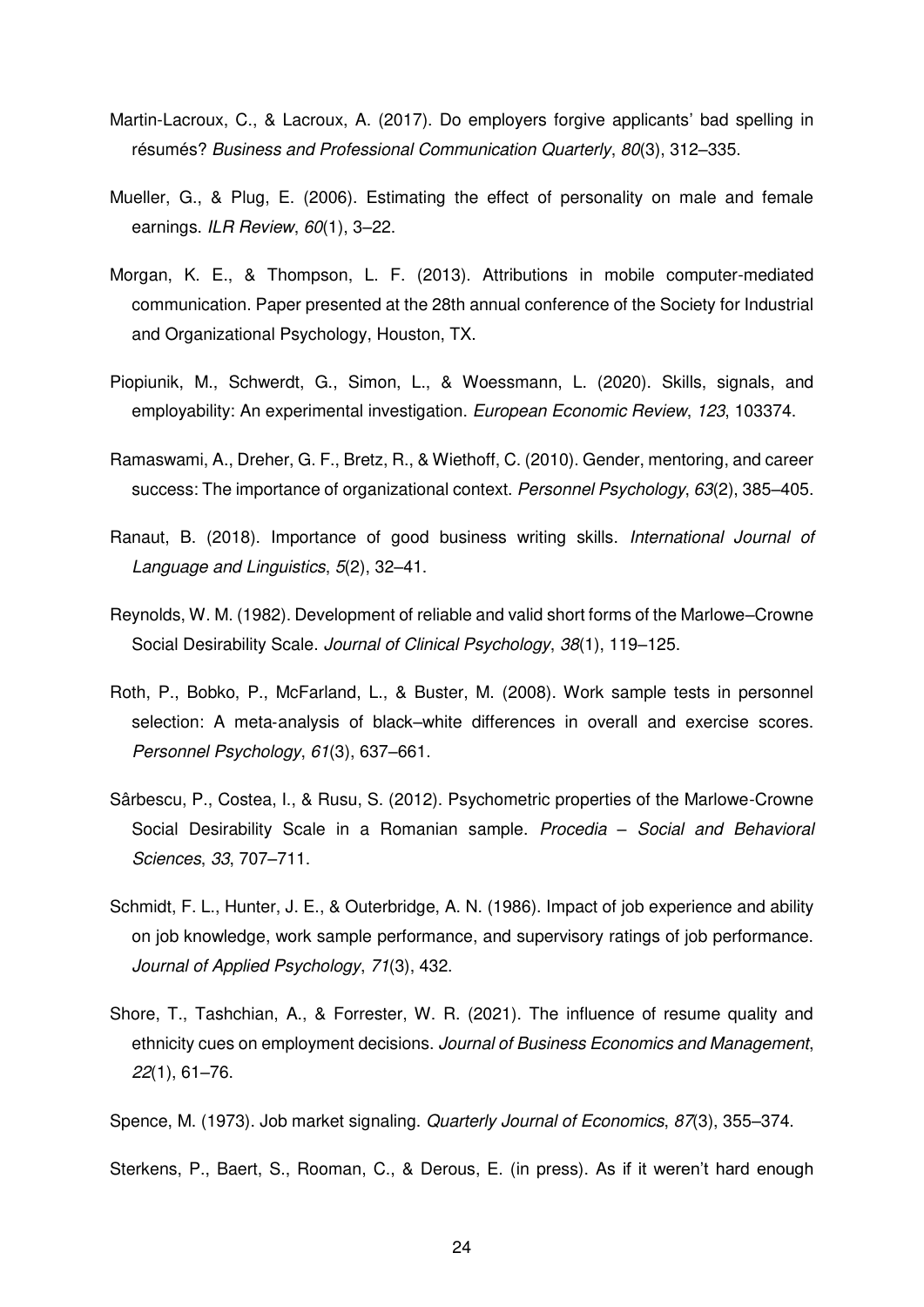- Martin-Lacroux, C., & Lacroux, A. (2017). Do employers forgive applicants' bad spelling in résumés? *Business and Professional Communication Quarterly*, *80*(3), 312–335.
- Mueller, G., & Plug, E. (2006). Estimating the effect of personality on male and female earnings. *ILR Review*, *60*(1), 3–22.
- Morgan, K. E., & Thompson, L. F. (2013). Attributions in mobile computer-mediated communication. Paper presented at the 28th annual conference of the Society for Industrial and Organizational Psychology, Houston, TX.
- Piopiunik, M., Schwerdt, G., Simon, L., & Woessmann, L. (2020). Skills, signals, and employability: An experimental investigation. *European Economic Review*, *123*, 103374.
- Ramaswami, A., Dreher, G. F., Bretz, R., & Wiethoff, C. (2010). Gender, mentoring, and career success: The importance of organizational context. *Personnel Psychology*, *63*(2), 385–405.
- Ranaut, B. (2018). Importance of good business writing skills. *International Journal of Language and Linguistics*, *5*(2), 32–41.
- Reynolds, W. M. (1982). Development of reliable and valid short forms of the Marlowe–Crowne Social Desirability Scale. *Journal of Clinical Psychology*, *38*(1), 119–125.
- Roth, P., Bobko, P., McFarland, L., & Buster, M. (2008). Work sample tests in personnel selection: A meta‐analysis of black–white differences in overall and exercise scores. *Personnel Psychology*, *61*(3), 637–661.
- Sârbescu, P., Costea, I., & Rusu, S. (2012). Psychometric properties of the Marlowe-Crowne Social Desirability Scale in a Romanian sample. *Procedia – Social and Behavioral Sciences*, *33*, 707–711.
- Schmidt, F. L., Hunter, J. E., & Outerbridge, A. N. (1986). Impact of job experience and ability on job knowledge, work sample performance, and supervisory ratings of job performance. *Journal of Applied Psychology*, *71*(3), 432.
- Shore, T., Tashchian, A., & Forrester, W. R. (2021). The influence of resume quality and ethnicity cues on employment decisions. *Journal of Business Economics and Management*, *22*(1), 61–76.
- Spence, M. (1973). Job market signaling. *Quarterly Journal of Economics*, *87*(3), 355–374.

Sterkens, P., Baert, S., Rooman, C., & Derous, E. (in press). As if it weren't hard enough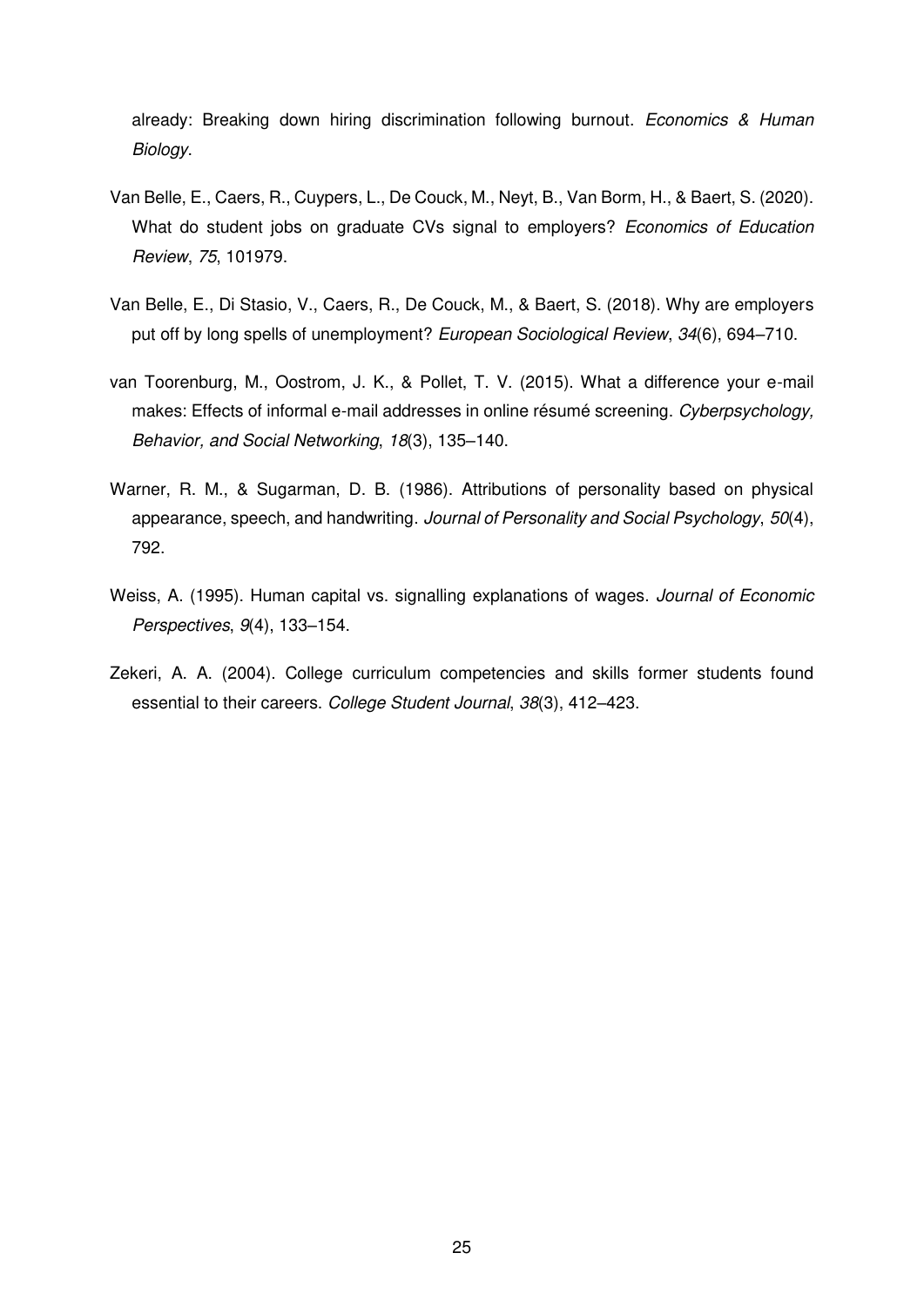already: Breaking down hiring discrimination following burnout. *Economics & Human Biology*.

- Van Belle, E., Caers, R., Cuypers, L., De Couck, M., Neyt, B., Van Borm, H., & Baert, S. (2020). What do student jobs on graduate CVs signal to employers? *Economics of Education Review*, *75*, 101979.
- Van Belle, E., Di Stasio, V., Caers, R., De Couck, M., & Baert, S. (2018). Why are employers put off by long spells of unemployment? *European Sociological Review*, *34*(6), 694–710.
- van Toorenburg, M., Oostrom, J. K., & Pollet, T. V. (2015). What a difference your e-mail makes: Effects of informal e-mail addresses in online résumé screening. *Cyberpsychology, Behavior, and Social Networking*, *18*(3), 135–140.
- Warner, R. M., & Sugarman, D. B. (1986). Attributions of personality based on physical appearance, speech, and handwriting. *Journal of Personality and Social Psychology*, *50*(4), 792.
- Weiss, A. (1995). Human capital vs. signalling explanations of wages. *Journal of Economic Perspectives*, *9*(4), 133–154.
- Zekeri, A. A. (2004). College curriculum competencies and skills former students found essential to their careers. *College Student Journal*, *38*(3), 412–423.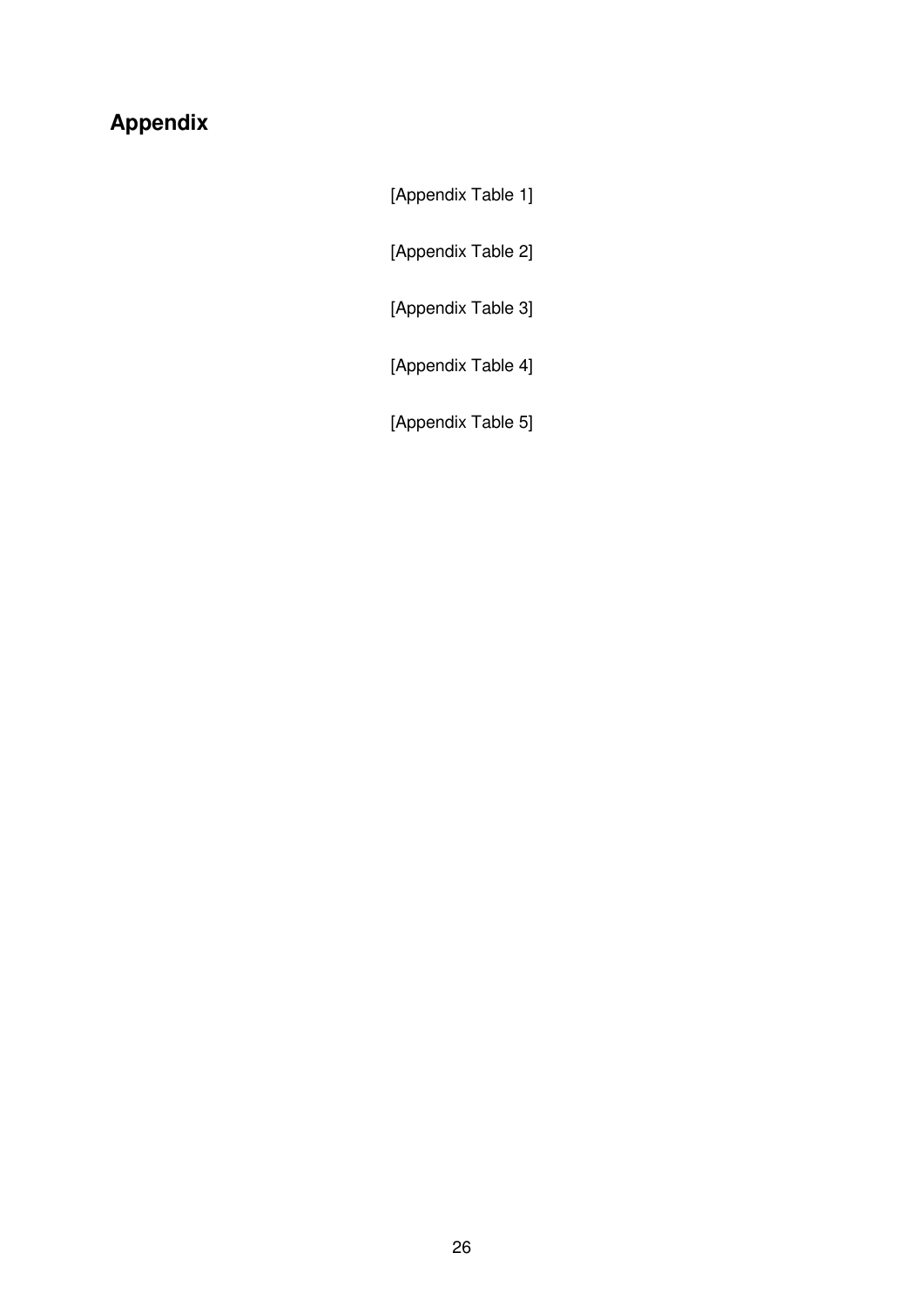# **Appendix**

[Appendix Table 1]

[Appendix Table 2]

[Appendix Table 3]

[Appendix Table 4]

[Appendix Table 5]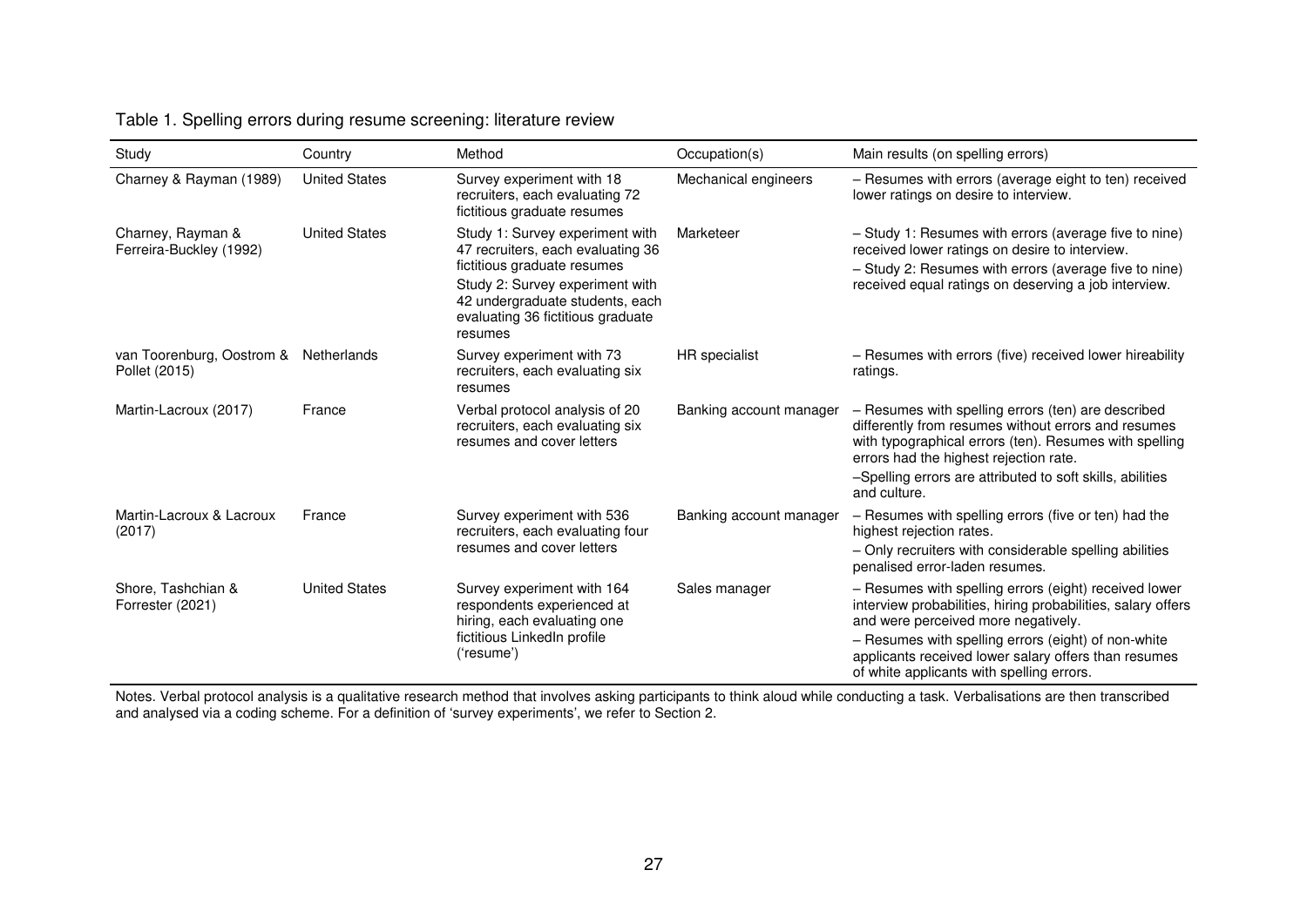### Table 1. Spelling errors during resume screening: literature review

| Study                                        | Country              | Method                                                                                                                                                                                                                    | Occupation(s)           | Main results (on spelling errors)                                                                                                                                                                                                                                                                                        |
|----------------------------------------------|----------------------|---------------------------------------------------------------------------------------------------------------------------------------------------------------------------------------------------------------------------|-------------------------|--------------------------------------------------------------------------------------------------------------------------------------------------------------------------------------------------------------------------------------------------------------------------------------------------------------------------|
| Charney & Rayman (1989)                      | <b>United States</b> | Survey experiment with 18<br>recruiters, each evaluating 72<br>fictitious graduate resumes                                                                                                                                | Mechanical engineers    | - Resumes with errors (average eight to ten) received<br>lower ratings on desire to interview.                                                                                                                                                                                                                           |
| Charney, Rayman &<br>Ferreira-Buckley (1992) | <b>United States</b> | Study 1: Survey experiment with<br>47 recruiters, each evaluating 36<br>fictitious graduate resumes<br>Study 2: Survey experiment with<br>42 undergraduate students, each<br>evaluating 36 fictitious graduate<br>resumes | Marketeer               | - Study 1: Resumes with errors (average five to nine)<br>received lower ratings on desire to interview.<br>- Study 2: Resumes with errors (average five to nine)<br>received equal ratings on deserving a job interview.                                                                                                 |
| van Toorenburg, Oostrom &<br>Pollet (2015)   | Netherlands          | Survey experiment with 73<br>recruiters, each evaluating six<br>resumes                                                                                                                                                   | HR specialist           | - Resumes with errors (five) received lower hireability<br>ratings.                                                                                                                                                                                                                                                      |
| Martin-Lacroux (2017)                        | France               | Verbal protocol analysis of 20<br>recruiters, each evaluating six<br>resumes and cover letters                                                                                                                            | Banking account manager | - Resumes with spelling errors (ten) are described<br>differently from resumes without errors and resumes<br>with typographical errors (ten). Resumes with spelling<br>errors had the highest rejection rate.<br>-Spelling errors are attributed to soft skills, abilities<br>and culture.                               |
| Martin-Lacroux & Lacroux<br>(2017)           | France               | Survey experiment with 536<br>recruiters, each evaluating four<br>resumes and cover letters                                                                                                                               | Banking account manager | - Resumes with spelling errors (five or ten) had the<br>highest rejection rates.<br>- Only recruiters with considerable spelling abilities<br>penalised error-laden resumes.                                                                                                                                             |
| Shore, Tashchian &<br>Forrester (2021)       | <b>United States</b> | Survey experiment with 164<br>respondents experienced at<br>hiring, each evaluating one<br>fictitious LinkedIn profile<br>('resume')                                                                                      | Sales manager           | - Resumes with spelling errors (eight) received lower<br>interview probabilities, hiring probabilities, salary offers<br>and were perceived more negatively.<br>- Resumes with spelling errors (eight) of non-white<br>applicants received lower salary offers than resumes<br>of white applicants with spelling errors. |

Notes. Verbal protocol analysis is a qualitative research method that involves asking participants to think aloud while conducting a task. Verbalisations are then transcribed and analysed via a coding scheme. For a definition of 'survey experiments', we refer to Section 2.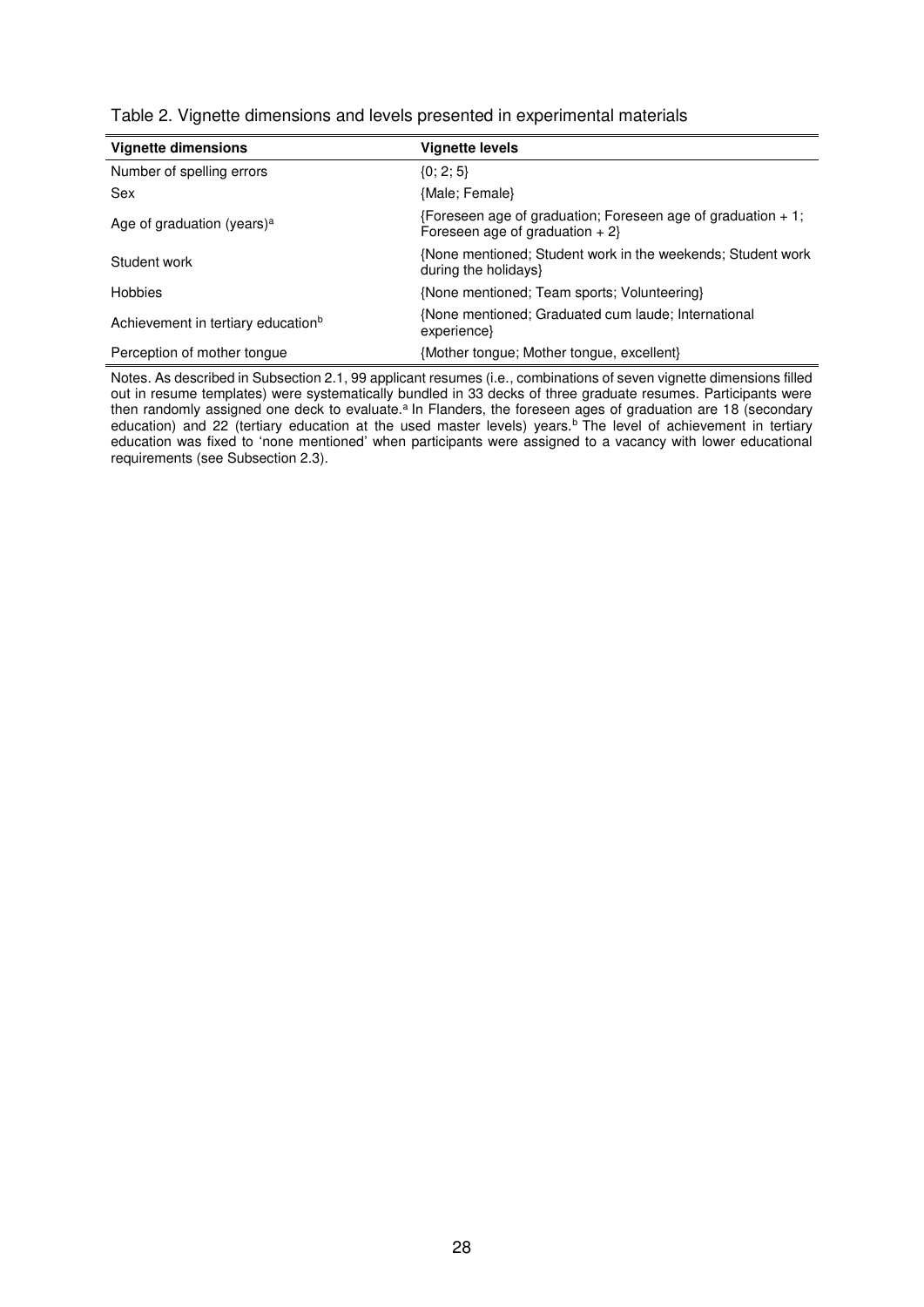| <b>Vignette dimensions</b>                     | <b>Vignette levels</b>                                                                            |
|------------------------------------------------|---------------------------------------------------------------------------------------------------|
| Number of spelling errors                      | $\{0; 2; 5\}$                                                                                     |
| Sex                                            | {Male; Female}                                                                                    |
| Age of graduation (years) <sup>a</sup>         | {Foreseen age of graduation; Foreseen age of graduation $+1$ ;<br>Foreseen age of graduation $+2$ |
| Student work                                   | {None mentioned; Student work in the weekends; Student work<br>during the holidays}               |
| Hobbies                                        | {None mentioned; Team sports; Volunteering}                                                       |
| Achievement in tertiary education <sup>b</sup> | {None mentioned; Graduated cum laude; International<br>experience}                                |
| Perception of mother tonque                    | {Mother tongue; Mother tongue, excellent}                                                         |

Table 2. Vignette dimensions and levels presented in experimental materials

Notes. As described in Subsection 2.1, 99 applicant resumes (i.e., combinations of seven vignette dimensions filled out in resume templates) were systematically bundled in 33 decks of three graduate resumes. Participants were then randomly assigned one deck to evaluate.<sup>a</sup> In Flanders, the foreseen ages of graduation are 18 (secondary education) and 22 (tertiary education at the used master levels) years.<sup>b</sup> The level of achievement in tertiary education was fixed to 'none mentioned' when participants were assigned to a vacancy with lower educational requirements (see Subsection 2.3).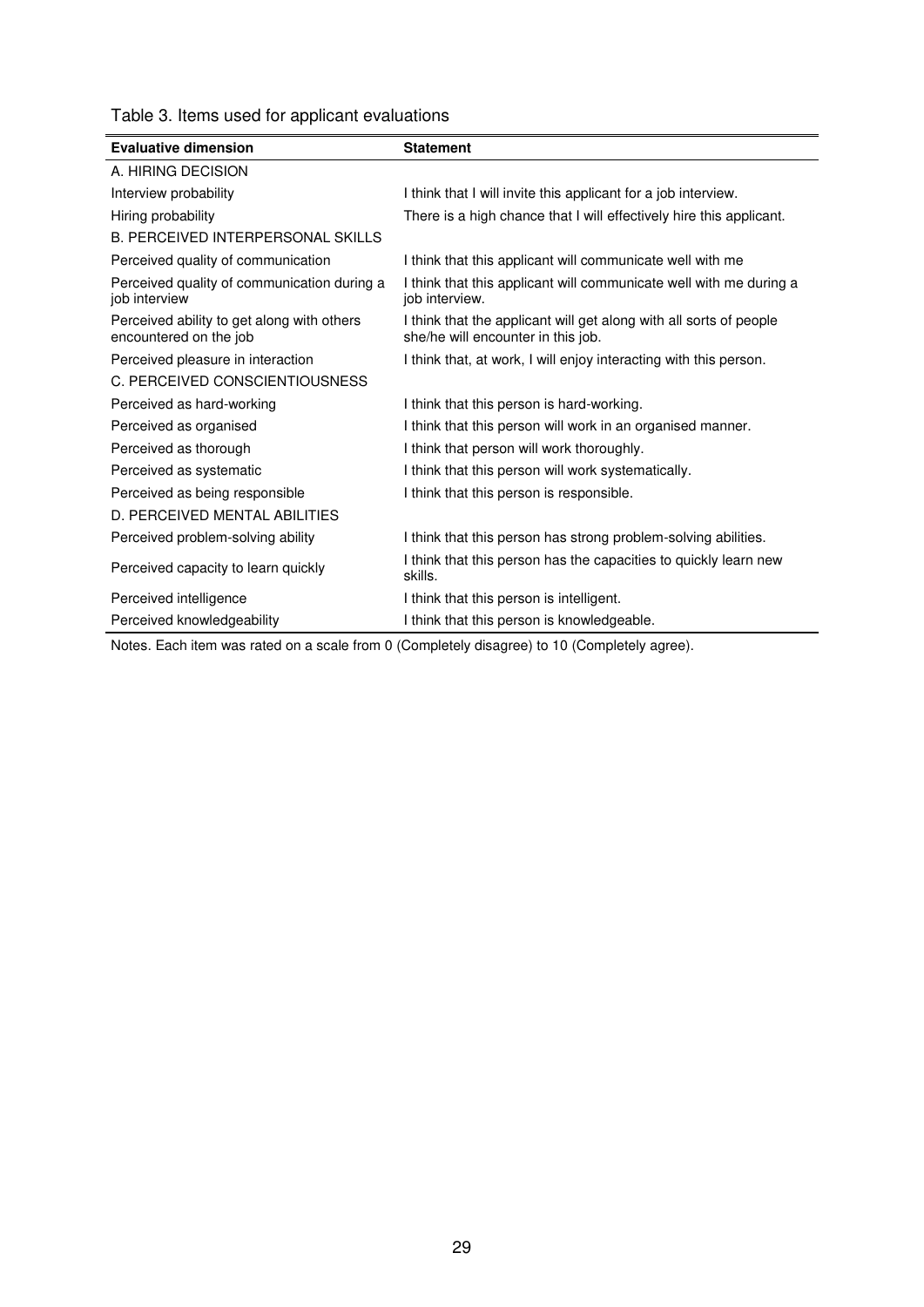|  |  |  |  |  | Table 3. Items used for applicant evaluations |
|--|--|--|--|--|-----------------------------------------------|
|--|--|--|--|--|-----------------------------------------------|

| <b>Evaluative dimension</b>                                          | <b>Statement</b>                                                                                         |
|----------------------------------------------------------------------|----------------------------------------------------------------------------------------------------------|
| A. HIRING DECISION                                                   |                                                                                                          |
| Interview probability                                                | I think that I will invite this applicant for a job interview.                                           |
| Hiring probability                                                   | There is a high chance that I will effectively hire this applicant.                                      |
| <b>B. PERCEIVED INTERPERSONAL SKILLS</b>                             |                                                                                                          |
| Perceived quality of communication                                   | I think that this applicant will communicate well with me                                                |
| Perceived quality of communication during a<br>job interview         | I think that this applicant will communicate well with me during a<br>job interview.                     |
| Perceived ability to get along with others<br>encountered on the job | I think that the applicant will get along with all sorts of people<br>she/he will encounter in this job. |
| Perceived pleasure in interaction                                    | I think that, at work, I will enjoy interacting with this person.                                        |
| C. PERCEIVED CONSCIENTIOUSNESS                                       |                                                                                                          |
| Perceived as hard-working                                            | I think that this person is hard-working.                                                                |
| Perceived as organised                                               | I think that this person will work in an organised manner.                                               |
| Perceived as thorough                                                | I think that person will work thoroughly.                                                                |
| Perceived as systematic                                              | I think that this person will work systematically.                                                       |
| Perceived as being responsible                                       | I think that this person is responsible.                                                                 |
| D. PERCEIVED MENTAL ABILITIES                                        |                                                                                                          |
| Perceived problem-solving ability                                    | I think that this person has strong problem-solving abilities.                                           |
| Perceived capacity to learn quickly                                  | I think that this person has the capacities to quickly learn new<br>skills.                              |
| Perceived intelligence                                               | I think that this person is intelligent.                                                                 |
| Perceived knowledgeability                                           | I think that this person is knowledgeable.                                                               |

Notes. Each item was rated on a scale from 0 (Completely disagree) to 10 (Completely agree).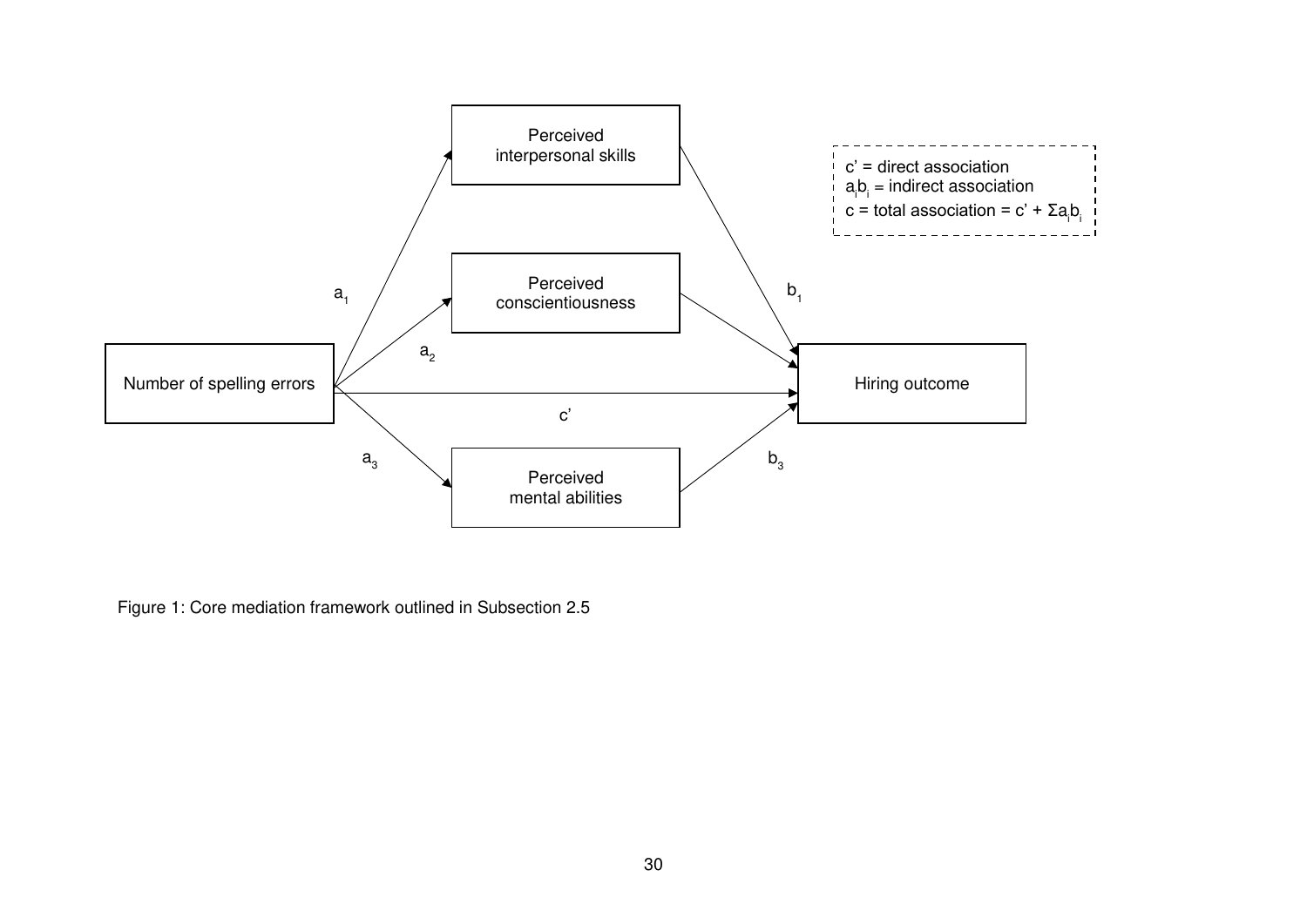

Figure 1: Core mediation framework outlined in Subsection 2.5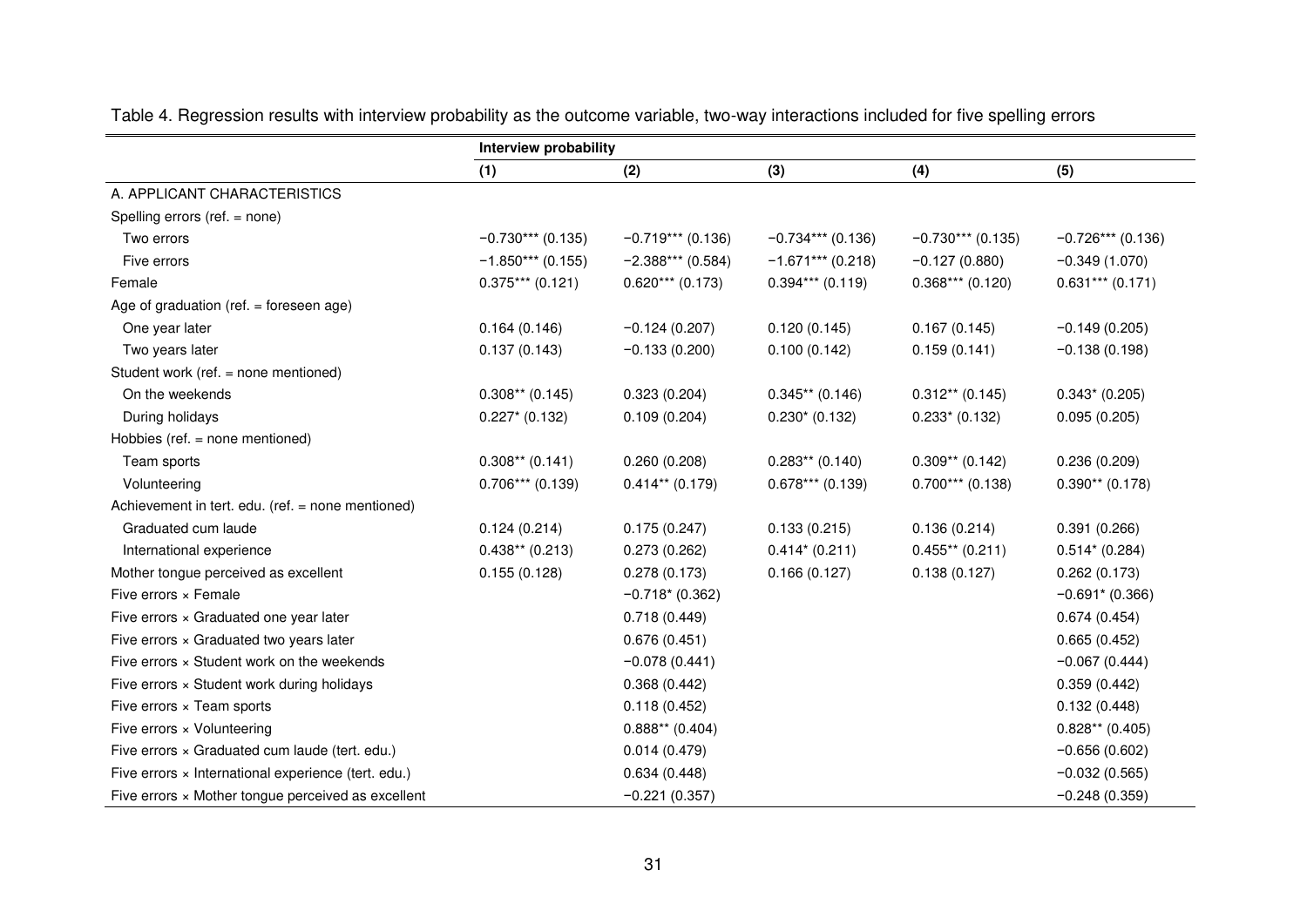|                                                     | Interview probability |                     |                     |                     |                     |
|-----------------------------------------------------|-----------------------|---------------------|---------------------|---------------------|---------------------|
|                                                     | (1)                   | (2)                 | (3)                 | (4)                 | (5)                 |
| A. APPLICANT CHARACTERISTICS                        |                       |                     |                     |                     |                     |
| Spelling errors (ref. = none)                       |                       |                     |                     |                     |                     |
| Two errors                                          | $-0.730***$ (0.135)   | $-0.719***$ (0.136) | $-0.734***$ (0.136) | $-0.730***$ (0.135) | $-0.726***$ (0.136) |
| Five errors                                         | $-1.850***$ (0.155)   | $-2.388***$ (0.584) | $-1.671***$ (0.218) | $-0.127(0.880)$     | $-0.349(1.070)$     |
| Female                                              | $0.375***$ (0.121)    | $0.620***$ (0.173)  | $0.394***$ (0.119)  | $0.368***$ (0.120)  | $0.631***$ (0.171)  |
| Age of graduation (ref. $=$ foreseen age)           |                       |                     |                     |                     |                     |
| One year later                                      | 0.164(0.146)          | $-0.124(0.207)$     | 0.120(0.145)        | 0.167(0.145)        | $-0.149(0.205)$     |
| Two years later                                     | 0.137(0.143)          | $-0.133(0.200)$     | 0.100(0.142)        | 0.159(0.141)        | $-0.138(0.198)$     |
| Student work (ref. = none mentioned)                |                       |                     |                     |                     |                     |
| On the weekends                                     | $0.308**$ (0.145)     | 0.323(0.204)        | $0.345**$ (0.146)   | $0.312**$ (0.145)   | $0.343* (0.205)$    |
| During holidays                                     | $0.227*$ (0.132)      | 0.109(0.204)        | $0.230*(0.132)$     | $0.233*(0.132)$     | 0.095(0.205)        |
| Hobbies (ref. = none mentioned)                     |                       |                     |                     |                     |                     |
| Team sports                                         | $0.308**$ (0.141)     | 0.260(0.208)        | $0.283**$ (0.140)   | $0.309**$ (0.142)   | 0.236(0.209)        |
| Volunteering                                        | $0.706***$ (0.139)    | $0.414**$ (0.179)   | $0.678***$ (0.139)  | $0.700***$ (0.138)  | $0.390**$ (0.178)   |
| Achievement in tert. edu. (ref. = none mentioned)   |                       |                     |                     |                     |                     |
| Graduated cum laude                                 | 0.124(0.214)          | 0.175(0.247)        | 0.133(0.215)        | 0.136(0.214)        | 0.391(0.266)        |
| International experience                            | $0.438**$ (0.213)     | 0.273(0.262)        | $0.414*(0.211)$     | $0.455**$ (0.211)   | $0.514*(0.284)$     |
| Mother tongue perceived as excellent                | 0.155(0.128)          | 0.278(0.173)        | 0.166(0.127)        | 0.138(0.127)        | 0.262(0.173)        |
| Five errors $\times$ Female                         |                       | $-0.718*(0.362)$    |                     |                     | $-0.691*(0.366)$    |
| Five errors × Graduated one year later              |                       | 0.718(0.449)        |                     |                     | 0.674(0.454)        |
| Five errors × Graduated two years later             |                       | 0.676(0.451)        |                     |                     | 0.665(0.452)        |
| Five errors × Student work on the weekends          |                       | $-0.078(0.441)$     |                     |                     | $-0.067(0.444)$     |
| Five errors × Student work during holidays          |                       | 0.368(0.442)        |                     |                     | 0.359(0.442)        |
| Five errors $\times$ Team sports                    |                       | 0.118(0.452)        |                     |                     | 0.132(0.448)        |
| Five errors × Volunteering                          |                       | $0.888**$ (0.404)   |                     |                     | $0.828**$ (0.405)   |
| Five errors × Graduated cum laude (tert. edu.)      |                       | 0.014(0.479)        |                     |                     | $-0.656(0.602)$     |
| Five errors × International experience (tert. edu.) |                       | 0.634(0.448)        |                     |                     | $-0.032(0.565)$     |
| Five errors × Mother tongue perceived as excellent  |                       | $-0.221(0.357)$     |                     |                     | $-0.248(0.359)$     |

Table 4. Regression results with interview probability as the outcome variable, two-way interactions included for five spelling errors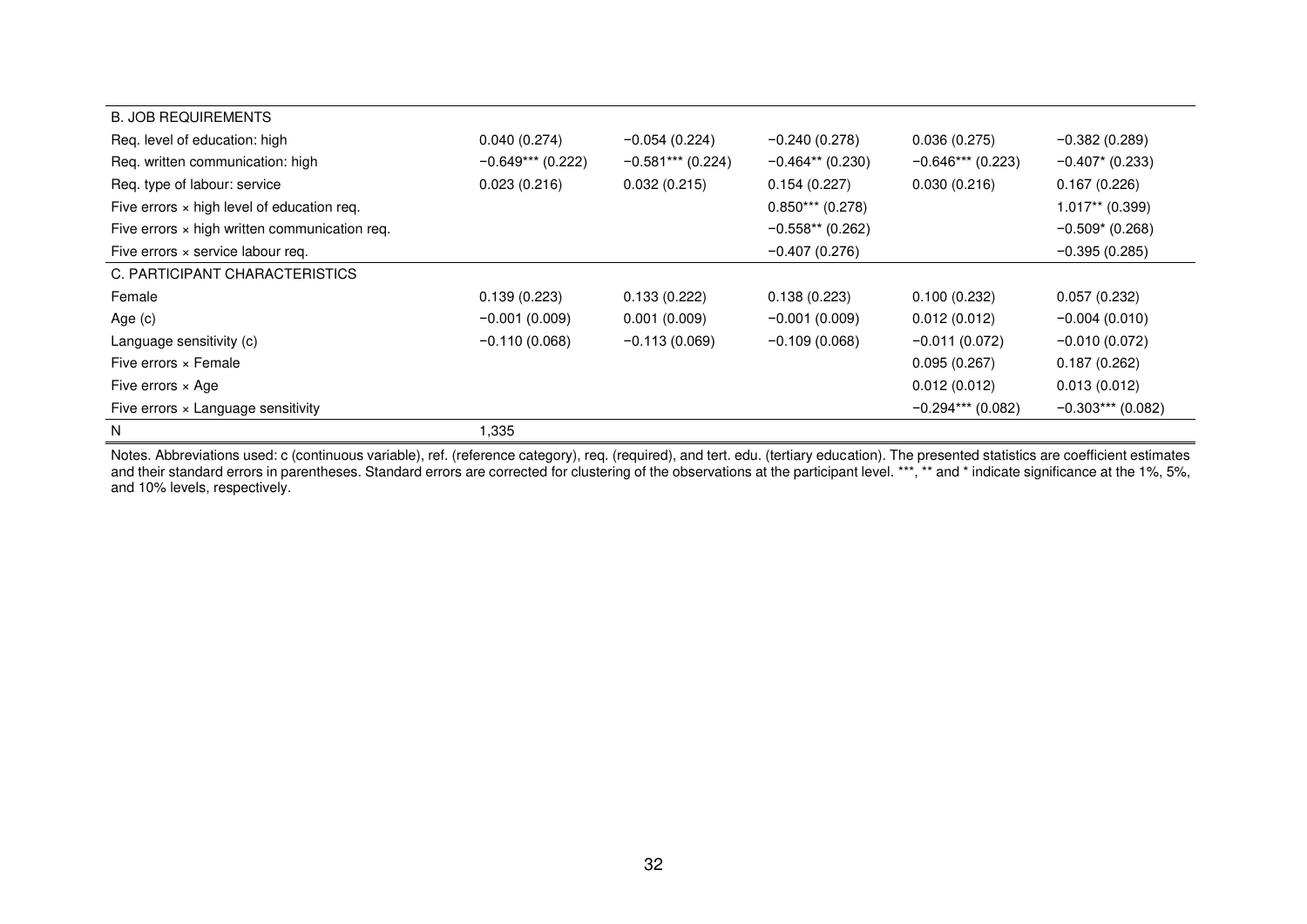| <b>B. JOB REQUIREMENTS</b>                           |                     |                     |                    |                     |                     |
|------------------------------------------------------|---------------------|---------------------|--------------------|---------------------|---------------------|
| Req. level of education: high                        | 0.040(0.274)        | $-0.054(0.224)$     | $-0.240(0.278)$    | 0.036(0.275)        | $-0.382(0.289)$     |
| Req. written communication: high                     | $-0.649***$ (0.222) | $-0.581***$ (0.224) | $-0.464**$ (0.230) | $-0.646***$ (0.223) | $-0.407*$ (0.233)   |
| Req. type of labour: service                         | 0.023(0.216)        | 0.032(0.215)        | 0.154(0.227)       | 0.030(0.216)        | 0.167(0.226)        |
| Five errors $\times$ high level of education req.    |                     |                     | $0.850***$ (0.278) |                     | $1.017**$ (0.399)   |
| Five errors $\times$ high written communication req. |                     |                     | $-0.558**$ (0.262) |                     | $-0.509*(0.268)$    |
| Five errors $\times$ service labour req.             |                     |                     | $-0.407(0.276)$    |                     | $-0.395(0.285)$     |
| C. PARTICIPANT CHARACTERISTICS                       |                     |                     |                    |                     |                     |
| Female                                               | 0.139(0.223)        | 0.133(0.222)        | 0.138(0.223)       | 0.100(0.232)        | 0.057(0.232)        |
| Age $(c)$                                            | $-0.001(0.009)$     | 0.001(0.009)        | $-0.001(0.009)$    | 0.012(0.012)        | $-0.004(0.010)$     |
| Language sensitivity (c)                             | $-0.110(0.068)$     | $-0.113(0.069)$     | $-0.109(0.068)$    | $-0.011(0.072)$     | $-0.010(0.072)$     |
| Five errors $\times$ Female                          |                     |                     |                    | 0.095(0.267)        | 0.187(0.262)        |
| Five errors $\times$ Age                             |                     |                     |                    | 0.012(0.012)        | 0.013(0.012)        |
| Five errors $\times$ Language sensitivity            |                     |                     |                    | $-0.294***$ (0.082) | $-0.303***$ (0.082) |
| N                                                    | 1,335               |                     |                    |                     |                     |

Notes. Abbreviations used: c (continuous variable), ref. (reference category), req. (required), and tert. edu. (tertiary education). The presented statistics are coefficient estimates and their standard errors in parentheses. Standard errors are corrected for clustering of the observations at the participant level. \*\*\*, \*\* and \* indicate significance at the 1%, 5%, and 10% levels, respectively.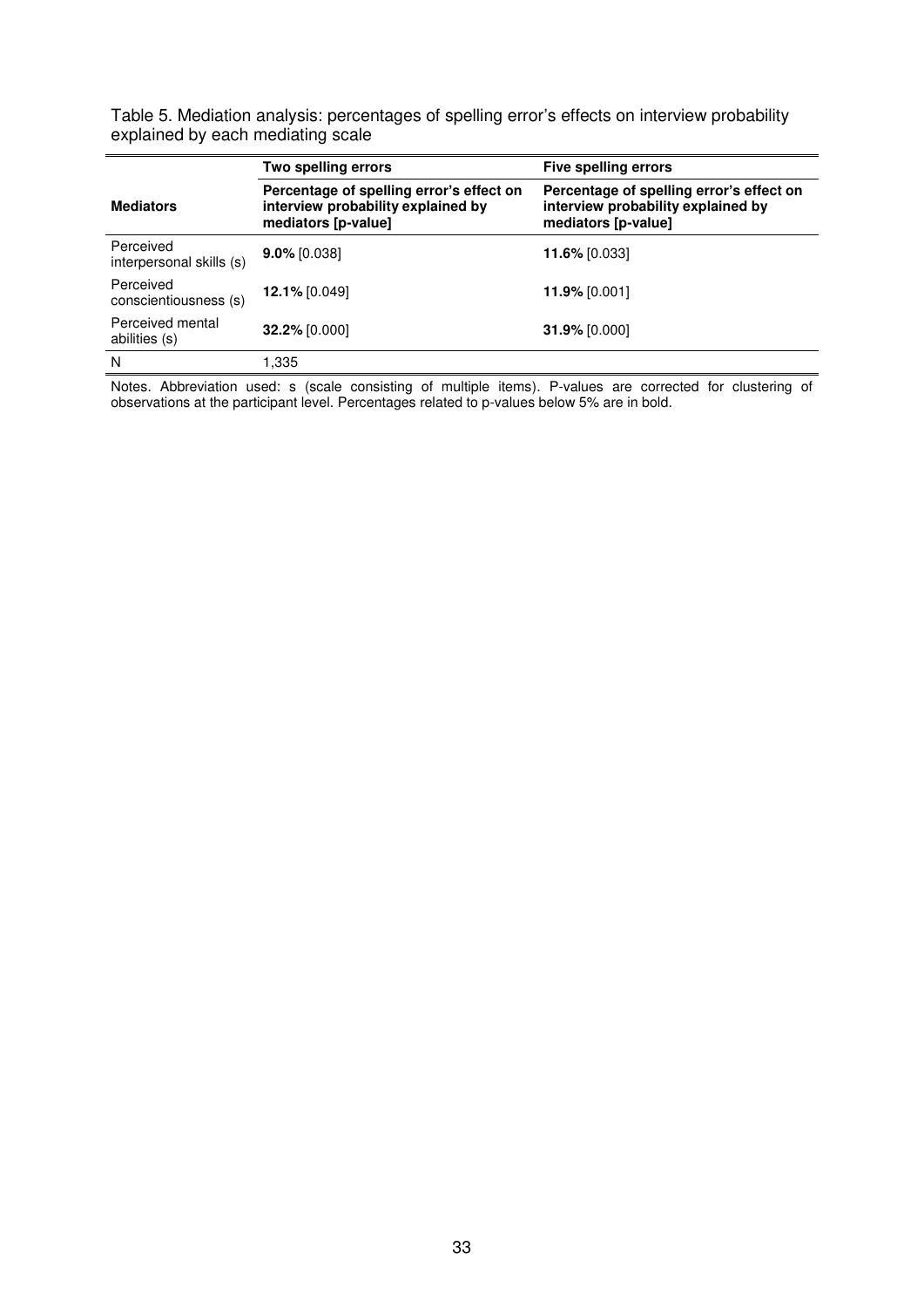Table 5. Mediation analysis: percentages of spelling error's effects on interview probability explained by each mediating scale

|                                       | Two spelling errors                                                                                   | Five spelling errors                                                                                  |
|---------------------------------------|-------------------------------------------------------------------------------------------------------|-------------------------------------------------------------------------------------------------------|
| <b>Mediators</b>                      | Percentage of spelling error's effect on<br>interview probability explained by<br>mediators [p-value] | Percentage of spelling error's effect on<br>interview probability explained by<br>mediators [p-value] |
| Perceived<br>interpersonal skills (s) | $9.0\%$ [0.038]                                                                                       | 11.6% [0.033]                                                                                         |
| Perceived<br>conscientiousness (s)    | 12.1% [0.049]                                                                                         | $11.9\%$ [0.001]                                                                                      |
| Perceived mental<br>abilities (s)     | 32.2% [0.000]                                                                                         | 31.9% [0.000]                                                                                         |
| N                                     | 1,335                                                                                                 |                                                                                                       |

Notes. Abbreviation used: s (scale consisting of multiple items). P-values are corrected for clustering of observations at the participant level. Percentages related to p-values below 5% are in bold.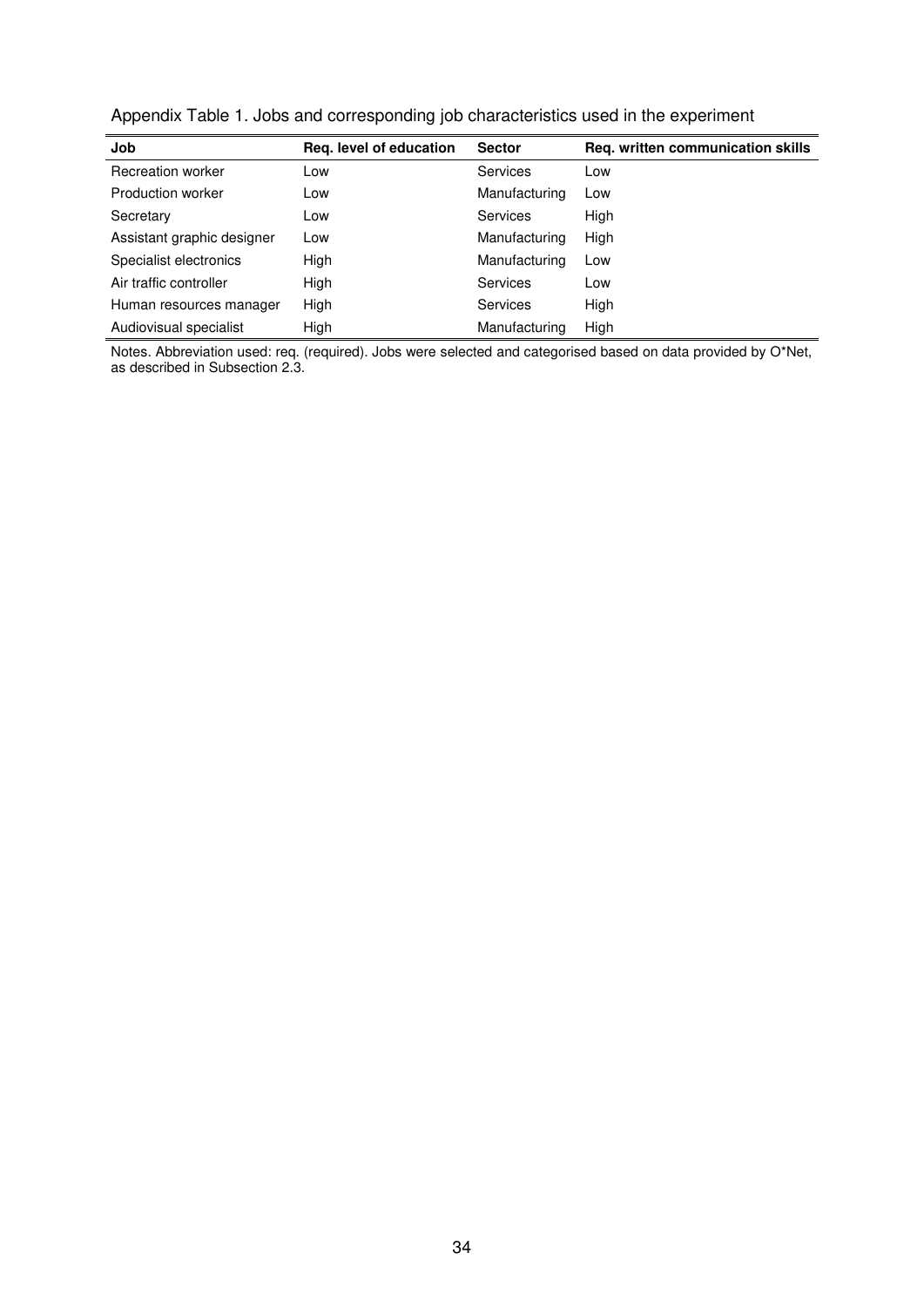Appendix Table 1. Jobs and corresponding job characteristics used in the experiment

| Job                        | Reg. level of education | <b>Sector</b>   | Reg. written communication skills |
|----------------------------|-------------------------|-----------------|-----------------------------------|
| Recreation worker          | Low                     | <b>Services</b> | Low                               |
| Production worker          | Low                     | Manufacturing   | Low                               |
| Secretary                  | Low                     | Services        | High                              |
| Assistant graphic designer | Low                     | Manufacturing   | High                              |
| Specialist electronics     | High                    | Manufacturing   | Low                               |
| Air traffic controller     | High                    | <b>Services</b> | Low                               |
| Human resources manager    | High                    | <b>Services</b> | High                              |
| Audiovisual specialist     | High                    | Manufacturing   | High                              |

Notes. Abbreviation used: req. (required). Jobs were selected and categorised based on data provided by O\*Net, as described in Subsection 2.3.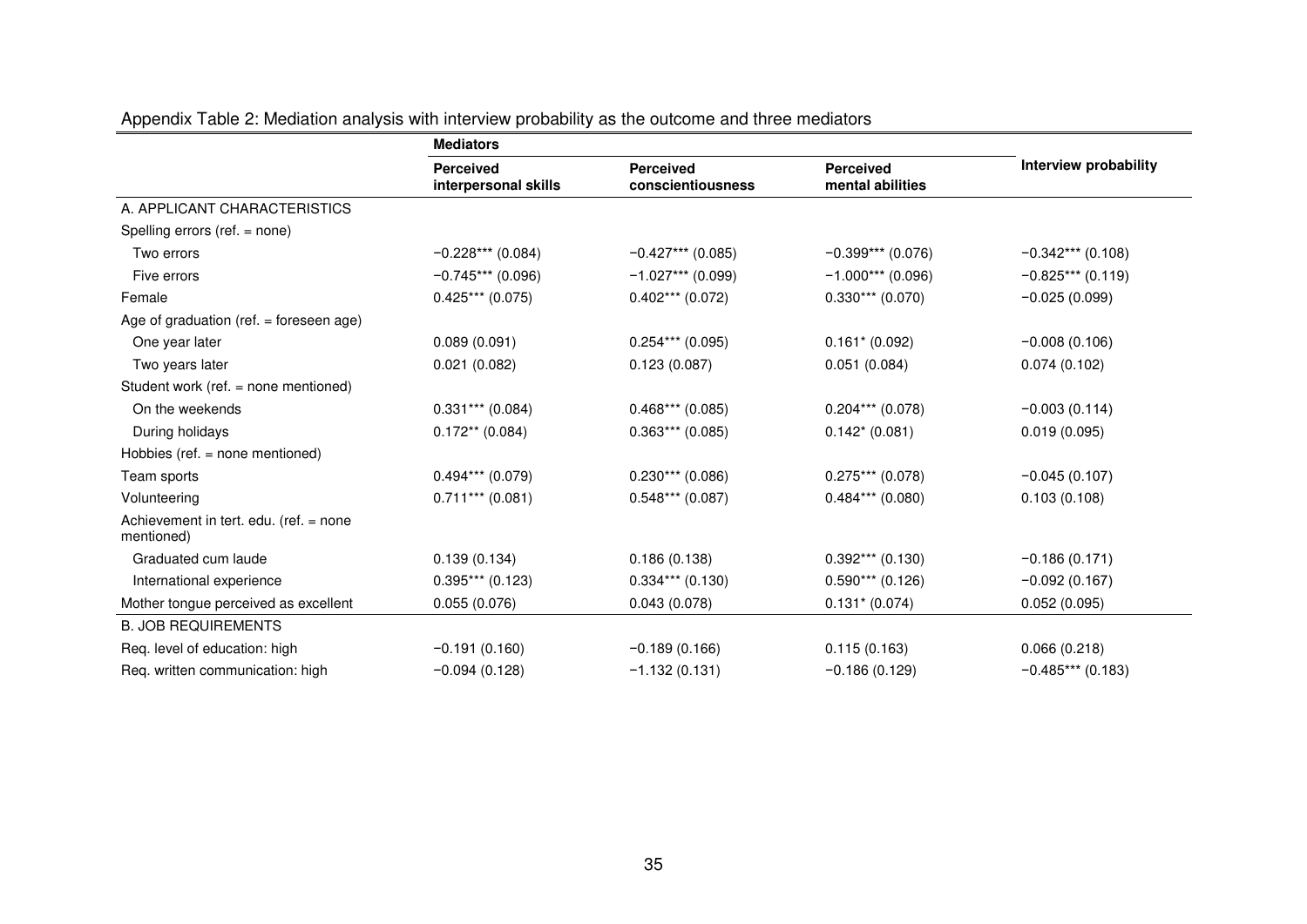|                                                      | <b>Mediators</b>                         |                                       |                                      |                       |
|------------------------------------------------------|------------------------------------------|---------------------------------------|--------------------------------------|-----------------------|
|                                                      | <b>Perceived</b><br>interpersonal skills | <b>Perceived</b><br>conscientiousness | <b>Perceived</b><br>mental abilities | Interview probability |
| A. APPLICANT CHARACTERISTICS                         |                                          |                                       |                                      |                       |
| Spelling errors (ref. = none)                        |                                          |                                       |                                      |                       |
| Two errors                                           | $-0.228***$ (0.084)                      | $-0.427***$ (0.085)                   | $-0.399***$ (0.076)                  | $-0.342***$ (0.108)   |
| Five errors                                          | $-0.745***$ (0.096)                      | $-1.027***$ (0.099)                   | $-1.000***(0.096)$                   | $-0.825***(0.119)$    |
| Female                                               | $0.425***(0.075)$                        | $0.402***$ (0.072)                    | $0.330***$ (0.070)                   | $-0.025(0.099)$       |
| Age of graduation (ref. $=$ foreseen age)            |                                          |                                       |                                      |                       |
| One year later                                       | 0.089(0.091)                             | $0.254***$ (0.095)                    | $0.161* (0.092)$                     | $-0.008(0.106)$       |
| Two years later                                      | 0.021(0.082)                             | 0.123(0.087)                          | 0.051(0.084)                         | 0.074(0.102)          |
| Student work (ref. = none mentioned)                 |                                          |                                       |                                      |                       |
| On the weekends                                      | $0.331***$ (0.084)                       | $0.468***(0.085)$                     | $0.204***$ (0.078)                   | $-0.003(0.114)$       |
| During holidays                                      | $0.172**$ (0.084)                        | $0.363***(0.085)$                     | $0.142*(0.081)$                      | 0.019(0.095)          |
| Hobbies (ref. = none mentioned)                      |                                          |                                       |                                      |                       |
| Team sports                                          | $0.494***$ (0.079)                       | $0.230***$ (0.086)                    | $0.275***(0.078)$                    | $-0.045(0.107)$       |
| Volunteering                                         | $0.711***$ (0.081)                       | $0.548***$ (0.087)                    | $0.484***$ (0.080)                   | 0.103(0.108)          |
| Achievement in tert. edu. (ref. = none<br>mentioned) |                                          |                                       |                                      |                       |
| Graduated cum laude                                  | 0.139(0.134)                             | 0.186(0.138)                          | $0.392***$ (0.130)                   | $-0.186(0.171)$       |
| International experience                             | $0.395***(0.123)$                        | $0.334***$ (0.130)                    | $0.590***$ (0.126)                   | $-0.092(0.167)$       |
| Mother tongue perceived as excellent                 | 0.055(0.076)                             | 0.043(0.078)                          | $0.131* (0.074)$                     | 0.052(0.095)          |
| <b>B. JOB REQUIREMENTS</b>                           |                                          |                                       |                                      |                       |
| Req. level of education: high                        | $-0.191(0.160)$                          | $-0.189(0.166)$                       | 0.115(0.163)                         | 0.066(0.218)          |
| Req. written communication: high                     | $-0.094(0.128)$                          | $-1.132(0.131)$                       | $-0.186(0.129)$                      | $-0.485***$ (0.183)   |

Appendix Table 2: Mediation analysis with interview probability as the outcome and three mediators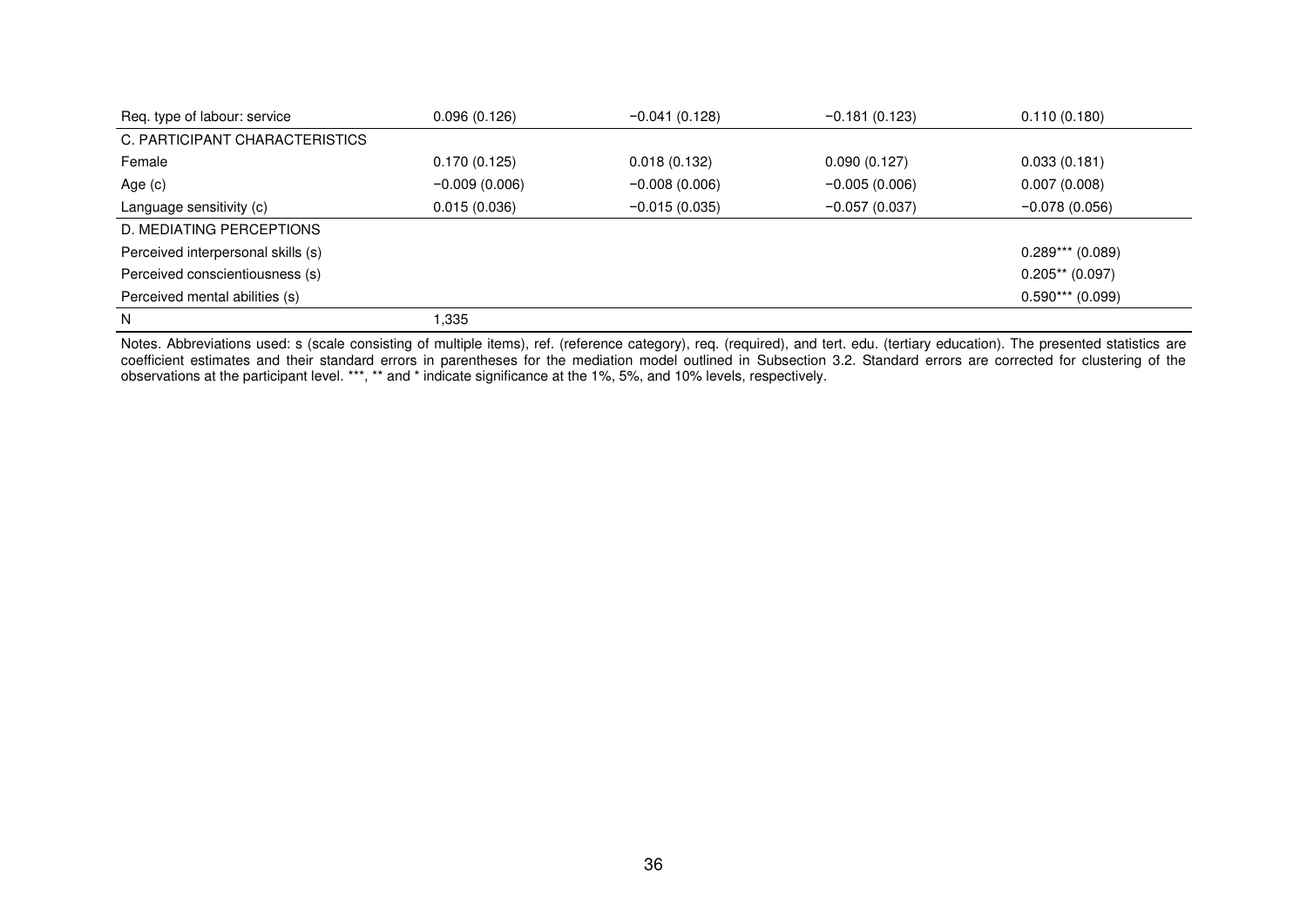| Req. type of labour: service       | 0.096(0.126)    | $-0.041(0.128)$ | $-0.181(0.123)$ | 0.110(0.180)       |
|------------------------------------|-----------------|-----------------|-----------------|--------------------|
| C. PARTICIPANT CHARACTERISTICS     |                 |                 |                 |                    |
| Female                             | 0.170(0.125)    | 0.018(0.132)    | 0.090(0.127)    | 0.033(0.181)       |
| Age (c)                            | $-0.009(0.006)$ | $-0.008(0.006)$ | $-0.005(0.006)$ | 0.007(0.008)       |
| Language sensitivity (c)           | 0.015(0.036)    | $-0.015(0.035)$ | $-0.057(0.037)$ | $-0.078(0.056)$    |
| D. MEDIATING PERCEPTIONS           |                 |                 |                 |                    |
| Perceived interpersonal skills (s) |                 |                 |                 | $0.289***$ (0.089) |
| Perceived conscientiousness (s)    |                 |                 |                 | $0.205**$ (0.097)  |
| Perceived mental abilities (s)     |                 |                 |                 | $0.590***$ (0.099) |
| N                                  | .335            |                 |                 |                    |

Notes. Abbreviations used: s (scale consisting of multiple items), ref. (reference category), req. (required), and tert. edu. (tertiary education). The presented statistics are coefficient estimates and their standard errors in parentheses for the mediation model outlined in Subsection 3.2. Standard errors are corrected for clustering of the observations at the participant level. \*\*\*, \*\* and \* indicate significance at the 1%, 5%, and 10% levels, respectively.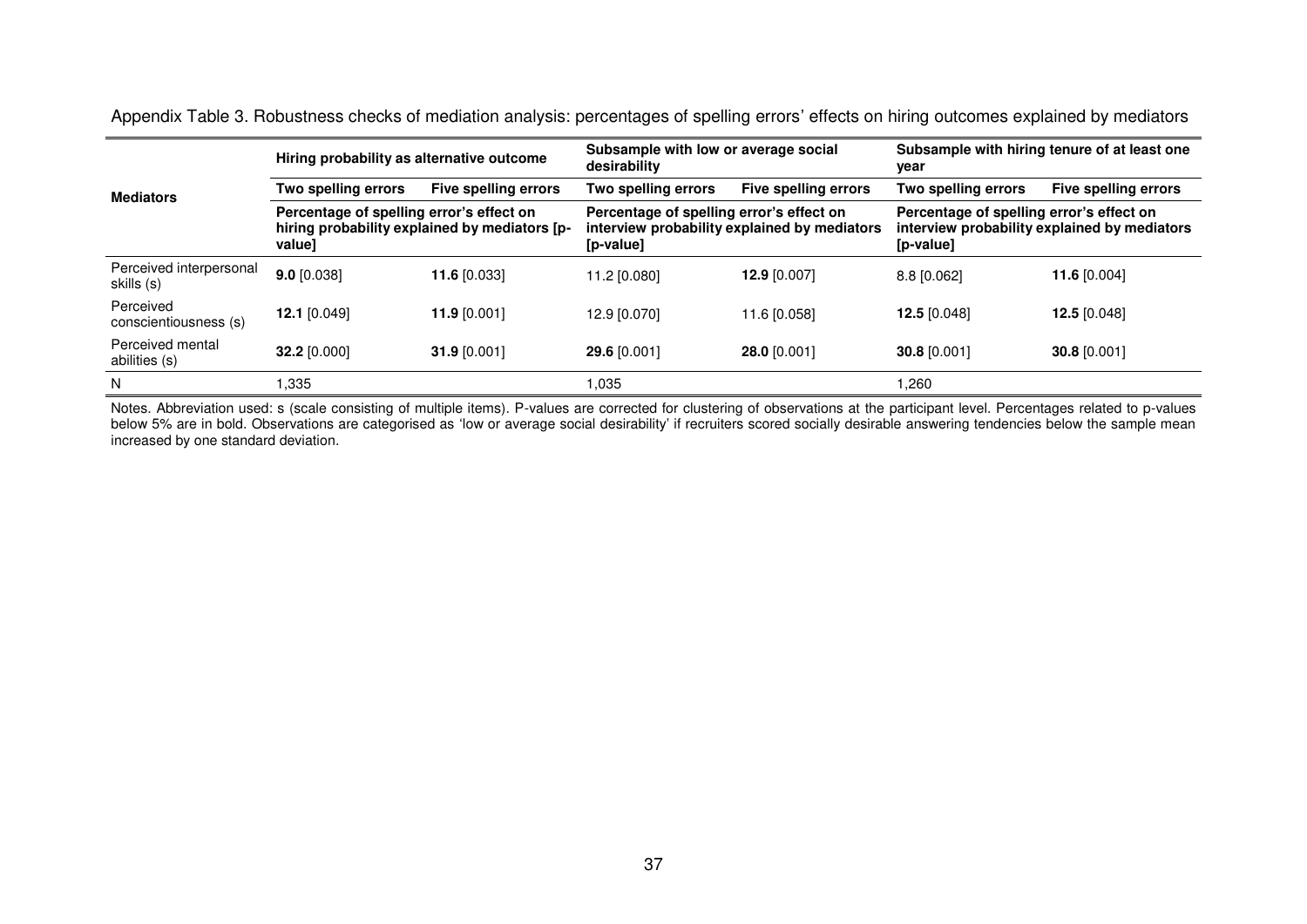| <b>Mediators</b>                      | Hiring probability as alternative outcome                                                           |                      | Subsample with low or average social<br>desirability                                                  |                      | Subsample with hiring tenure of at least one<br>year                                                  |                             |
|---------------------------------------|-----------------------------------------------------------------------------------------------------|----------------------|-------------------------------------------------------------------------------------------------------|----------------------|-------------------------------------------------------------------------------------------------------|-----------------------------|
|                                       | Two spelling errors                                                                                 | Five spelling errors | Two spelling errors                                                                                   | Five spelling errors | Two spelling errors                                                                                   | <b>Five spelling errors</b> |
|                                       | Percentage of spelling error's effect on<br>hiring probability explained by mediators [p-<br>value] |                      | Percentage of spelling error's effect on<br>interview probability explained by mediators<br>[p-value] |                      | Percentage of spelling error's effect on<br>interview probability explained by mediators<br>[p-value] |                             |
| Perceived interpersonal<br>skills (s) | $9.0$ [0.038]                                                                                       | 11.6 $[0.033]$       | 11.2 [0.080]                                                                                          | 12.9 [0.007]         | 8.8 [0.062]                                                                                           | 11.6 [0.004]                |
| Perceived<br>conscientiousness (s)    | 12.1 [0.049]                                                                                        | 11.9 $[0.001]$       | 12.9 [0.070]                                                                                          | 11.6 [0.058]         | 12.5 $[0.048]$                                                                                        | 12.5 $[0.048]$              |
| Perceived mental<br>abilities (s)     | 32.2 [0.000]                                                                                        | 31.9 $[0.001]$       | 29.6 [0.001]                                                                                          | 28.0 [0.001]         | 30.8 [0.001]                                                                                          | 30.8 [0.001]                |
| N                                     | 335                                                                                                 |                      | 1.035                                                                                                 |                      | .260                                                                                                  |                             |

Appendix Table 3. Robustness checks of mediation analysis: percentages of spelling errors' effects on hiring outcomes explained by mediators

Notes. Abbreviation used: s (scale consisting of multiple items). P-values are corrected for clustering of observations at the participant level. Percentages related to p-values below 5% are in bold. Observations are categorised as 'low or average social desirability' if recruiters scored socially desirable answering tendencies below the sample mean increased by one standard deviation.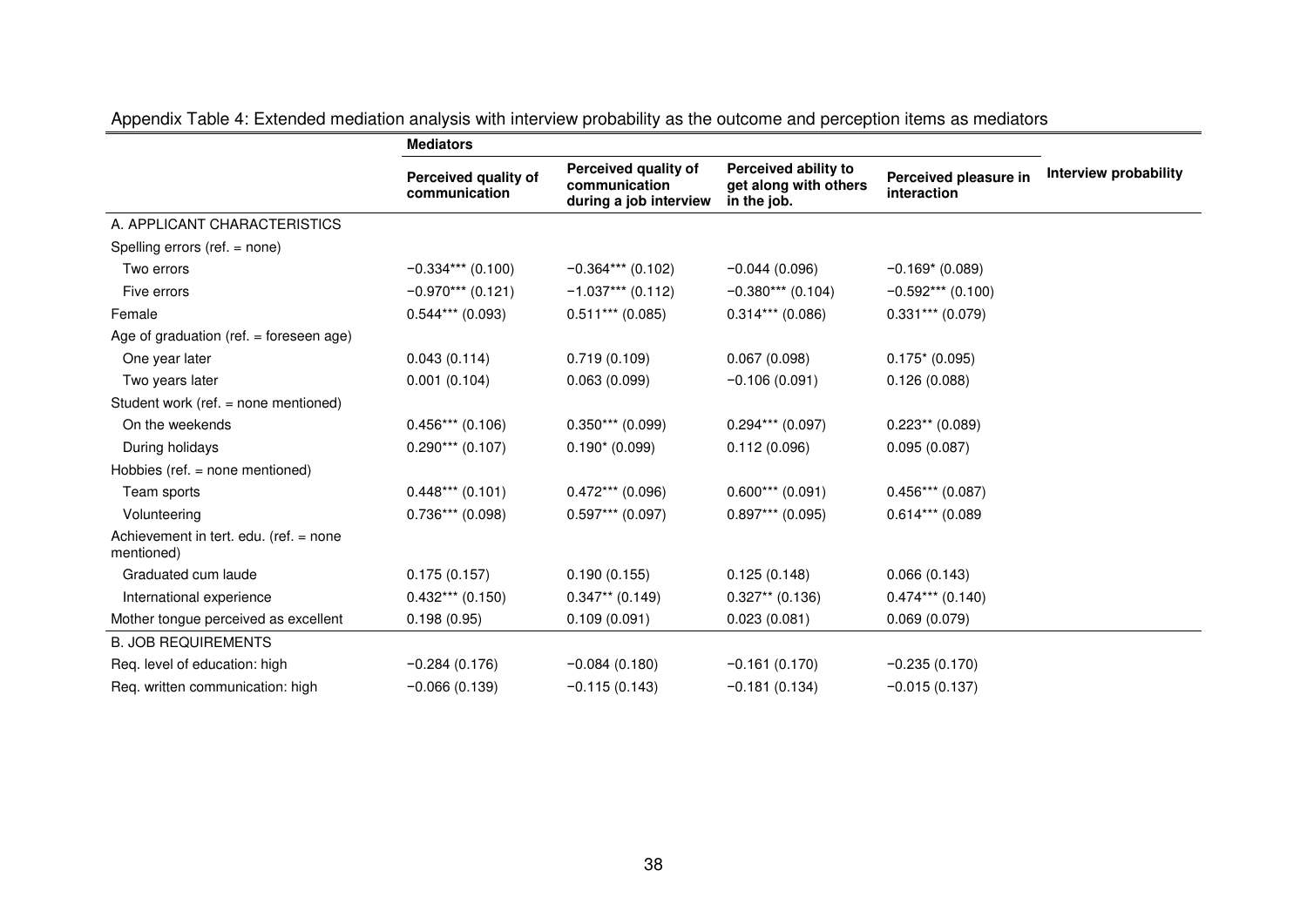|                                                      | <b>Mediators</b>                      |                                                                 |                                                              |                                      |                       |
|------------------------------------------------------|---------------------------------------|-----------------------------------------------------------------|--------------------------------------------------------------|--------------------------------------|-----------------------|
|                                                      | Perceived quality of<br>communication | Perceived quality of<br>communication<br>during a job interview | Perceived ability to<br>get along with others<br>in the job. | Perceived pleasure in<br>interaction | Interview probability |
| A. APPLICANT CHARACTERISTICS                         |                                       |                                                                 |                                                              |                                      |                       |
| Spelling errors (ref. = none)                        |                                       |                                                                 |                                                              |                                      |                       |
| Two errors                                           | $-0.334***$ (0.100)                   | $-0.364***$ (0.102)                                             | $-0.044(0.096)$                                              | $-0.169*(0.089)$                     |                       |
| Five errors                                          | $-0.970***$ (0.121)                   | $-1.037***$ (0.112)                                             | $-0.380***$ (0.104)                                          | $-0.592***$ (0.100)                  |                       |
| Female                                               | $0.544***$ (0.093)                    | $0.511***$ (0.085)                                              | $0.314***$ (0.086)                                           | $0.331***$ (0.079)                   |                       |
| Age of graduation (ref. $=$ foreseen age)            |                                       |                                                                 |                                                              |                                      |                       |
| One year later                                       | 0.043(0.114)                          | 0.719(0.109)                                                    | 0.067(0.098)                                                 | $0.175*(0.095)$                      |                       |
| Two years later                                      | 0.001(0.104)                          | 0.063(0.099)                                                    | $-0.106(0.091)$                                              | 0.126(0.088)                         |                       |
| Student work (ref. = none mentioned)                 |                                       |                                                                 |                                                              |                                      |                       |
| On the weekends                                      | $0.456***(0.106)$                     | $0.350***$ (0.099)                                              | $0.294***$ (0.097)                                           | $0.223**$ (0.089)                    |                       |
| During holidays                                      | $0.290***$ (0.107)                    | $0.190*(0.099)$                                                 | 0.112(0.096)                                                 | 0.095(0.087)                         |                       |
| Hobbies (ref. = none mentioned)                      |                                       |                                                                 |                                                              |                                      |                       |
| Team sports                                          | $0.448***$ (0.101)                    | $0.472***$ (0.096)                                              | $0.600***$ (0.091)                                           | $0.456***(0.087)$                    |                       |
| Volunteering                                         | $0.736***$ (0.098)                    | $0.597***$ (0.097)                                              | $0.897***$ (0.095)                                           | $0.614***$ (0.089                    |                       |
| Achievement in tert. edu. (ref. = none<br>mentioned) |                                       |                                                                 |                                                              |                                      |                       |
| Graduated cum laude                                  | 0.175(0.157)                          | 0.190(0.155)                                                    | 0.125(0.148)                                                 | 0.066(0.143)                         |                       |
| International experience                             | $0.432***$ (0.150)                    | $0.347**$ (0.149)                                               | $0.327**$ (0.136)                                            | $0.474***$ (0.140)                   |                       |
| Mother tongue perceived as excellent                 | 0.198(0.95)                           | 0.109(0.091)                                                    | 0.023(0.081)                                                 | 0.069(0.079)                         |                       |
| <b>B. JOB REQUIREMENTS</b>                           |                                       |                                                                 |                                                              |                                      |                       |
| Req. level of education: high                        | $-0.284(0.176)$                       | $-0.084(0.180)$                                                 | $-0.161(0.170)$                                              | $-0.235(0.170)$                      |                       |
| Req. written communication: high                     | $-0.066(0.139)$                       | $-0.115(0.143)$                                                 | $-0.181(0.134)$                                              | $-0.015(0.137)$                      |                       |

Appendix Table 4: Extended mediation analysis with interview probability as the outcome and perception items as mediators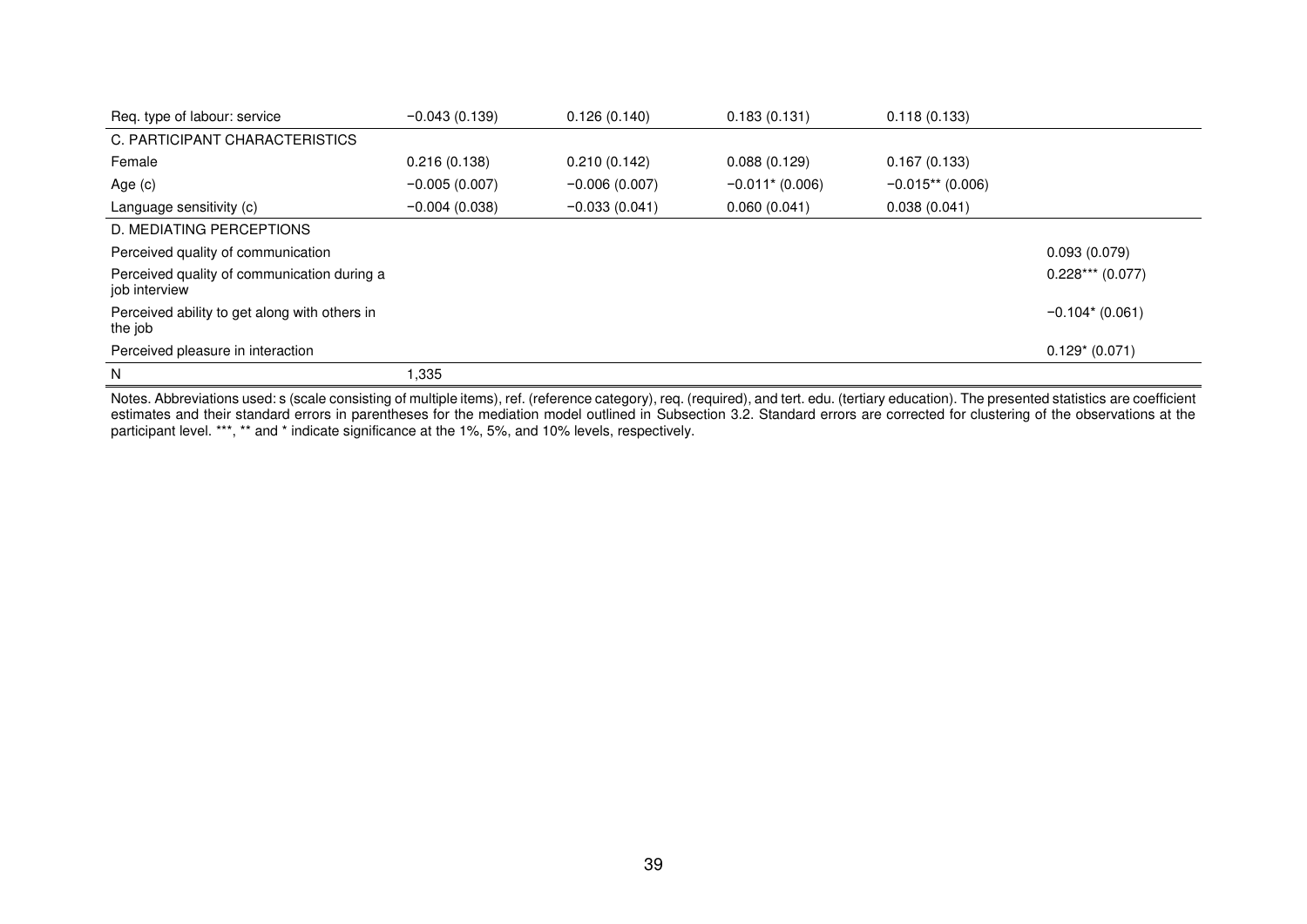| Req. type of labour: service                                 | $-0.043(0.139)$ | 0.126(0.140)    | 0.183(0.131)                  | 0.118(0.133)       |                   |
|--------------------------------------------------------------|-----------------|-----------------|-------------------------------|--------------------|-------------------|
| C. PARTICIPANT CHARACTERISTICS                               |                 |                 |                               |                    |                   |
| Female                                                       | 0.216(0.138)    | 0.210(0.142)    | 0.088(0.129)                  | 0.167(0.133)       |                   |
| Age $(c)$                                                    | $-0.005(0.007)$ | $-0.006(0.007)$ | $-0.011$ <sup>*</sup> (0.006) | $-0.015**$ (0.006) |                   |
| Language sensitivity (c)                                     | $-0.004(0.038)$ | $-0.033(0.041)$ | 0.060(0.041)                  | 0.038(0.041)       |                   |
| D. MEDIATING PERCEPTIONS                                     |                 |                 |                               |                    |                   |
| Perceived quality of communication                           |                 |                 |                               |                    | 0.093(0.079)      |
| Perceived quality of communication during a<br>job interview |                 |                 |                               |                    | $0.228***(0.077)$ |
| Perceived ability to get along with others in<br>the job     |                 |                 |                               |                    | $-0.104*(0.061)$  |
| Perceived pleasure in interaction                            |                 |                 |                               |                    | $0.129*(0.071)$   |
| N                                                            | 335, ا          |                 |                               |                    |                   |

Notes. Abbreviations used: s (scale consisting of multiple items), ref. (reference category), req. (required), and tert. edu. (tertiary education). The presented statistics are coefficient estimates and their standard errors in parentheses for the mediation model outlined in Subsection 3.2. Standard errors are corrected for clustering of the observations at the participant level. \*\*\*, \*\* and \* indicate significance at the 1%, 5%, and 10% levels, respectively.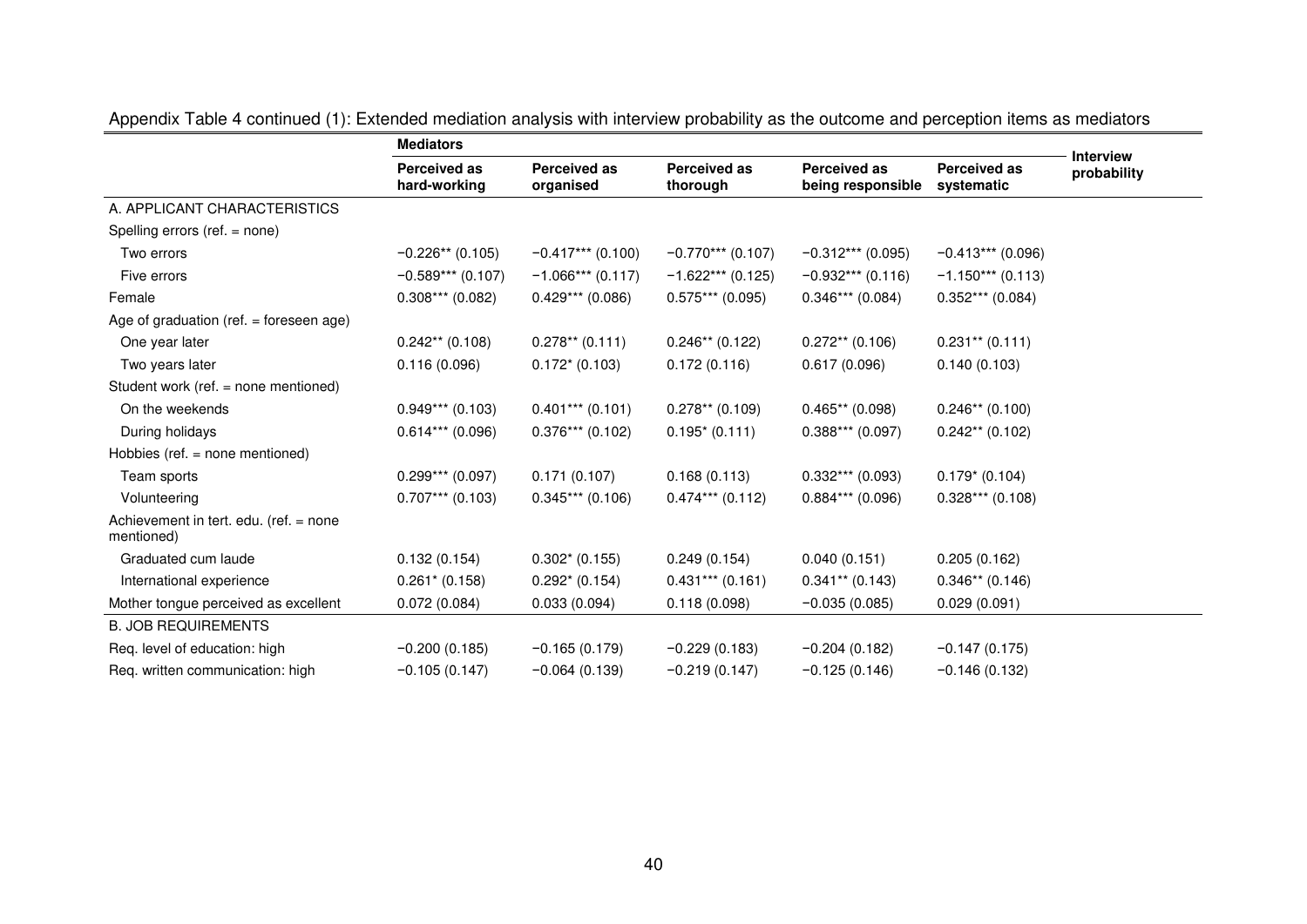|                                                      | <b>Mediators</b>                    |                                  |                                 |                                          |                                   |                                 |
|------------------------------------------------------|-------------------------------------|----------------------------------|---------------------------------|------------------------------------------|-----------------------------------|---------------------------------|
|                                                      | <b>Perceived as</b><br>hard-working | <b>Perceived as</b><br>organised | <b>Perceived as</b><br>thorough | <b>Perceived as</b><br>being responsible | <b>Perceived as</b><br>systematic | <b>Interview</b><br>probability |
| A. APPLICANT CHARACTERISTICS                         |                                     |                                  |                                 |                                          |                                   |                                 |
| Spelling errors (ref. = none)                        |                                     |                                  |                                 |                                          |                                   |                                 |
| Two errors                                           | $-0.226**$ (0.105)                  | $-0.417***$ (0.100)              | $-0.770***$ (0.107)             | $-0.312***$ (0.095)                      | $-0.413***$ (0.096)               |                                 |
| Five errors                                          | $-0.589***$ (0.107)                 | $-1.066***(0.117)$               | $-1.622***(0.125)$              | $-0.932***$ (0.116)                      | $-1.150***$ (0.113)               |                                 |
| Female                                               | $0.308***$ (0.082)                  | $0.429***$ (0.086)               | $0.575***(0.095)$               | $0.346***$ (0.084)                       | $0.352***$ (0.084)                |                                 |
| Age of graduation (ref. $=$ foreseen age)            |                                     |                                  |                                 |                                          |                                   |                                 |
| One year later                                       | $0.242**$ (0.108)                   | $0.278**$ (0.111)                | $0.246**$ (0.122)               | $0.272**$ (0.106)                        | $0.231**$ (0.111)                 |                                 |
| Two years later                                      | 0.116(0.096)                        | $0.172*(0.103)$                  | 0.172(0.116)                    | 0.617(0.096)                             | 0.140(0.103)                      |                                 |
| Student work (ref. = none mentioned)                 |                                     |                                  |                                 |                                          |                                   |                                 |
| On the weekends                                      | $0.949***$ (0.103)                  | $0.401***$ (0.101)               | $0.278**$ (0.109)               | $0.465**$ (0.098)                        | $0.246**$ (0.100)                 |                                 |
| During holidays                                      | $0.614***$ (0.096)                  | $0.376***$ (0.102)               | $0.195*(0.111)$                 | $0.388***(0.097)$                        | $0.242**$ (0.102)                 |                                 |
| Hobbies (ref. $=$ none mentioned)                    |                                     |                                  |                                 |                                          |                                   |                                 |
| Team sports                                          | $0.299***$ (0.097)                  | 0.171(0.107)                     | 0.168(0.113)                    | $0.332***$ (0.093)                       | $0.179* (0.104)$                  |                                 |
| Volunteering                                         | $0.707***$ (0.103)                  | $0.345***$ (0.106)               | $0.474***$ (0.112)              | $0.884***$ (0.096)                       | $0.328***$ (0.108)                |                                 |
| Achievement in tert. edu. (ref. = none<br>mentioned) |                                     |                                  |                                 |                                          |                                   |                                 |
| Graduated cum laude                                  | 0.132(0.154)                        | $0.302* (0.155)$                 | 0.249(0.154)                    | 0.040(0.151)                             | 0.205(0.162)                      |                                 |
| International experience                             | $0.261* (0.158)$                    | $0.292* (0.154)$                 | $0.431***$ (0.161)              | $0.341**$ (0.143)                        | $0.346**$ (0.146)                 |                                 |
| Mother tongue perceived as excellent                 | 0.072(0.084)                        | 0.033(0.094)                     | 0.118(0.098)                    | $-0.035(0.085)$                          | 0.029(0.091)                      |                                 |
| <b>B. JOB REQUIREMENTS</b>                           |                                     |                                  |                                 |                                          |                                   |                                 |
| Req. level of education: high                        | $-0.200(0.185)$                     | $-0.165(0.179)$                  | $-0.229(0.183)$                 | $-0.204(0.182)$                          | $-0.147(0.175)$                   |                                 |
| Req. written communication: high                     | $-0.105(0.147)$                     | $-0.064(0.139)$                  | $-0.219(0.147)$                 | $-0.125(0.146)$                          | $-0.146(0.132)$                   |                                 |

Appendix Table 4 continued (1): Extended mediation analysis with interview probability as the outcome and perception items as mediators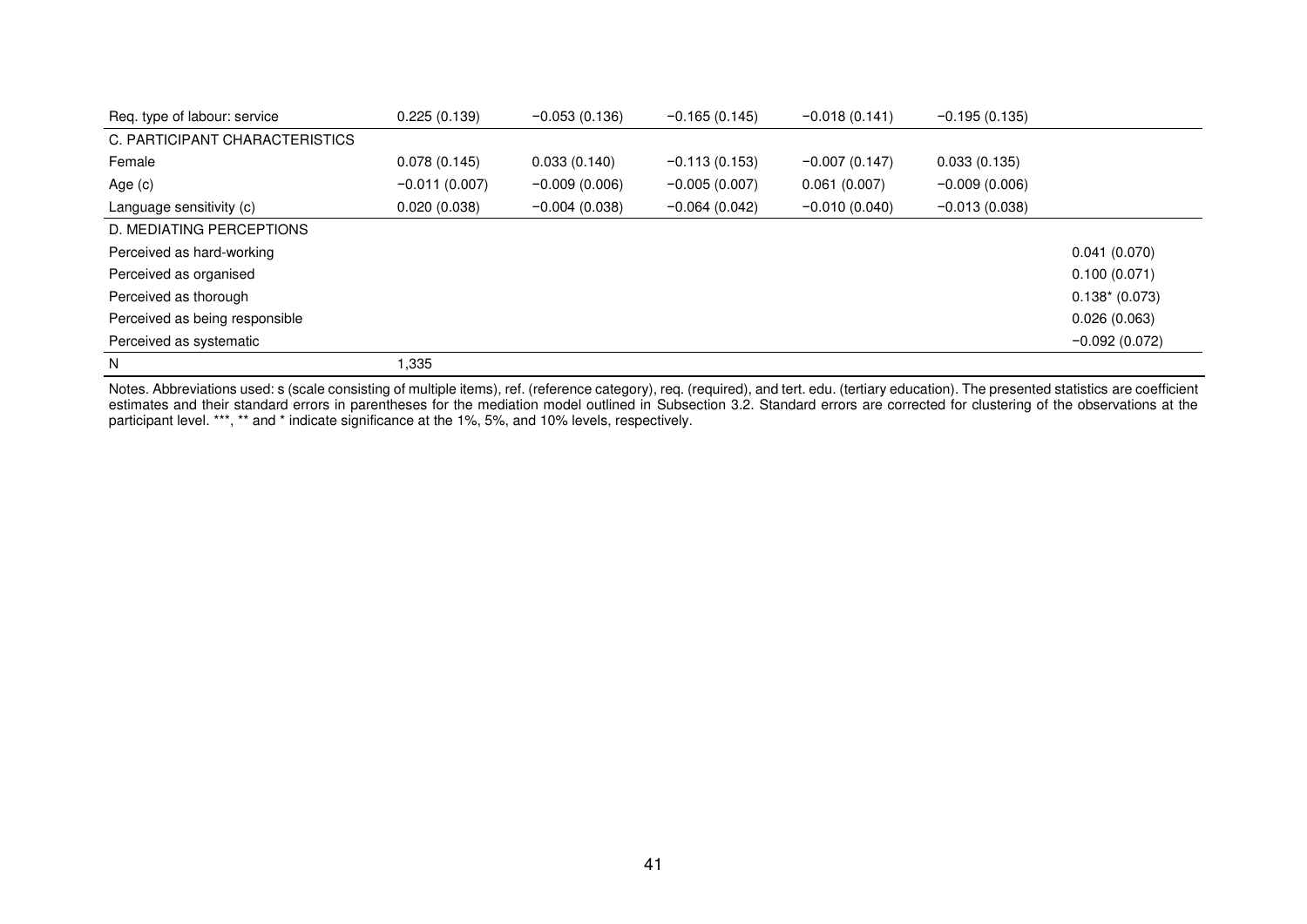| Req. type of labour: service   | 0.225(0.139)    | $-0.053(0.136)$ | $-0.165(0.145)$ | $-0.018(0.141)$ | $-0.195(0.135)$ |                 |
|--------------------------------|-----------------|-----------------|-----------------|-----------------|-----------------|-----------------|
| C. PARTICIPANT CHARACTERISTICS |                 |                 |                 |                 |                 |                 |
| Female                         | 0.078(0.145)    | 0.033(0.140)    | $-0.113(0.153)$ | $-0.007(0.147)$ | 0.033(0.135)    |                 |
| Age $(c)$                      | $-0.011(0.007)$ | $-0.009(0.006)$ | $-0.005(0.007)$ | 0.061(0.007)    | $-0.009(0.006)$ |                 |
| Language sensitivity (c)       | 0.020(0.038)    | $-0.004(0.038)$ | $-0.064(0.042)$ | $-0.010(0.040)$ | $-0.013(0.038)$ |                 |
| D. MEDIATING PERCEPTIONS       |                 |                 |                 |                 |                 |                 |
| Perceived as hard-working      |                 |                 |                 |                 |                 | 0.041(0.070)    |
| Perceived as organised         |                 |                 |                 |                 |                 | 0.100(0.071)    |
| Perceived as thorough          |                 |                 |                 |                 |                 | $0.138*(0.073)$ |
| Perceived as being responsible |                 |                 |                 |                 |                 | 0.026(0.063)    |
| Perceived as systematic        |                 |                 |                 |                 |                 | $-0.092(0.072)$ |
| N                              | ,335            |                 |                 |                 |                 |                 |

Notes. Abbreviations used: s (scale consisting of multiple items), ref. (reference category), req. (required), and tert. edu. (tertiary education). The presented statistics are coefficient estimates and their standard errors in parentheses for the mediation model outlined in Subsection 3.2. Standard errors are corrected for clustering of the observations at the participant level. \*\*\*, \*\* and \* indicate significance at the 1%, 5%, and 10% levels, respectively.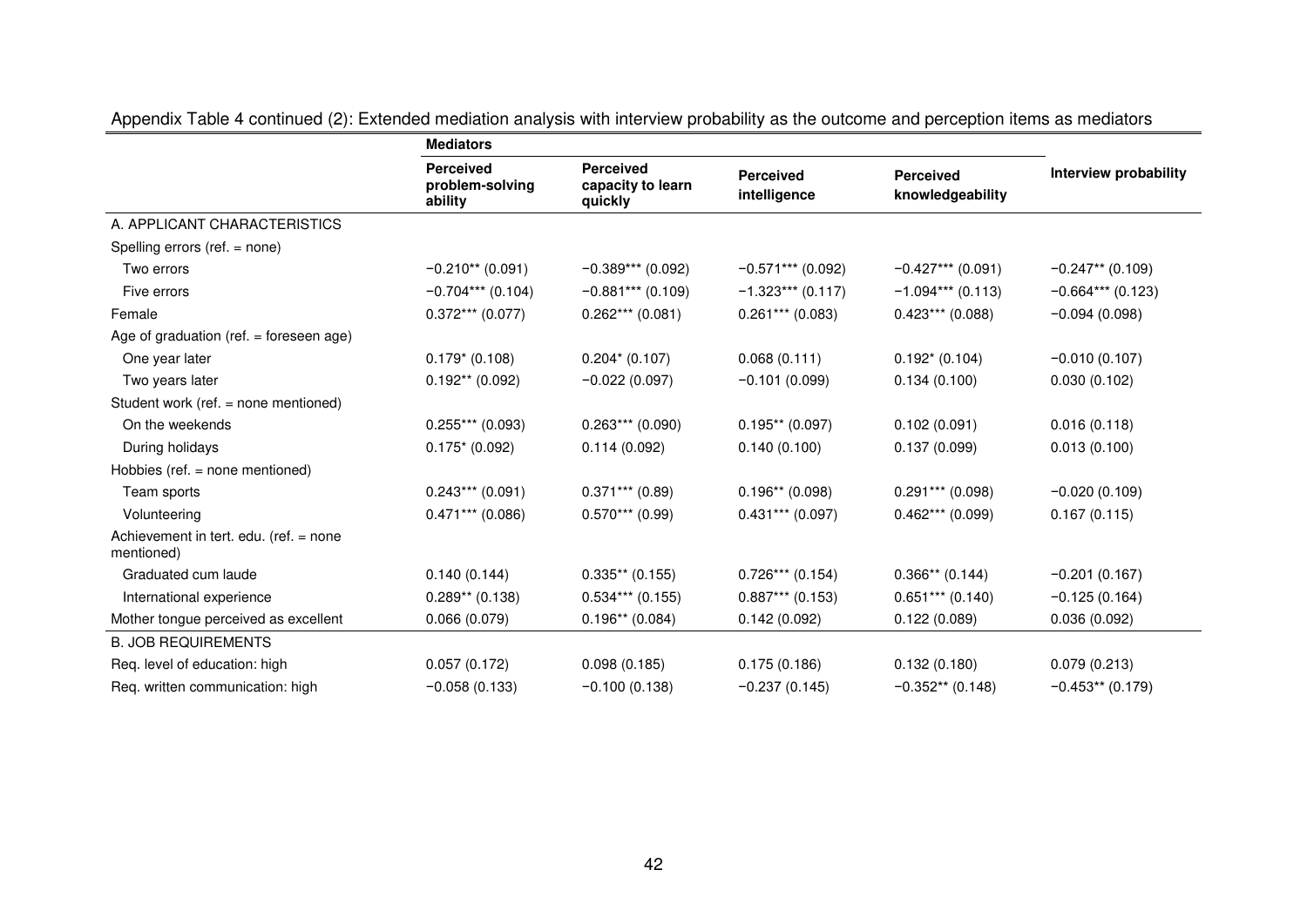|                                                      | <b>Mediators</b>                               |                                                  |                                  |                                      |                       |
|------------------------------------------------------|------------------------------------------------|--------------------------------------------------|----------------------------------|--------------------------------------|-----------------------|
|                                                      | <b>Perceived</b><br>problem-solving<br>ability | <b>Perceived</b><br>capacity to learn<br>quickly | <b>Perceived</b><br>intelligence | <b>Perceived</b><br>knowledgeability | Interview probability |
| A. APPLICANT CHARACTERISTICS                         |                                                |                                                  |                                  |                                      |                       |
| Spelling errors (ref. = none)                        |                                                |                                                  |                                  |                                      |                       |
| Two errors                                           | $-0.210**$ (0.091)                             | $-0.389***$ (0.092)                              | $-0.571***$ (0.092)              | $-0.427***$ (0.091)                  | $-0.247**$ (0.109)    |
| Five errors                                          | $-0.704***$ (0.104)                            | $-0.881***$ (0.109)                              | $-1.323***$ (0.117)              | $-1.094***$ (0.113)                  | $-0.664***(0.123)$    |
| Female                                               | $0.372***$ (0.077)                             | $0.262***(0.081)$                                | $0.261***$ (0.083)               | $0.423***$ (0.088)                   | $-0.094(0.098)$       |
| Age of graduation (ref. $=$ foreseen age)            |                                                |                                                  |                                  |                                      |                       |
| One year later                                       | $0.179*$ (0.108)                               | $0.204* (0.107)$                                 | 0.068(0.111)                     | $0.192* (0.104)$                     | $-0.010(0.107)$       |
| Two years later                                      | $0.192**$ (0.092)                              | $-0.022(0.097)$                                  | $-0.101(0.099)$                  | 0.134(0.100)                         | 0.030(0.102)          |
| Student work (ref. = none mentioned)                 |                                                |                                                  |                                  |                                      |                       |
| On the weekends                                      | $0.255***(0.093)$                              | $0.263***(0.090)$                                | $0.195**$ (0.097)                | 0.102(0.091)                         | 0.016(0.118)          |
| During holidays                                      | $0.175*(0.092)$                                | 0.114(0.092)                                     | 0.140(0.100)                     | 0.137(0.099)                         | 0.013(0.100)          |
| Hobbies (ref. $=$ none mentioned)                    |                                                |                                                  |                                  |                                      |                       |
| Team sports                                          | $0.243***$ (0.091)                             | $0.371***$ (0.89)                                | $0.196**$ (0.098)                | $0.291***$ (0.098)                   | $-0.020(0.109)$       |
| Volunteering                                         | $0.471***$ (0.086)                             | $0.570***$ (0.99)                                | $0.431***$ (0.097)               | $0.462***(0.099)$                    | 0.167(0.115)          |
| Achievement in tert. edu. (ref. = none<br>mentioned) |                                                |                                                  |                                  |                                      |                       |
| Graduated cum laude                                  | 0.140(0.144)                                   | $0.335**$ (0.155)                                | $0.726***$ (0.154)               | $0.366**$ (0.144)                    | $-0.201(0.167)$       |
| International experience                             | $0.289**$ (0.138)                              | $0.534***$ (0.155)                               | $0.887***$ (0.153)               | $0.651***$ (0.140)                   | $-0.125(0.164)$       |
| Mother tongue perceived as excellent                 | 0.066(0.079)                                   | $0.196**$ (0.084)                                | 0.142(0.092)                     | 0.122(0.089)                         | 0.036(0.092)          |
| <b>B. JOB REQUIREMENTS</b>                           |                                                |                                                  |                                  |                                      |                       |
| Req. level of education: high                        | 0.057(0.172)                                   | 0.098(0.185)                                     | 0.175(0.186)                     | 0.132(0.180)                         | 0.079(0.213)          |
| Req. written communication: high                     | $-0.058(0.133)$                                | $-0.100(0.138)$                                  | $-0.237(0.145)$                  | $-0.352**$ (0.148)                   | $-0.453**$ (0.179)    |

Appendix Table 4 continued (2): Extended mediation analysis with interview probability as the outcome and perception items as mediators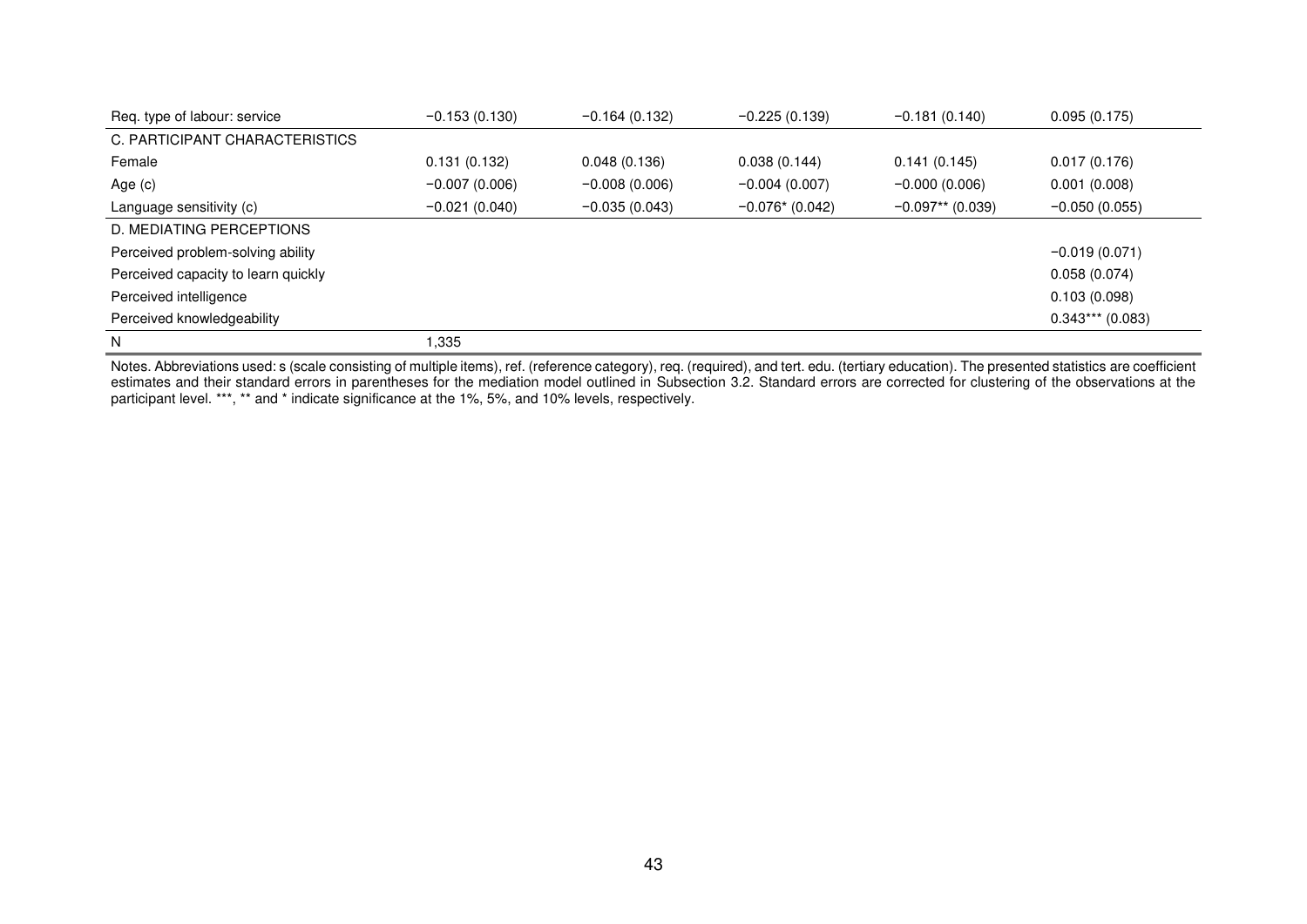| Req. type of labour: service        | $-0.153(0.130)$ | $-0.164(0.132)$ | $-0.225(0.139)$    | $-0.181(0.140)$    | 0.095(0.175)       |
|-------------------------------------|-----------------|-----------------|--------------------|--------------------|--------------------|
| C. PARTICIPANT CHARACTERISTICS      |                 |                 |                    |                    |                    |
| Female                              | 0.131(0.132)    | 0.048(0.136)    | 0.038(0.144)       | 0.141(0.145)       | 0.017(0.176)       |
| Age $(c)$                           | $-0.007(0.006)$ | $-0.008(0.006)$ | $-0.004(0.007)$    | $-0.000(0.006)$    | 0.001(0.008)       |
| Language sensitivity (c)            | $-0.021(0.040)$ | $-0.035(0.043)$ | $-0.076$ $(0.042)$ | $-0.097**$ (0.039) | $-0.050(0.055)$    |
| D. MEDIATING PERCEPTIONS            |                 |                 |                    |                    |                    |
| Perceived problem-solving ability   |                 |                 |                    |                    | $-0.019(0.071)$    |
| Perceived capacity to learn quickly |                 |                 |                    |                    | 0.058(0.074)       |
| Perceived intelligence              |                 |                 |                    |                    | 0.103(0.098)       |
| Perceived knowledgeability          |                 |                 |                    |                    | $0.343***$ (0.083) |
| N                                   | 1.335           |                 |                    |                    |                    |

Notes. Abbreviations used: s (scale consisting of multiple items), ref. (reference category), req. (required), and tert. edu. (tertiary education). The presented statistics are coefficient estimates and their standard errors in parentheses for the mediation model outlined in Subsection 3.2. Standard errors are corrected for clustering of the observations at the participant level. \*\*\*, \*\* and \* indicate significance at the 1%, 5%, and 10% levels, respectively.